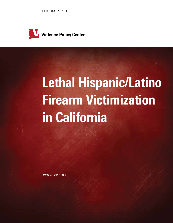FEBRUARY 2019



# Lethal Hispanic/Latino Firearm Victimization in California

WWW.VPC.ORG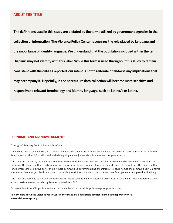## ABOUT THE TITLE

**The definitions used in this study are dictated by the terms utilized by government agencies in the collection of information. The Violence Policy Center recognizes the role played by language and the importance of identity language. We understand that the population included within the term Hispanic may not identify with this label. While this term is used throughout this study to remain consistent with the data as reported, our intent is not to reiterate or endorse any implications that may accompany it. Hopefully, in the near future data collection will become more sensitive and responsive to relevant terminology and identity language, such as Latino/a or Latinx.**

## COPYRIGHT AND ACKNOWLEDGMENTS

Copyright © February 2019 Violence Policy Center

The Violence Policy Center (VPC) is a national nonprofit educational organization that conducts research and public education on violence in America and provides information and analysis to policymakers, journalists, advocates, and the general public.

This study was funded by the Hope and Heal Fund, the only collaborative-based fund in California committed to preventing gun violence in California. The Hope and Heal Fund invests in innovative, strategic and evidence-based solutions to prevent gun violence. The Hope and Heal Fund harnesses the collective power of individuals, communities, government and philanthropy to ensure homes and communities in California are safe and free from gun death, injury and trauma. For more information about the Hope and Heal Fund, please visit hopeandhealfund.org.

This study was authored by VPC Senior Policy Analyst Marty Langley and VPC Executive Director Josh Sugarmann. Additional research and editorial assistance was provided by Jennifer Lynn-Whaley, PhD.

For a complete list of VPC publications with document links, please visit http://www.vpc.org/publications.

**To learn more about the Violence Policy Center, or to make a tax-deductible contribution to help support our work, please visit www.vpc.org.**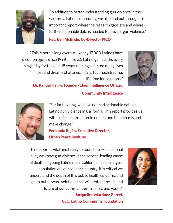

"In addition to better understanding gun violence in the California Latino community, we also find out through this important report where the research gaps are and where further actionable data is needed to prevent gun violence."

# **Rev. Ben McBride, Co-Director PICO**

"This report is long overdue. Nearly 17,000 Latinos have died from guns since 1999 — like 2.5 Latino gun deaths every single day for the past 18 years running — far too many lives lost and dreams shattered. That's too much trauma. It's time for solutions."



**Dr. Randal Henry, Founder/Chief Intelligence Officer,** 

# **Community Intelligence**



"For far too long, we have not had actionable data on Latino gun violence in California. This report provides us with critical information to understand the impacts and make change." **Fernando Rejón, Executive Director,** 

# **Urban Peace Institute**

 "This report is vital and timely for our state. At a national level, we know gun violence is the second-leading cause of death for young Latino men. California has the largest population of Latinos in the country. It is critical we understand the depth of this public health epidemic and begin to put forward solutions that will protect the life and future of our communities, families, and youth." **Jacqueline Martinez Garcel,** 

**CEO, Latino Community Foundation**

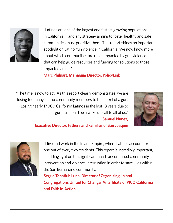

"Latinos are one of the largest and fastest growing populations in California — and any strategy aiming to foster healthy and safe communities must prioritize them. This report shines an important spotlight on Latino gun violence in California. We now know more about which communities are most impacted by gun violence that can help guide resources and funding for solutions to those impacted areas. "

**Marc Philpart, Managing Director, PolicyLink**

"The time is now to act! As this report clearly demonstrates, we are losing too many Latino community members to the barrel of a gun. Losing nearly 17,000 California Latinos in the last 18 years due to gunfire should be a wake up call to all of us." **Samuel Nuñez,** 



**Executive Director, Fathers and Families of San Joaquin**



"I live and work in the Inland Empire, where Latinos account for one out of every two residents. This report is incredibly important, shedding light on the significant need for continued community intervention and violence interruption in order to save lives within the San Bernardino community."

**Sergio Tonatiuh Luna, Director of Organizing, Inland Congregations United for Change, An affiliate of PICO California and Faith In Action**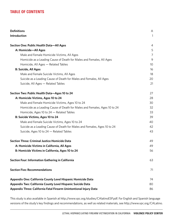## TABLE OF CONTENTS

| <b>Definitions</b>                                                        | A              |
|---------------------------------------------------------------------------|----------------|
| Introduction                                                              | 1              |
|                                                                           |                |
| Section One: Public Health Data-All Ages                                  | 4              |
| A: Homicide-All Ages                                                      | 5              |
| Male and Female Homicide Victims, All Ages                                | $\overline{7}$ |
| Homicide as a Leading Cause of Death for Males and Females, All Ages      | 9              |
| Homicide, All Ages - Related Tables                                       | 10             |
| <b>B: Suicide, All Ages</b>                                               | 16             |
| Male and Female Suicide Victims, All Ages                                 | 18             |
| Suicide as a Leading Cause of Death for Males and Females, All Ages       | 20             |
| Suicide, All Ages - Related Tables                                        | 21             |
| Section Two: Public Health Data-Ages 10 to 24                             | 27             |
| A: Homicide Victims, Ages 10 to 24                                        | 28             |
| Male and Female Homicide Victims, Ages 10 to 24                           | 30             |
| Homicide as a Leading Cause of Death for Males and Females, Ages 10 to 24 | 32             |
| Homicide, Ages 10 to 24 - Related Tables                                  | 33             |
| B: Suicide Victims, Ages 10 to 24                                         | 39             |
| Male and Female Suicide Victims, Ages 10 to 24                            | 40             |
| Suicide as a Leading Cause of Death for Males and Females, Ages 10 to 24  | 42             |
| Suicide, Ages 10 to 24 - Related Tables                                   | 43             |
| <b>Section Three: Criminal Justice Homicide Data</b>                      | 49             |
| A: Homicide Victims in California, All Ages                               | 49             |
| B: Homicide Victims in California, Ages 10 to 24                          | 56             |
| <b>Section Four: Information Gathering in California</b>                  | 63             |
| <b>Section Five: Recommendations</b>                                      | 71             |
| Appendix One: California County Level Hispanic Homicide Data              | 74             |
| Appendix Two: California County Level Hispanic Suicide Data               | 80             |
| Appendix Three: California Fatal Firearm Unintentional Injury Data        | 86             |

This study is also available in Spanish at http://www.vpc.org/studies/CAlatinoESP.pdf. For English and Spanish language versions of the study's key findings and recommendations, as well as related materials, see http://www.vpc.org/CALatino.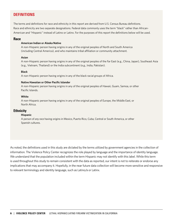## **DEFINITIONS**

The terms and definitions for race and ethnicity in this report are derived from U.S. Census Bureau definitions. Race and ethnicity are two separate designations. Federal data commonly uses the term "black" rather than African-American and "Hispanic" instead of Latino or Latinx. For the purposes of this report the definitions below will be used.

#### **Race**

#### **American Indian or Alaska Native**

A non-Hispanic person having origins in any of the original peoples of North and South America (including Central America), and who maintains tribal affiliation or community attachment.

#### **Asian**

A non-Hispanic person having origins in any of the original peoples of the Far East (e.g., China, Japan), Southeast Asia (e.g., Vietnam, Thailand) or the India subcontinent (e.g., India, Pakistan).

#### **Black**

A non-Hispanic person having origins in any of the black racial groups of Africa.

#### **Native Hawaiian or Other Pacific Islander**

A non-Hispanic person having origins in any of the original peoples of Hawaii, Guam, Samoa, or other Pacific Islands.

#### **White**

A non-Hispanic person having origins in any of the original peoples of Europe, the Middle East, or North Africa.

#### **Ethnicity**

#### **Hispanic**

A person of *any race* having origins in Mexico, Puerto Rico, Cuba, Central or South America, or other Spanish cultures.

As noted, the definitions used in this study are dictated by the terms utilized by government agencies in the collection of information. The Violence Policy Center recognizes the role played by language and the importance of identity language. We understand that the population included within the term Hispanic may not identify with this label. While this term is used throughout this study to remain consistent with the data as reported, our intent is not to reiterate or endorse any implications that may accompany it. Hopefully, in the near future data collection will become more sensitive and responsive to relevant terminology and identity language, such as Latino/a or Latinx.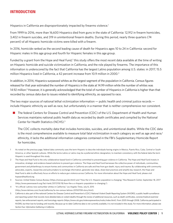## INTRODUCTION

Hispanics in California are disproportionately impacted by firearms violence.<sup>1</sup>

From 1999 to 2016, more than 16,600 Hispanics died from guns in the state of California: 12,912 in firearm homicides, 3,402 in firearm suicides, and 319 in unintentional firearm deaths. During this period, nearly three quarters (74 percent) of all Hispanic homicide victims were killed with a firearm.

In 2016, homicide ranked as the second leading cause of death for Hispanics ages 10 to 24 in California: second for Hispanic males in this age group and fourth for Hispanic females in this age group.

Funded by a grant from the Hope and Heal Fund,<sup>2</sup> this study offers the most recent data available at the time of writing on Hispanic homicide and suicide victimization in California, and the role played by firearms. The importance of this information is underscored by the fact that California has the largest Latino population among U.S. states: in 2017, 15.5 million Hispanics lived in California, a 42 percent increase from 10.9 million in 2000.<sup>3</sup>

In addition, in 2014, Hispanics surpassed whites as the largest segment of the population in California. Census figures released for that year estimated the number of Hispanics in the state at 14.99 million while the number of whites was 14.92 million.<sup>4</sup> However, it is generally acknowledged that the total of number of Hispanics in California is higher than that recorded by census data due to issues related to identifying ethnicity, as opposed to race.

The two major sources of national lethal victimization information — public health and criminal justice records include Hispanic ethnicity as well as race, but unfortunately in a manner that is neither comprehensive nor consistent.

The federal Centers for Disease Control and Prevention (CDC) of the U.S. Department of Health and Human Services maintains national public health data as recorded by death certificates and compiled by the National Center for Health Statistics (NCHS).5

The CDC collects mortality data that includes homicides, suicides, and unintentional deaths. While the CDC data is the most comprehensive available to measure total fatal victimization in each category as well as age and race/ ethnicity, it lacks the additional information categories contained in the FBI's Supplementary Homicide Report for homicides.

- 1 As noted on the previous page, federal data commonly uses the term Hispanic to describe individuals having origins in Mexico, Puerto Rico, Cuba, Central or South America, or other Spanish cultures. While the terms Latino or Latinx may be a preferred ethnic designation, to maintain consistency with the federal data the term Hispanic is used throughout this study.
- 2 The Hope and Heal Fund is the only collaborative-based fund in California committed to preventing gun violence in California. The Hope and Heal Fund invests in innovative, strategic and evidence-based solutions to prevent gun violence. The Hope and Heal Fund harnesses the collective power of individuals, communities, government and philanthropy to ensure homes and communities in California are safe and free from gun death, injury and trauma. By collaborating with community advocates, experts, researches and policymakers to exchange information, generate new ideas, share best practices and amplify key research, the Hope and Heal Fund is able to effectively focus on efforts to reduce gun violence across California. For more information about the Hope and Heal Fund, please visit hopeandhealfund.org
- 3 Sources: United States Census Bureau (https://census.gov/en.html) and "How the U.S. Hispanic population is changing," Pew Research Center, September 18, 2017 (http://www.pewresearch.org/fact-tank/2017/09/18/how-the-u-s-hispanic-population-is-changing/).
- 4 "It's official: Latinos now outnumber whites in California," *Los Angeles Times*, July 8, 2015 (http://www.latimes.com/local/california/la-me-census-latinos-20150708-story.html).
- 5 California is also part of the national Centers for Disease Control and Prevention's (CDC) National Violent Death Reporting System (NVDRS), a public health surveillance and reporting system that records more detailed data on violent deaths through the review of additional resources, such as death certificates, coroner/medical examiner reports, law enforcement reports, and toxicology reports (https://www.cdc.gov/violenceprevention/nvdrs/index.html). From 2005 through 2008, California participated in NVDRS, but then lost its funding until recently. Because up-to-date California data is not currently available, it is not included in this study. For more information, please see *Section Four: Information Gathering in California*.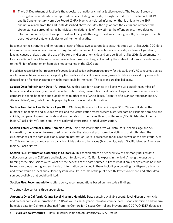$\blacksquare$  The U.S. Department of Justice is the repository of national criminal justice records. The Federal Bureau of Investigation compiles data on reported crime, including homicide, through its Uniform Crime Report (UCR) and its Supplementary Homicide Report (SHR). Homicide-related information that is unique to the SHR and not available from the CDC data described above includes: the age of both the victim and offender; the circumstances surrounding the homicide; the relationship of the victim to the offender; and, more detailed information on the type of weapon used, including whether a gun used was a handgun, rifle, or shotgun. The FBI does not collect data on suicides or unintentional deaths.

Recognizing the strengths and limitations of each of these two separate data sets, this study will utilize 2016 CDC data (the most recent available at time of writing) for information on Hispanic homicide, suicide, and overall gun death; leading causes of death; and, the use of firearms in Hispanic homicide and suicide. It will utilize 2016 Supplementary Homicide Report data (the most recent available at time of writing) collected by the state of California for submission to the FBI for information on homicide not contained in the CDC data.

In addition, recognizing the limitations of current data collection on Hispanic ethnicity, for this study the VPC conducted a series of interviews with California experts regarding the benefits and limitations of currently available data sources and ways in which data collection for Hispanic ethnicity in the state could be improved. The sections are detailed below.

**Section One: Public Health Data - All Ages.** Using this data for Hispanics of all ages we will: detail the number of homicides and suicides by sex, and the victimization rates; present historical data on Hispanic homicide and suicide; compare Hispanic homicide and suicide rates to other races (white, black, Asian/Pacific Islander, American Indian/ Alaska Native); and, detail the role played by firearms in lethal victimization.

**Section Two: Public Health Data - Ages 10 to 24.** Using this data for Hispanics ages 10 to 24, we will: detail the number of homicides and suicides by sex, and the victimization rates; present historical data on Hispanic homicide and suicide; compare Hispanic homicide and suicide rates to other races (black, white, Asian/Pacific Islander, American Indian/Alaska Native); and, detail the role played by firearms in lethal victimization.

**Section Three: Criminal Justice Homicide Data.** Using this information, we will detail for Hispanics: age and sex information, the types of firearms used in homicide; the relationship of homicide victims to their offenders; the circumstances of the homicides; and, location information. Data is presented for all ages as well as the age group 10 to 24. This section also compares Hispanic homicide data to other races (black, white, Asian/Pacific Islander, American Indian/Alaska Native).

**Section Four: Information Gathering in California.** This section offers a brief overview of commonly utilized data collection systems in California and includes interviews with California experts in the field. Among the questions framing these discussions were: what are the benefits of the data sources utilized; what, if any changes could be made to improve the gathering and synthesis of information contained in them, including accounting for Hispanic ethnicity; and, what would an ideal surveillance system look like in terms of the public health, law enforcement, and other data sources available that could be linked.

**Section Five: Recommendations** offers policy recommendations based on the study's findings.

The study also contains three appendices.

**Appendix One: California County Level Hispanic Homicide Data** contains available county level Hispanic homicide and firearm homicide information for 2016 as well as multi-year cumulative county level Hispanic homicide and firearm homicide data for California obtained from the Centers for Disease Control and Prevention's CDC WONDER database.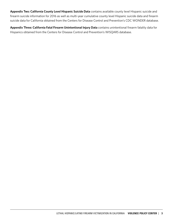**Appendix Two: California County Level Hispanic Suicide Data** contains available county level Hispanic suicide and firearm suicide information for 2016 as well as multi-year cumulative county level Hispanic suicide data and firearm suicide data for California obtained from the Centers for Disease Control and Prevention's CDC WONDER database.

**Appendix Three: California Fatal Firearm Unintentional Injury Data** contains unintentional firearm fatality data for Hispanics obtained from the Centers for Disease Control and Prevention's WISQARS database.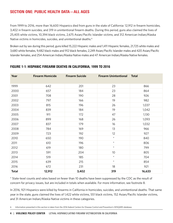# SECTION ONE: PUBLIC HEALTH DATA—ALL AGES

From 1999 to 2016, more than 16,600 Hispanics died from guns in the state of California: 12,912 in firearm homicides, 3,402 in firearm suicides, and 319 in unintentional firearm deaths. During this period, guns also claimed the lives of 25,405 white victims, 10,394 black victims, 2,675 Asian/Pacific Islander victims, and 312 American Indian/Alaska Native victims in homicides, suicides, and unintentional deaths.<sup>6</sup>

Broken out by sex during this period, guns killed 15,222 Hispanic males and 1,411 Hispanic females, 21,725 white males and 3,680 white females, 9,482 black males and 912 black females, 2,249 Asian/Pacific Islander males and 420 Asian/Pacific Islander females, and 254 American Indian/Alaska Native males and 47 American Indian/Alaska Native females.

| Year         | <b>Firearm Homicide</b> | <b>Firearm Suicide</b> | <b>Firearm Unintentional</b> | <b>Total</b> |
|--------------|-------------------------|------------------------|------------------------------|--------------|
| 1999         | 642                     | 201                    | 23                           | 866          |
| 2000         | 657                     | 184                    | 23                           | 864          |
| 2001         | 708                     | 190                    | 28                           | 926          |
| 2002         | 797                     | 166                    | 19                           | 982          |
| 2003         | 815                     | 196                    | 26                           | 1,037        |
| 2004         | 839                     | 184                    | 19                           | 1,042        |
| 2005         | 911                     | 172                    | 47                           | 1,130        |
| 2006         | 899                     | 168                    | 26                           | 1,093        |
| 2007         | 837                     | 179                    | 16                           | 1,032        |
| 2008         | 784                     | 169                    | 13                           | 966          |
| 2009         | 723                     | 192                    | 12                           | 927          |
| 2010         | 650                     | 190                    | $\star$                      | 840          |
| 2011         | 610                     | 196                    | $\star$                      | 806          |
| 2012         | 619                     | 180                    | $\star$                      | 799          |
| 2013         | 591                     | 204                    | 10                           | 805          |
| 2014         | 519                     | 185                    | $\star$                      | 704          |
| 2015         | 639                     | 215                    | $\star$                      | 854          |
| 2016         | 672                     | 231                    | 18                           | 921          |
| <b>Total</b> | 12,912                  | 3,402                  | 319                          | 16,633       |

## FIGURE 1-1: HISPANIC FIREARM DEATHS IN CALIFORNIA, 1999 TO 2016

\* State-level counts and rates based on fewer than 10 deaths have been suppressed by the CDC as the result of concern for privacy issues, but are included in totals when available. For more information, see footnote 8.

In 2016, 921 Hispanics were killed by firearms in California in homicides, suicides, and unintentional deaths. That same year in the state, guns claimed the lives of 1,422 white victims, 551 black victims, 152 Asian/Pacific Islander victims, and 31 American Indian/Alaska Native victims in these categories.

Information presented in this section is taken from the 2016 federal Centers for Disease Control and Prevention's WISQARS database.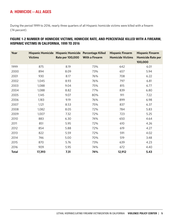## A: HOMICIDE—ALL AGES

During the period 1999 to 2016, nearly three quarters of all Hispanic homicide victims were killed with a firearm (74 percent).

## FIGURE 1-2 NUMBER OF HOMICIDE VICTIMS, HOMICIDE RATE, AND PERCENTAGE KILLED WITH A FIREARM, HISPANIC VICTIMS IN CALIFORNIA, 1999 TO 2016

| Year         | <b>Victims</b> | Hispanic Homicide Hispanic Homicide Percentage Killed<br>Rate per 100,000 | <b>With a Firearm</b> | <b>Hispanic Firearm</b><br><b>Homicide Victims</b> | <b>Hispanic Firearm</b><br><b>Homicide Rate per</b><br>100,000 |
|--------------|----------------|---------------------------------------------------------------------------|-----------------------|----------------------------------------------------|----------------------------------------------------------------|
| 1999         | 875            | 8.19                                                                      | 73%                   | 642                                                | 6.01                                                           |
| 2000         | 894            | 8.09                                                                      | 73%                   | 657                                                | 5.94                                                           |
| 2001         | 930            | 8.17                                                                      | 76%                   | 708                                                | 6.22                                                           |
| 2002         | 1,045          | 8.93                                                                      | 76%                   | 797                                                | 6.81                                                           |
| 2003         | 1,088          | 9.04                                                                      | 75%                   | 815                                                | 6.77                                                           |
| 2004         | 1,088          | 8.82                                                                      | 77%                   | 839                                                | 6.80                                                           |
| 2005         | 1,145          | 9.07                                                                      | 80%                   | 911                                                | 7.22                                                           |
| 2006         | 1,183          | 9.19                                                                      | 76%                   | 899                                                | 6.98                                                           |
| 2007         | 1,121          | 8.53                                                                      | 75%                   | 837                                                | 6.37                                                           |
| 2008         | 1,082          | 8.05                                                                      | 72%                   | 784                                                | 5.83                                                           |
| 2009         | 1,007          | 7.32                                                                      | 72%                   | 723                                                | 5.25                                                           |
| 2010         | 883            | 6.30                                                                      | 74%                   | 650                                                | 4.64                                                           |
| 2011         | 851            | 5.95                                                                      | 72%                   | 610                                                | 4.26                                                           |
| 2012         | 854            | 5.88                                                                      | 72%                   | 619                                                | 4.27                                                           |
| 2013         | 822            | 5.59                                                                      | 72%                   | 591                                                | 4.02                                                           |
| 2014         | 746            | 5.00                                                                      | 70%                   | 519                                                | 3.48                                                           |
| 2015         | 870            | 5.76                                                                      | 73%                   | 639                                                | 4.23                                                           |
| 2016         | 909            | 5.95                                                                      | 74%                   | 672                                                | 4.40                                                           |
| <b>Total</b> | 17,393         | 7.31                                                                      | 74%                   | 12,912                                             | 5.43                                                           |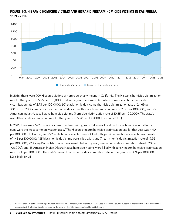

## FIGURE 1-3: HISPANIC HOMICIDE VICTIMS AND HISPANIC FIREARM HOMICIDE VICTIMS IN CALIFORNIA, 1999 - 2016

In 2016, there were 909 Hispanic victims of homicide by any means in California. The Hispanic homicide victimization rate for that year was 5.95 per 100,000. That same year there were: 419 white homicide victims (homicide victimization rate of 2.73 per 100,000); 601 black homicide victims (homicide victimization rate of 24.69 per 100,000); 120 Asian/Pacific Islander homicide victims (homicide victimization rate of 2.00 per 100,000); and, 22 American Indian/Alaska Native homicide victims (homicide victimization rate of 10.55 per 100,000). The state's overall homicide victimization rate for that year was 5.28 per 100,000. [See Table 1A-1]

In 2016, there were 672 Hispanic victims murdered with guns in California. For all victims of homicide in California, guns were the most common weapon used.<sup>7</sup> The Hispanic firearm homicide victimization rate for that year was 4.40 per 100,000. That same year: 222 white homicide victims were killed with guns (firearm homicide victimization rate of 1.45 per 100,000); 485 black homicide victims were killed with guns (firearm homicide victimization rate of 19.92 per 100,000); 72 Asian/Pacific Islander victims were killed with guns (firearm homicide victimization rate of 1.20 per 100,000); and, 15 American Indian/Alaska Native homicide victims were killed with guns (firearm homicide victimization rate of 7.19 per 100,000). The state's overall firearm homicide victimization rate for that year was 3.74 per 100,000. [See Table 1A-2]

<sup>7</sup> Because the CDC data does not report what *type* of firearm — handgun, rifle, or shotgun — was used in the homicide, this question is addressed in *Section Three* of this report using 2016 California data collected by the state for the FBI's Supplementary Homicide Report*.*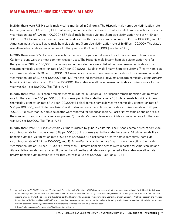## MALE AND FEMALE HOMICIDE VICTIMS, ALL AGES

In 2016, there were 783 Hispanic male victims murdered in California. The Hispanic male homicide victimization rate for that year was 10.19 per 100,000. That same year in the state there were: 311 white male homicide victims (homicide victimization rate of 4.06 per 100,000); 537 black male homicide victims (homicide victimization rate of 44.49 per 100,000); 90 Asian/Pacific Islander male homicide victims (homicide victimization rate of 3.16 per 100,000); and, 17 American Indian/Alaska Native male homicide victims (homicide victimization rate of 16.65 per 100,000). The state's overall male homicide victimization rate for that year was 8.93 per 100,000. [See Table 1A-3]

In 2016, there were 605 Hispanic male victims murdered by guns in California. For all male victims of homicide in California, guns were the most common weapon used. The Hispanic male firearm homicide victimization rate for that year was 7.88 per 100,000. That same year in the state there were: 174 white male firearm homicide victims (firearm homicide victimization rate of 2.27 per 100,000); 443 black male firearm homicide victims (firearm homicide victimization rate of 36.70 per 100,000); 59 Asian/Pacific Islander male firearm homicide victims (firearm homicide victimization rate of 2.07 per 100,000); and, 12 American Indian/Alaska Native male firearm homicide victims (firearm homicide victimization rate of 11.75 per 100,000). The state's overall male firearm homicide victimization rate for that year was 6.64 per 100,000. [See Table 1A-4]

In 2016, there were 126 Hispanic female victims murdered in California. The Hispanic female homicide victimization rate for that year was 1.66 per 100,000. That same year in the state there were: 108 white female homicide victims (homicide victimization rate of 1.41 per 100,000); 64 black female homicide victims (homicide victimization rate of 5.21 per 100,000); and, 30 female Asian/Pacific Islander homicide victims (homicide victimization rate of 0.95 per 100,000). (Fewer than 10 homicide deaths were reported for American Indian/Alaska Native females and as a result the number of deaths and rate were suppressed.<sup>8</sup>) The state's overall female homicide victimization rate for that year was 1.69 per 100,000. [See Table 1A-5]

In 2016, there were 67 Hispanic female victims murdered by guns in California. The Hispanic female firearm homicide victimization rate for that year was 0.88 per 100,000. That same year in the state there were: 48 white female firearm homicide victims (victimization rate of 0.63 per 100,000); 42 black female firearm homicide victims (homicide victimization rate of 3.42 per 100,000); and, 13 Asian/Pacific Islander female firearm homicide victims (homicide victimization rate of 0.41 per 100,000). (Fewer than 10 firearm homicide deaths were reported for American Indian/ Alaska Native females and as a result the number of deaths and rate were suppressed.) The state's overall female firearm homicide victimization rate for that year was 0.88 per 100,000. [See Table 1A-6]

<sup>8</sup> According to the WISQARS database, "The National Center for Health Statistics (NCHS) in an agreement with the National Association of Public Health Statistics and Information Systems (NAPHSIS) has implemented a new, more restrictive rule for reporting state- and county-level death data for years 2008 and later from NVSS in order to avoid inadvertent disclosure of a decedent's identity. Therefore, the Statistics, Programming and Economics Branch, Division of Analysis, Research, and Practice Integration, NCIPC has modified WISQARS to accommodate the new data suppression rule; i.e., no figure, including totals, should be less than 10 in tabulations for subnational geographic areas, regardless of the number of years combined with the 2008 and later data," (https://webappa.cdc.gov/sasweb/ncipc/dataRestriction\_inj.html).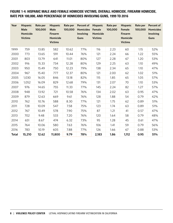## FIGURE 1-4: HISPANIC MALE AND FEMALE HOMICIDE VICTIMS, OVERALL HOMICIDE, FIREARM HOMICIDE, RATE PER 100,000, AND PERCENTAGE OF HOMICIDES INVOLVING GUNS, 1999 TO 2016

| Year         | <b>Hispanic</b><br><b>Male</b><br>Homicide<br><b>Victims</b> | Rate per<br>100,000 | <b>Hispanic</b><br>Male<br><b>Firearm</b><br>Homicide<br><b>Victims</b> | <b>Rate per</b><br>100,000 | <b>Percent of</b><br><b>Homicides</b><br>Involving<br><b>Guns</b> | <b>Hispanic</b><br>Female<br>Homicide<br><b>Victims</b> | Rate per<br>100,000 | <b>Hispanic</b><br>Female<br><b>Firearm</b><br>Homicide<br><b>Victims</b> | <b>Rate per</b><br>100,000 | Percent of<br><b>Homicides</b><br><b>Involving</b><br>Guns |
|--------------|--------------------------------------------------------------|---------------------|-------------------------------------------------------------------------|----------------------------|-------------------------------------------------------------------|---------------------------------------------------------|---------------------|---------------------------------------------------------------------------|----------------------------|------------------------------------------------------------|
| 1999         | 759                                                          | 13.85               | 582                                                                     | 10.62                      | 77%                                                               | 116                                                     | 2.23                | 60                                                                        | 1.15                       | 52%                                                        |
| 2000         | 773                                                          | 13.65               | 591                                                                     | 10.44                      | 76%                                                               | 121                                                     | 2.24                | 66                                                                        | 1.22                       | 55%                                                        |
| 2001         | 803                                                          | 13.79               | 641                                                                     | 11.01                      | 80%                                                               | 127                                                     | 2.28                | 67                                                                        | 1.20                       | 53%                                                        |
| 2002         | 916                                                          | 15.33               | 734                                                                     | 12.28                      | 80%                                                               | 129                                                     | 2.25                | 63                                                                        | 1.10                       | 49%                                                        |
| 2003         | 950                                                          | 15.49               | 750                                                                     | 12.23                      | 79%                                                               | 138                                                     | 2.34                | 65                                                                        | 1.10                       | 47%                                                        |
| 2004         | 967                                                          | 15.40               | 777                                                                     | 12.37                      | 80%                                                               | 121                                                     | 2.00                | 62                                                                        | 1.02                       | 51%                                                        |
| 2005         | 1,030                                                        | 16.05               | 846                                                                     | 13.18                      | 82%                                                               | 115                                                     | 1.85                | 65                                                                        | 1.05                       | 57%                                                        |
| 2006         | 1,052                                                        | 16.09               | 829                                                                     | 12.68                      | 79%                                                               | 131                                                     | 2.07                | 70                                                                        | 1.10                       | 53%                                                        |
| 2007         | 976                                                          | 14.65               | 755                                                                     | 11.33                      | 77%                                                               | 145                                                     | 2.24                | 82                                                                        | 1.27                       | 57%                                                        |
| 2008         | 948                                                          | 13.92               | 721                                                                     | 10.58                      | 76%                                                               | 134                                                     | 2.02                | 63                                                                        | 0.95                       | 47%                                                        |
| 2009         | 879                                                          | 12.63               | 669                                                                     | 9.61                       | 76%                                                               | 128                                                     | 1.88                | 54                                                                        | 0.79                       | 42%                                                        |
| 2010         | 762                                                          | 10.76               | 588                                                                     | 8.30                       | 77%                                                               | 121                                                     | 1.75                | 62                                                                        | 0.89                       | 51%                                                        |
| 2011         | 728                                                          | 10.09               | 547                                                                     | 7.58                       | 75%                                                               | 123                                                     | 1.74                | 63                                                                        | 0.89                       | 51%                                                        |
| 2012         | 767                                                          | 10.49               | 578                                                                     | 7.90                       | 75%                                                               | 87                                                      | 1.21                | 41                                                                        | 0.57                       | 47%                                                        |
| 2013         | 702                                                          | 9.48                | 533                                                                     | 7.20                       | 76%                                                               | 120                                                     | 1.64                | 58                                                                        | 0.79                       | 48%                                                        |
| 2014         | 651                                                          | 8.67                | 474                                                                     | 6.32                       | 73%                                                               | 95                                                      | 1.28                | 45                                                                        | 0.61                       | 47%                                                        |
| 2015         | 764                                                          | 10.06               | 580                                                                     | 7.63                       | 76%                                                               | 106                                                     | 1.41                | 59                                                                        | 0.79                       | 56%                                                        |
| 2016         | 783                                                          | 10.19               | 605                                                                     | 7.88                       | 77%                                                               | 126                                                     | 1.66                | 67                                                                        | 0.88                       | 53%                                                        |
| <b>Total</b> | 15,210                                                       | 12.62               | 11,800                                                                  | 9.79                       | 78%                                                               | 2,183                                                   | 1.86                | 1,112                                                                     | 0.95                       | 51%                                                        |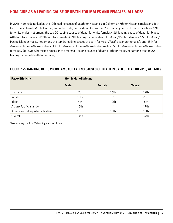# HOMICIDE AS A LEADING CAUSE OF DEATH FOR MALES AND FEMALES, ALL AGES

In 2016, homicide ranked as the 12th leading cause of death for Hispanics in California (7th for Hispanic males and 16th for Hispanic females). That same year in the state, homicide ranked as the: 20th leading cause of death for whites (19th for white males, not among the top 20 leading causes of death for white females); 8th leading cause of death for blacks (4th for black males and 12th for black females); 19th leading cause of death for Asian/Pacific Islanders (15th for Asian/ Pacific Islander males, not among the top 20 leading causes of death for Asian/Pacific Islander females); and, 13th for American Indian/Alaska Natives (10th for American Indian/Alaska Native males, 15th for American Indian/Alaska Native females). Statewide, homicide ranked 14th among all leading causes of death (14th for males, not among the top 20 leading causes of death for females).

## FIGURE 1-5: RANKING OF HOMICIDE AMONG LEADING CAUSES OF DEATH IN CALIFORNIA FOR 2016, ALL AGES

| Race/Ethnicity                | <b>Homicide, All Means</b> |                  |                |  |  |  |  |  |
|-------------------------------|----------------------------|------------------|----------------|--|--|--|--|--|
|                               | <b>Male</b>                | Female           | <b>Overall</b> |  |  |  |  |  |
| Hispanic                      | 7th                        | 16th             | 12th           |  |  |  |  |  |
| White                         | 19th                       | $\star$          | 20th           |  |  |  |  |  |
| <b>Black</b>                  | 4th                        | 12 <sub>th</sub> | 8th            |  |  |  |  |  |
| Asian/Pacific Islander        | 15th                       | $\star$          | 19th           |  |  |  |  |  |
| American Indian/Alaska Native | 10th                       | 15th             | 13th           |  |  |  |  |  |
| Overall                       | 14th                       | $\star$          | 14th           |  |  |  |  |  |

\*Not among the top 20 leading causes of death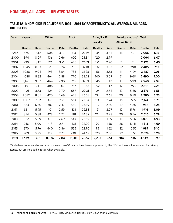## HOMICIDE, ALL AGES — RELATED TABLES

## TABLE 1A-1: HOMICIDE IN CALIFORNIA 1999 – 2016 BY RACE/ETHNICITY, ALL WEAPONS, ALL AGES, BOTH SEXES

| Year         | <b>Hispanic</b> |      | White         |      | <b>Black</b>  |       | Asian/Pacific<br><b>Islander</b> |      | <b>Alaska Native</b> | American Indian/ Total |               |      |
|--------------|-----------------|------|---------------|------|---------------|-------|----------------------------------|------|----------------------|------------------------|---------------|------|
|              | <b>Deaths</b>   | Rate | <b>Deaths</b> | Rate | <b>Deaths</b> | Rate  | <b>Deaths</b>                    | Rate | <b>Deaths</b>        | Rate                   | <b>Deaths</b> | Rate |
| 1999         | 875             | 8.19 | 508           | 3.10 | 513           | 22.19 | 134                              | 3.44 | 16                   | 7.21                   | 2,066         | 6.17 |
| 2000         | 894             | 8.09 | 436           | 2.66 | 602           | 25.84 | 120                              | 2.99 | $\star$              | $\star$                | 2,064         | 6.07 |
| 2001         | 930             | 8.17 | 526           | 3.21 | 625           | 26.71 | 121                              | 2.90 | $\star$              | $\star$                | 2,223         | 6.45 |
| 2002         | 1,045           | 8.93 | 528           | 3.24 | 753           | 32.10 | 132                              | 3.07 | 22                   | 9.90                   | 2,485         | 7.13 |
| 2003         | 1,088           | 9.04 | 493           | 3.04 | 735           | 31.28 | 156                              | 3.53 | 11                   | 4.99                   | 2,487         | 7.05 |
| 2004         | 1,088           | 8.82 | 464           | 2.88 | 770           | 32.72 | 140                              | 3.09 | 21                   | 9.60                   | 2,490         | 7.00 |
| 2005         | 1,145           | 9.07 | 464           | 2.90 | 769           | 32.71 | 145                              | 3.12 | 13                   | 5.99                   | 2,540         | 7.09 |
| 2006         | 1,183           | 9.19 | 486           | 3.07 | 767           | 32.67 | 152                              | 3.19 | 17                   | 7.93                   | 2,616         | 7.26 |
| 2007         | 1,121           | 8.53 | 424           | 2.70 | 687           | 29.31 | 124                              | 2.54 | 12                   | 5.66                   | 2,376         | 6.55 |
| 2008         | 1,082           | 8.05 | 420           | 2.69 | 623           | 26.53 | 134                              | 2.68 | 20                   | 9.50                   | 2,280         | 6.23 |
| 2009         | 1,007           | 7.32 | 421           | 2.71 | 564           | 23.94 | 114                              | 2.24 | 16                   | 7.65                   | 2,124         | 5.75 |
| 2010         | 883             | 6.30 | 382           | 2.47 | 560           | 23.69 | 119                              | 2.30 | 10                   | 4.80                   | 1,954         | 5.25 |
| 2011         | 851             | 5.95 | 401           | 2.59 | 531           | 22.33 | 121                              | 2.27 | 12                   | 5.76                   | 1,916         | 5.09 |
| 2012         | 854             | 5.88 | 428           | 2.77 | 581           | 24.32 | 124                              | 2.28 | 20                   | 9.56                   | 2,010         | 5.29 |
| 2013         | 822             | 5.59 | 416           | 2.69 | 544           | 22.69 | 92                               | 1.65 | 11                   | 5.26                   | 1,890         | 4.93 |
| 2014         | 746             | 5.00 | 418           | 2.71 | 531           | 22.02 | 90                               | 1.58 | 26                   | 12.41                  | 1,813         | 4.69 |
| 2015         | 870             | 5.76 | 440           | 2.86 | 555           | 22.90 | 95                               | 1.62 | 22                   | 10.52                  | 1,987         | 5.10 |
| 2016         | 909             | 5.95 | 419           | 2.73 | 601           | 24.69 | 120                              | 2.00 | 22                   | 10.55                  | 2,074         | 5.28 |
| <b>Total</b> | 17,393          | 7.31 | 8,074         | 2.84 | 11,311        | 26.57 | 2,233                            | 2.51 | 284                  | 7.36                   | 39,395        | 5.99 |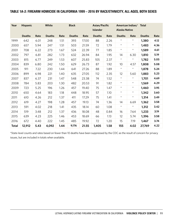## TABLE 1A-2: FIREARM HOMICIDE IN CALIFORNIA 1999 – 2016 BY RACE/ETHNICITY, ALL AGES, BOTH SEXES

| Year         | <b>Hispanic</b> |      | White         |      | <b>Black</b>  |       | Asian/Pacific<br><b>Islander</b> |      | <b>Alaska Native</b> | American Indian/ Total |               |      |
|--------------|-----------------|------|---------------|------|---------------|-------|----------------------------------|------|----------------------|------------------------|---------------|------|
|              | <b>Deaths</b>   | Rate | <b>Deaths</b> | Rate | <b>Deaths</b> | Rate  | <b>Deaths</b>                    | Rate | <b>Deaths</b>        | Rate                   | <b>Deaths</b> | Rate |
| 1999         | 642             | 6.01 | 248           | 1.51 | 393           | 17.00 | 88                               | 2.26 | $\star$              | $\star$                | 1,380         | 4.12 |
| 2000         | 657             | 5.94 | 247           | 1.51 | 503           | 21.59 | 72                               | 1.79 | $\star$              | $\star$                | 1,483         | 4.36 |
| 2001         | 708             | 6.22 | 273           | 1.67 | 524           | 22.39 | 77                               | 1.85 | $\star$              | $\star$                | 1,589         | 4.61 |
| 2002         | 797             | 6.81 | 282           | 1.73 | 632           | 26.94 | 84                               | 1.95 | 14                   | 6.30                   | 1,810         | 5.19 |
| 2003         | 815             | 6.77 | 249           | 1.53 | 607           | 25.83 | 105                              | 2.37 | $\star$              | $\star$                | 1,782         | 5.05 |
| 2004         | 839             | 6.80 | 242           | 1.50 | 629           | 26.73 | 87                               | 1.92 | 10                   | 4.57                   | 1,808         | 5.08 |
| 2005         | 911             | 7.22 | 230           | 1.44 | 641           | 27.26 | 88                               | 1.89 | $\star$              | $\star$                | 1,878         | 5.24 |
| 2006         | 899             | 6.98 | 221           | 1.40 | 635           | 27.05 | 112                              | 2.35 | 12                   | 5.60                   | 1,883         | 5.23 |
| 2007         | 837             | 6.37 | 231           | 1.47 | 548           | 23.38 | 74                               | 1.52 | $\star$              | $\star$                | 1,701         | 4.69 |
| 2008         | 784             | 5.83 | 203           | 1.30 | 482           | 20.53 | 91                               | 1.82 | $\star$              | $\star$                | 1,569         | 4.29 |
| 2009         | 723             | 5.25 | 196           | 1.26 | 457           | 19.40 | 75                               | 1.47 | $\star$              | $^{\star}$             | 1,460         | 3.95 |
| 2010         | 650             | 4.64 | 183           | 1.18 | 448           | 18.95 | 57                               | 1.10 | $\star$              | $\star$                | 1,342         | 3.60 |
| 2011         | 610             | 4.26 | 212           | 1.37 | 411           | 17.29 | 75                               | 1.41 | $\star$              | $\star$                | 1,314         | 3.49 |
| 2012         | 619             | 4.27 | 198           | 1.28 | 457           | 19.13 | 74                               | 1.36 | 14                   | 6.69                   | 1,362         | 3.58 |
| 2013         | 591             | 4.02 | 218           | 1.41 | 435           | 18.14 | 60                               | 1.08 | $\star$              | $\star$                | 1,312         | 3.42 |
| 2014         | 519             | 3.48 | 212           | 1.37 | 436           | 18.08 | 48                               | 0.84 | 16                   | 7.64                   | 1,233         | 3.19 |
| 2015         | 639             | 4.23 | 225           | 1.46 | 453           | 18.69 | 66                               | 1.13 | 12                   | 5.74                   | 1,396         | 3.58 |
| 2016         | 672             | 4.40 | 222           | 1.45 | 485           | 19.92 | 72                               | 1.20 | 15                   | 7.19                   | 1,467         | 3.74 |
| <b>Total</b> | 12,912          | 5.43 | 4,092         | 1.44 | 9,176         | 21.55 | 1,405                            | 1.58 | 155                  | 4.02                   | 27,769        | 4.22 |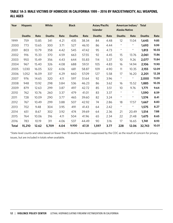## TABLE 1A-3: MALE VICTIMS OF HOMICIDE IN CALIFORNIA 1999 – 2016 BY RACE/ETHNICITY, ALL WEAPONS, ALL AGES

| Year         | <b>Hispanic</b> |       | White         |      | <b>Black</b>  |       | Asian/Pacific<br><b>Islander</b> |      | <b>Alaska Native</b> | American Indian/ Total |               |       |
|--------------|-----------------|-------|---------------|------|---------------|-------|----------------------------------|------|----------------------|------------------------|---------------|-------|
|              | <b>Deaths</b>   | Rate  | <b>Deaths</b> | Rate | <b>Deaths</b> | Rate  | <b>Deaths</b>                    | Rate | <b>Deaths</b>        | Rate                   | <b>Deaths</b> | Rate  |
| 1999         | 759             | 13.85 | 341           | 4.21 | 435           | 38.34 | 84                               | 4.48 | 12                   | 11.04                  | 1,645         | 9.85  |
| 2000         | 773             | 13.65 | 300           | 3.71 | 527           | 46.10 | 86                               | 4.44 | $\star$              | $\star$                | 1,693         | 9.99  |
| 2001         | 803             | 13.79 | 358           | 4.42 | 545           | 47.42 | 95                               | 4.73 | $\star$              | $\star$                | 1,813         | 10.55 |
| 2002         | 916             | 15.33 | 370           | 4.59 | 663           | 57.55 | 92                               | 4.45 | 15                   | 13.76                  | 2,061         | 11.86 |
| 2003         | 950             | 15.49 | 356           | 4.43 | 644           | 55.83 | 114                              | 5.37 | 10                   | 9.26                   | 2,077         | 11.84 |
| 2004         | 967             | 15.40 | 326           | 4.08 | 688           | 59.51 | 105                              | 4.83 | 16                   | 14.94                  | 2,106         | 11.90 |
| 2005         | 1,030           | 16.05 | 322           | 4.06 | 681           | 58.87 | 109                              | 4.90 | 11                   | 10.35                  | 2,155         | 12.09 |
| 2006         | 1,052           | 16.09 | 337           | 4.29 | 660           | 57.09 | 127                              | 5.58 | 17                   | 16.20                  | 2,201         | 12.28 |
| 2007         | 976             | 14.65 | 320           | 4.11 | 597           | 51.64 | 92                               | 3.96 | $\star$              | $\star$                | 2,000         | 11.09 |
| 2008         | 948             | 13.92 | 298           | 3.84 | 536           | 46.23 | 86                               | 3.62 | 16                   | 15.52                  | 1,885         | 10.35 |
| 2009         | 879             | 12.63 | 299           | 3.87 | 497           | 42.72 | 85                               | 3.51 | 10                   | 9.76                   | 1,771         | 9.64  |
| 2010         | 762             | 10.76 | 260           | 3.37 | 479           | 41.01 | 83                               | 3.37 | $\star$              | $\star$                | 1,590         | 8.59  |
| 2011         | 728             | 10.09 | 290           | 3.77 | 465           | 39.60 | 82                               | 3.24 | $\star$              | $\star$                | 1,574         | 8.41  |
| 2012         | 767             | 10.49 | 299           | 3.88 | 507           | 42.92 | 74                               | 2.86 | 18                   | 17.57                  | 1,667         | 8.83  |
| 2013         | 702             | 9.48  | 304           | 3.95 | 491           | 41.43 | 64                               | 2.42 | $\star$              | $\star$                | 1,575         | 8.27  |
| 2014         | 651             | 8.67  | 302           | 3.92 | 474           | 39.69 | 64                               | 2.36 | 21                   | 20.49                  | 1,514         | 7.88  |
| 2015         | 764             | 10.06 | 316           | 4.11 | 504           | 41.96 | 65                               | 2.34 | 22                   | 21.48                  | 1,675         | 8.65  |
| 2016         | 783             | 10.19 | 311           | 4.06 | 537           | 44.49 | 90                               | 3.16 | 17                   | 16.65                  | 1,741         | 8.93  |
| <b>Total</b> | 15,210          | 12.62 | 5,709         | 4.04 | 9,930         | 47.31 | 1,597                            | 3.77 | 228                  | 12.06                  | 32,743        | 10.01 |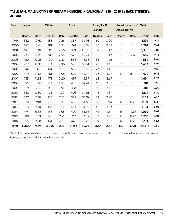## TABLE 1A-4: MALE VICTIMS OF FIREARM HOMICIDE IN CALIFORNIA 1999 – 2016 BY RACE/ETHNICITY, ALL AGES

| Year         | <b>Hispanic</b> |       | White         |      | <b>Black</b>  |       | Asian/Pacific<br><b>Islander</b> |      | <b>Alaska Native</b> | American Indian/ Total |               |      |
|--------------|-----------------|-------|---------------|------|---------------|-------|----------------------------------|------|----------------------|------------------------|---------------|------|
|              | <b>Deaths</b>   | Rate  | <b>Deaths</b> | Rate | <b>Deaths</b> | Rate  | <b>Deaths</b>                    | Rate | <b>Deaths</b>        | Rate                   | <b>Deaths</b> | Rate |
| 1999         | 582             | 10.62 | 183           | 2.26 | 357           | 31.46 | 60                               | 3.20 | $\star$              | $\star$                | 1,191         | 7.13 |
| 2000         | 591             | 10.44 | 181           | 2.24 | 461           | 40.33 | 56                               | 2.89 | $\star$              | $\star$                | 1,292         | 7.62 |
| 2001         | 641             | 11.01 | 207           | 2.56 | 471           | 40.98 | 64                               | 3.19 | $\star$              | $\star$                | 1,390         | 8.09 |
| 2002         | 734             | 12.28 | 205           | 2.54 | 573           | 49.74 | 66                               | 3.19 | 10                   | 9.17                   | 1,589         | 9.15 |
| 2003         | 750             | 12.23 | 190           | 2.37 | 558           | 48.38 | 85                               | 4.01 | $\star$              | $\star$                | 1,589         | 9.06 |
| 2004         | 777             | 12.37 | 184           | 2.30 | 590           | 51.04 | 75                               | 3.45 | $\star$              | $\star$                | 1,634         | 9.23 |
| 2005         | 846             | 13.18 | 174           | 2.19 | 597           | 51.61 | 77                               | 3.46 | $\star$              | $\star$                | 1,700         | 9.53 |
| 2006         | 829             | 12.68 | 161           | 2.05 | 570           | 49.30 | 97                               | 4.26 | 12                   | 11.44                  | 1,672         | 9.33 |
| 2007         | 755             | 11.33 | 171           | 2.20 | 497           | 42.99 | 62                               | 2.67 | $\star$              | $\star$                | 1,494         | 8.28 |
| 2008         | 721             | 10.58 | 146           | 1.88 | 438           | 37.78 | 68                               | 2.86 | $\star$              | $\star$                | 1,381         | 7.58 |
| 2009         | 669             | 9.61  | 148           | 1.91 | 418           | 35.93 | 60                               | 2.48 | $\star$              | $\star$                | 1,301         | 7.08 |
| 2010         | 588             | 8.30  | 131           | 1.70 | 403           | 34.51 | 46                               | 1.87 | $\star$              | $\star$                | 1,171         | 6.32 |
| 2011         | 547             | 7.58  | 155           | 2.01 | 378           | 32.19 | 58                               | 2.30 | $\star$              | $\star$                | 1,142         | 6.10 |
| 2012         | 578             | 7.90  | 150           | 1.95 | 409           | 34.63 | 50                               | 1.94 | 12                   | 11.72                  | 1,199         | 6.35 |
| 2013         | 533             | 7.20  | 167           | 2.17 | 404           | 34.09 | 43                               | 1.62 | $\star$              | $\star$                | 1,154         | 6.06 |
| 2014         | 474             | 6.32  | 158           | 2.05 | 402           | 33.66 | 41                               | 1.51 | 13                   | 12.68                  | 1,090         | 5.67 |
| 2015         | 580             | 7.63  | 170           | 2.21 | 417           | 34.72 | 53                               | 1.91 | 12                   | 11.72                  | 1,233         | 6.37 |
| 2016         | 605             | 7.88  | 174           | 2.27 | 443           | 36.70 | 59                               | 2.07 | 12                   | 11.75                  | 1,294         | 6.64 |
| <b>Total</b> | 11,800          | 9.79  | 3,055         | 2.16 | 8,386         | 39.95 | 1,120                            | 2.64 | 132                  | 6.98                   | 24,516        | 7.50 |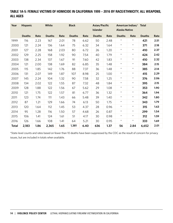## TABLE 1A-5: FEMALE VICTIMS OF HOMICIDE IN CALIFORNIA 1999 – 2016 BY RACE/ETHNICITY, ALL WEAPONS, ALL AGES

| Year         | <b>Hispanic</b> |      | White         |      | <b>Black</b>  |      | Asian/Pacific<br><b>Islander</b> |      | <b>Alaska Native</b> | American Indian/ Total |               |      |
|--------------|-----------------|------|---------------|------|---------------|------|----------------------------------|------|----------------------|------------------------|---------------|------|
|              | <b>Deaths</b>   | Rate | <b>Deaths</b> | Rate | <b>Deaths</b> | Rate | <b>Deaths</b>                    | Rate | <b>Deaths</b>        | Rate                   | <b>Deaths</b> | Rate |
| 1999         | 116             | 2.23 | 167           | 2.01 | 78            | 6.62 | 50                               | 2.48 | $\star$              | $^{\star}$             | 421           | 2.51 |
| 2000         | 121             | 2.24 | 136           | 1.64 | 75            | 6.32 | 34                               | 1.64 | $\star$              | $\star$                | 371           | 2.18 |
| 2001         | 127             | 2.28 | 168           | 2.03 | 80            | 6.72 | 26                               | 1.20 | $\star$              | $\star$                | 410           | 2.37 |
| 2002         | 129             | 2.25 | 158           | 1.92 | 90            | 7.54 | 40                               | 1.79 | $\star$              | $^{\star}$             | 424           | 2.42 |
| 2003         | 138             | 2.34 | 137           | 1.67 | 91            | 7.60 | 42                               | 1.83 | $\star$              | $^{\star}$             | 410           | 2.32 |
| 2004         | 121             | 2.00 | 138           | 1.69 | 82            | 6.85 | 35                               | 1.48 | $\star$              | $^{\star}$             | 384           | 2.15 |
| 2005         | 115             | 1.85 | 142           | 1.76 | 88            | 7.37 | 36                               | 1.48 | $\star$              | $\star$                | 385           | 2.14 |
| 2006         | 131             | 2.07 | 149           | 1.87 | 107           | 8.98 | 25                               | 1.00 | $\star$              | $^{\star}$             | 415           | 2.29 |
| 2007         | 145             | 2.24 | 104           | 1.32 | 90            | 7.58 | 32                               | 1.25 | $\star$              | $\star$                | 376           | 2.06 |
| 2008         | 134             | 2.02 | 122           | 1.55 | 87            | 7.32 | 48                               | 1.84 | $\star$              | $\star$                | 395           | 2.15 |
| 2009         | 128             | 1.88 | 122           | 1.56 | 67            | 5.62 | 29                               | 1.08 | $\star$              | $^{\star}$             | 353           | 1.90 |
| 2010         | 121             | 1.75 | 122           | 1.57 | 81            | 6.77 | 36                               | 1.32 | $\star$              | $\star$                | 364           | 1.94 |
| 2011         | 123             | 1.74 | 111           | 1.43 | 66            | 5.48 | 39                               | 1.40 | $\star$              | $\star$                | 342           | 1.80 |
| 2012         | 87              | 1.21 | 129           | 1.66 | 74            | 6.13 | 50                               | 1.75 | $\star$              | $^{\star}$             | 343           | 1.79 |
| 2013         | 120             | 1.64 | 112           | 1.45 | 53            | 4.37 | 28                               | 0.96 | $\star$              | $\star$                | 315           | 1.63 |
| 2014         | 95              | 1.28 | 116           | 1.50 | 57            | 4.68 | 26                               | 0.87 | $\star$              | $\star$                | 299           | 1.54 |
| 2015         | 106             | 1.41 | 124           | 1.61 | 51            | 4.17 | 30                               | 0.98 | $\star$              | $^{\star}$             | 312           | 1.59 |
| 2016         | 126             | 1.66 | 108           | 1.41 | 64            | 5.21 | 30                               | 0.95 | $\star$              | $\star$                | 333           | 1.69 |
| <b>Total</b> | 2,183           | 1.86 | 2,365         | 1.65 | 1,381         | 6.40 | 636                              | 1.37 | 56                   | 2.84                   | 6,652         | 2.01 |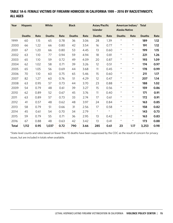## TABLE 1A-6: FEMALE VICTIMS OF FIREARM HOMICIDE IN CALIFORNIA 1999 – 2016 BY RACE/ETHNICITY, ALL AGES

| Year         | <b>Hispanic</b> |      | White         |      | <b>Black</b>  |      | Asian/Pacific<br><b>Islander</b> |         | <b>Alaska Native</b> | American Indian/ Total |               |      |
|--------------|-----------------|------|---------------|------|---------------|------|----------------------------------|---------|----------------------|------------------------|---------------|------|
|              | <b>Deaths</b>   | Rate | <b>Deaths</b> | Rate | <b>Deaths</b> | Rate | <b>Deaths</b>                    | Rate    | <b>Deaths</b>        | Rate                   | <b>Deaths</b> | Rate |
| 1999         | 60              | 1.15 | 65            | 0.78 | 36            | 3.06 | 28                               | 1.39    | $^\star$             | $^{\star}$             | 189           | 1.12 |
| 2000         | 66              | 1.22 | 66            | 0.80 | 42            | 3.54 | 16                               | 0.77    | $\star$              | $\star$                | 191           | 1.12 |
| 2001         | 67              | 1.20 | 66            | 0.80 | 53            | 4.45 | 13                               | 0.60    | $\star$              | $\star$                | 199           | 1.15 |
| 2002         | 63              | 1.10 | 77            | 0.94 | 59            | 4.94 | 18                               | 0.81    | $\star$              | $\star$                | 221           | 1.26 |
| 2003         | 65              | 1.10 | 59            | 0.72 | 49            | 4.09 | 20                               | 0.87    | $\star$              | $\star$                | 193           | 1.09 |
| 2004         | 62              | 1.02 | 58            | 0.71 | 39            | 3.26 | 12                               | 0.51    | $\star$              | $\star$                | 174           | 0.97 |
| 2005         | 65              | 1.05 | 56            | 0.69 | 44            | 3.68 | 11                               | 0.45    | $\star$              | $\star$                | 178           | 0.99 |
| 2006         | 70              | 1.10 | 60            | 0.75 | 65            | 5.46 | 15                               | 0.60    | $^{\star}$           | $^{\star}$             | 211           | 1.17 |
| 2007         | 82              | 1.27 | 60            | 0.76 | 51            | 4.29 | 12                               | 0.47    | $\star$              | $\star$                | 207           | 1.14 |
| 2008         | 63              | 0.95 | 57            | 0.73 | 44            | 3.70 | 23                               | 0.88    | $\star$              | $\star$                | 188           | 1.02 |
| 2009         | 54              | 0.79 | 48            | 0.61 | 39            | 3.27 | 15                               | 0.56    | $\star$              | $\star$                | 159           | 0.86 |
| 2010         | 62              | 0.89 | 52            | 0.67 | 45            | 3.76 | 11                               | 0.40    | $\star$              | $\star$                | 171           | 0.91 |
| 2011         | 63              | 0.89 | 57            | 0.73 | 33            | 2.74 | 17                               | 0.61    | $\star$              | $\star$                | 172           | 0.91 |
| 2012         | 41              | 0.57 | 48            | 0.62 | 48            | 3.97 | 24                               | 0.84    | $\star$              | $\star$                | 163           | 0.85 |
| 2013         | 58              | 0.79 | 51            | 0.66 | 31            | 2.56 | 17                               | 0.58    | $\star$              | $\star$                | 158           | 0.82 |
| 2014         | 45              | 0.61 | 54            | 0.70 | 34            | 2.79 | $\star$                          | $\star$ | $\star$              | $\star$                | 143           | 0.73 |
| 2015         | 59              | 0.79 | 55            | 0.71 | 36            | 2.95 | 13                               | 0.42    | $\star$              | $^{\star}$             | 163           | 0.83 |
| 2016         | 67              | 0.88 | 48            | 0.63 | 42            | 3.42 | 13                               | 0.41    | $\star$              | $\star$                | 173           | 0.88 |
| <b>Total</b> | 1,112           | 0.95 | 1,037         | 0.72 | 790           | 3.66 | 285                              | 0.61    | 23                   | 1.17                   | 3,253         | 0.98 |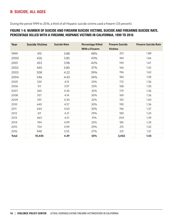# B: SUICIDE, ALL AGES

During the period 1999 to 2016, a third of all Hispanic suicide victims used a firearm (33 percent).

## FIGURE 1-6: NUMBER OF SUICIDE AND FIREARM SUICIDE VICTIMS, SUICIDE AND FIREARMS SUICIDE RATE, PERCENTAGE KILLED WITH A FIREARM, HISPANIC VICTIMS IN CALIFORNIA, 1999 TO 2016

| Year         | <b>Suicide Victims</b> | <b>Suicide Rate</b> | <b>Percentage Killed</b> | <b>Firearm Suicide</b> | <b>Firearm Suicide Rate</b> |
|--------------|------------------------|---------------------|--------------------------|------------------------|-----------------------------|
|              |                        |                     | With a Firearm           | <b>Victims</b>         |                             |
| 1999         | 415                    | 3.88                | 48%                      | 201                    | 1.88                        |
| 2000         | 426                    | 3.85                | 43%                      | 184                    | 1.66                        |
| 2001         | 453                    | 3.98                | 42%                      | 190                    | 1.67                        |
| 2002         | 445                    | 3.80                | 37%                      | 166                    | 1.42                        |
| 2003         | 508                    | 4.22                | 39%                      | 196                    | 1.63                        |
| 2004         | 546                    | 4.43                | 34%                      | 184                    | 1.49                        |
| 2005         | 524                    | 4.15                | 33%                      | 172                    | 1.36                        |
| 2006         | 511                    | 3.97                | 33%                      | 168                    | 1.30                        |
| 2007         | 565                    | 4.30                | 32%                      | 179                    | 1.36                        |
| 2008         | 557                    | 4.14                | 30%                      | 169                    | 1.26                        |
| 2009         | 591                    | 4.30                | 32%                      | 192                    | 1.40                        |
| 2010         | 640                    | 4.57                | 30%                      | 190                    | 1.36                        |
| 2011         | 644                    | 4.50                | 30%                      | 196                    | 1.37                        |
| 2012         | 611                    | 4.21                | 29%                      | 180                    | 1.24                        |
| 2013         | 663                    | 4.51                | 31%                      | 204                    | 1.39                        |
| 2014         | 744                    | 4.99                | 25%                      | 185                    | 1.24                        |
| 2015         | 754                    | 4.99                | 29%                      | 215                    | 1.42                        |
| 2016         | 848                    | 5.55                | 27%                      | 231                    | 1.51                        |
| <b>Total</b> | 10,445                 | 4.39                | 33%                      | 3,402                  | 1.43                        |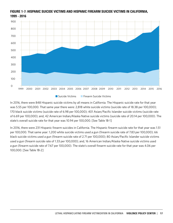

## FIGURE 1-7: HISPANIC SUICIDE VICTIMS AND HISPANIC FIREARM SUICIDE VICTIMS IN CALIFORNIA, 1999 - 2016

In 2016, there were 848 Hispanic suicide victims by all means in California. The Hispanic suicide rate for that year was 5.55 per 100,000. That same year there were: 2,818 white suicide victims (suicide rate of 18.38 per 100,000); 170 black suicide victims (suicide rate of 6.98 per 100,000); 401 Asian/Pacific Islander suicide victims (suicide rate of 6.69 per 100,000); and, 42 American Indian/Alaska Native suicide victims (suicide rate of 20.14 per 100,000). The state's overall suicide rate for that year was 10.94 per 100,000. [See Table 1B-1]

In 2016, there were 231 Hispanic firearm suicides in California. The Hispanic firearm suicide rate for that year was 1.51 per 100,000. That same year: 1,200 white suicide victims used a gun (firearm suicide rate of 7.83 per 100,000); 66 black suicide victims used a gun (firearm suicide rate of 2.71 per 100,000); 80 Asian/Pacific Islander suicide victims used a gun (firearm suicide rate of 1.33 per 100,000); and, 16 American Indian/Alaska Native suicide victims used a gun (firearm suicide rate of 7.67 per 100,000). The state's overall firearm suicide rate for that year was 4.06 per 100,000. [See Table 1B-2]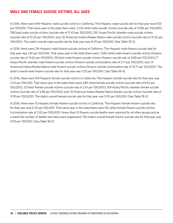# MALE AND FEMALE SUICIDE VICTIMS, ALL AGES

In 2016, there were 694 Hispanic male suicide victims in California. The Hispanic male suicide rate for that year was 9.03 per 100,000. That same year in the state there were: 2,133 white male suicide victims (suicide rate of 27.86 per 100,000); 138 black male suicide victims (suicide rate of 11.43 per 100,000); 292 Asian/Pacific Islander male suicide victims (suicide rate of 10.26 per 100,000); and, 32 American Indian/Alaska Native male suicide victims (suicide rate of 31.35 per 100,000). The state's overall male suicide rate for that year was 16.91 per 100,000. [See Table 1B-3]

In 2016, there were 216 Hispanic male firearm suicide victims in California. The Hispanic male firearm suicide rate for that year was 2.81 per 100,000. That same year in the state there were: 1,045 white male firearm suicide victims (firearm suicide rate of 13.65 per 100,000); 59 black male firearm suicide victims (firearm suicide rate of 4.89 per 100,000);77 Asian/Pacific Islander male firearm suicide victims (firearm suicide victimization rate of 2.71 per 100,000); and, 14 American Indian/Alaska Native male firearm suicide victims (firearm suicide victimization rate of 13.71 per 100,000). The state's overall male firearm suicide rate for that year was 7.25 per 100,000. [See Table 1B-4]

In 2016, there were 154 Hispanic female suicide victims in California. The Hispanic female suicide rate for that year was 2.03 per 100,000. That same year in the state there were: 685 white female suicide victims (suicide rate of 8.92 per 100,000); 32 black female suicide victims (suicide rate of 2.61 per 100,000); 109 Asian/Pacific Islander female suicide victims (suicide rate of 3.46 per 100,000); and, 10 American Indian/Alaska Native female suicide victims (suicide rate of 9.39 per 100,000). The state's overall female suicide rate for that year was 5.05 per 100,000. [See Table 1B-5]

In 2016, there were 15 Hispanic female firearm suicide victims in California. The Hispanic female firearm suicide rate for that year was 0.20 per 100,000. That same year in the state there were 155 white female firearm suicide victims (victimization rate of 2.02 per 100,000). Fewer than 10 firearm suicide deaths were reported for all other groups and as a result the number of deaths and rates were suppressed. The state's overall female firearm suicide rate for that year was 0.92 per 100,000. [See Table 1B-6]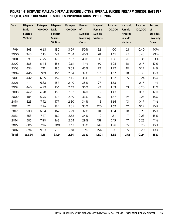FIGURE 1-8: HISPANIC MALE AND FEMALE SUICIDE VICTIMS, OVERALL SUICIDE, FIREARM SUICIDE, RATE PER 100,000, AND PERCENTAGE OF SUICIDES INVOLVING GUNS, 1999 TO 2016

| Year         | <b>Hispanic</b><br><b>Male</b><br><b>Suicide</b><br><b>Victims</b> | Rate per<br>100,000 | <b>Hispanic</b><br><b>Male</b><br><b>Firearm</b><br><b>Suicide</b><br><b>Victims</b> | Rate per<br>100,000 | Percent<br>of<br><b>Suicides</b><br>Involving<br><b>Guns</b> | <b>Hispanic</b><br>Female<br><b>Suicide</b><br><b>Victims</b> | Rate per<br>100,000 | <b>Hispanic</b><br>Female<br><b>Firearm</b><br><b>Suicide</b><br><b>Victims</b> | Rate per<br>100,000 | <b>Percent</b><br>of<br><b>Suicides</b><br><b>Involving</b><br><b>Guns</b> |
|--------------|--------------------------------------------------------------------|---------------------|--------------------------------------------------------------------------------------|---------------------|--------------------------------------------------------------|---------------------------------------------------------------|---------------------|---------------------------------------------------------------------------------|---------------------|----------------------------------------------------------------------------|
| 1999         | 363                                                                | 6.63                | 180                                                                                  | 3.29                | 50%                                                          | 52                                                            | 1.00                | 21                                                                              | 0.40                | 40%                                                                        |
| 2000         | 348                                                                | 6.15                | 161                                                                                  | 2.84                | 46%                                                          | 78                                                            | 1.45                | 23                                                                              | 0.43                | 29%                                                                        |
| 2001         | 393                                                                | 6.75                | 170                                                                                  | 2.92                | 43%                                                          | 60                                                            | 1.08                | 20                                                                              | 0.36                | 33%                                                                        |
| 2002         | 385                                                                | 6.44                | 156                                                                                  | 2.61                | 41%                                                          | 60                                                            | 1.05                | 10 <sup>°</sup>                                                                 | 0.17                | 17%                                                                        |
| 2003         | 436                                                                | 7.11                | 186                                                                                  | 3.03                | 43%                                                          | 72                                                            | 1.22                | 10                                                                              | 0.17                | 14%                                                                        |
| 2004         | 445                                                                | 7.09                | 166                                                                                  | 2.64                | 37%                                                          | 101                                                           | 1.67                | 18                                                                              | 0.30                | 18%                                                                        |
| 2005         | 442                                                                | 6.89                | 157                                                                                  | 2.45                | 36%                                                          | 82                                                            | 1.32                | 15                                                                              | 0.24                | 18%                                                                        |
| 2006         | 414                                                                | 6.33                | 157                                                                                  | 2.40                | 38%                                                          | 97                                                            | 1.53                | 11                                                                              | 0.17                | 11%                                                                        |
| 2007         | 466                                                                | 6.99                | 166                                                                                  | 2.49                | 36%                                                          | 99                                                            | 1.53                | 13                                                                              | 0.20                | 13%                                                                        |
| 2008         | 462                                                                | 6.78                | 158                                                                                  | 2.32                | 34%                                                          | 95                                                            | 1.43                | 11                                                                              | 0.17                | 12%                                                                        |
| 2009         | 484                                                                | 6.95                | 173                                                                                  | 2.49                | 36%                                                          | 107                                                           | 1.57                | 19                                                                              | 0.28                | 18%                                                                        |
| 2010         | 525                                                                | 7.42                | 177                                                                                  | 2.50                | 34%                                                          | 115                                                           | 1.66                | 13                                                                              | 0.19                | 11%                                                                        |
| 2011         | 524                                                                | 7.26                | 184                                                                                  | 2.55                | 35%                                                          | 120                                                           | 1.69                | 12                                                                              | 0.17                | 10%                                                                        |
| 2012         | 500                                                                | 6.84                | 162                                                                                  | 2.21                | 32%                                                          | 111                                                           | 1.54                | 18                                                                              | 0.25                | 16%                                                                        |
| 2013         | 553                                                                | 7.47                | 187                                                                                  | 2.52                | 34%                                                          | 110                                                           | 1.51                | 17                                                                              | 0.23                | 15%                                                                        |
| 2014         | 585                                                                | 7.80                | 168                                                                                  | 2.24                | 29%                                                          | 159                                                           | 2.15                | 17                                                                              | 0.23                | 11%                                                                        |
| 2015         | 605                                                                | 7.96                | 200                                                                                  | 2.63                | 33%                                                          | 149                                                           | 1.98                | 15                                                                              | 0.20                | 10%                                                                        |
| 2016         | 694                                                                | 9.03                | 216                                                                                  | 2.81                | 31%                                                          | 154                                                           | 2.03                | 15                                                                              | 0.20                | 10%                                                                        |
| <b>Total</b> | 8,624                                                              | 7.15                | 3,124                                                                                | 2.59                | 36%                                                          | 1,821                                                         | 1.55                | 278                                                                             | 0.24                | 15%                                                                        |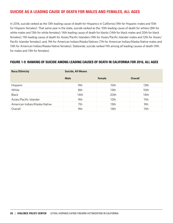# SUICIDE AS A LEADING CAUSE OF DEATH FOR MALES AND FEMALES, ALL AGES

In 2016, suicide ranked as the 13th leading cause of death for Hispanics in California (9th for Hispanic males and 15th for Hispanic females). That same year in the state, suicide ranked as the: 10th leading cause of death for whites (8th for white males and 13th for white females); 14th leading cause of death for blacks (14th for black males and 20th for black females); 11th leading cause of death for Asian/Pacific Islanders (9th for Asian/Pacific Islander males and 12th for Asian/ Pacific Islander females); and, 9th for American Indian/Alaska Natives (7th for American Indian/Alaska Native males and 13th for American Indian/Alaska Native females). Statewide, suicide ranked 11th among all leading causes of death (9th for males and 13th for females).

## FIGURE 1-9: RANKING OF SUICIDE AMONG LEADING CAUSES OF DEATH IN CALIFORNIA FOR 2016, ALL AGES

| Race/Ethnicity                | <b>Suicide, All Means</b> |               |         |  |  |  |  |
|-------------------------------|---------------------------|---------------|---------|--|--|--|--|
|                               | Male                      | <b>Female</b> | Overall |  |  |  |  |
| Hispanic                      | 9th                       | 15th          | 13th    |  |  |  |  |
| White                         | 8th                       | 13th          | 10th    |  |  |  |  |
| <b>Black</b>                  | 14th                      | 20th          | 14th    |  |  |  |  |
| Asian/Pacific Islander        | 9th                       | 12th          | 11th    |  |  |  |  |
| American Indian/Alaska Native | 7th                       | 13th          | 9th     |  |  |  |  |
| Overall                       | 9th                       | 13th          | 11th    |  |  |  |  |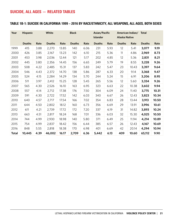## SUICIDE, ALL AGES — RELATED TABLES

## TABLE 1B-1: SUICIDE IN CALIFORNIA 1999 – 2016 BY RACE/ETHNICITY, ALL WEAPONS, ALL AGES, BOTH SEXES

| Year         | <b>Hispanic</b> |      | <b>White</b>  | <b>Black</b> |               | Asian/Pacific<br><b>Islander</b> |               | American Indian/ Total<br><b>Alaska Native</b> |               |       |               |       |
|--------------|-----------------|------|---------------|--------------|---------------|----------------------------------|---------------|------------------------------------------------|---------------|-------|---------------|-------|
|              | <b>Deaths</b>   | Rate | <b>Deaths</b> | Rate         | <b>Deaths</b> | Rate                             | <b>Deaths</b> | Rate                                           | <b>Deaths</b> | Rate  | <b>Deaths</b> | Rate  |
| 1999         | 415             | 3.88 | 2,270         | 13.85        | 140           | 6.06                             | 231           | 5.93                                           | 12            | 5.41  | 3,077         | 9.19  |
| 2000         | 426             | 3.85 | 2,167         | 13.23        | 142           | 6.10                             | 215           | 5.36                                           | 11            | 4.86  | 2,969         | 8.73  |
| 2001         | 453             | 3.98 | 2,036         | 12.44        | 121           | 5.17                             | 202           | 4.85                                           | 12            | 5.36  | 2,831         | 8.21  |
| 2002         | 445             | 3.80 | 2,356         | 14.45        | 156           | 6.65                             | 249           | 5.79                                           | 19            | 8.55  | 3,228         | 9.26  |
| 2003         | 508             | 4.22 | 2,485         | 15.31        | 137           | 5.83                             | 242           | 5.47                                           | 23            | 10.43 | 3,397         | 9.64  |
| 2004         | 546             | 4.43 | 2,372         | 14.70        | 138           | 5.86                             | 287           | 6.33                                           | 20            | 9.14  | 3,368         | 9.47  |
| 2005         | 524             | 4.15 | 2,284         | 14.29        | 134           | 5.70                             | 244           | 5.24                                           | 15            | 6.91  | 3,206         | 8.95  |
| 2006         | 511             | 3.97 | 2,412         | 15.25        | 128           | 5.45                             | 265           | 5.56                                           | 12            | 5.60  | 3,334         | 9.26  |
| 2007         | 565             | 4.30 | 2,526         | 16.10        | 163           | 6.95                             | 323           | 6.63                                           | 22            | 10.38 | 3,602         | 9.94  |
| 2008         | 557             | 4.14 | 2,712         | 17.38        | 176           | 7.50                             | 304           | 6.09                                           | 24            | 11.40 | 3,775         | 10.31 |
| 2009         | 591             | 4.30 | 2,722         | 17.52        | 142           | 6.03                             | 340           | 6.67                                           | 26            | 12.43 | 3,823         | 10.34 |
| 2010         | 640             | 4.57 | 2,717         | 17.54        | 166           | 7.02                             | 354           | 6.83                                           | 28            | 13.44 | 3,913         | 10.50 |
| 2011         | 644             | 4.50 | 2,802         | 18.12        | 160           | 6.73                             | 356           | 6.69                                           | 29            | 13.91 | 3,996         | 10.61 |
| 2012         | 611             | 4.21 | 2,739         | 17.72        | 172           | 7.20                             | 337           | 6.19                                           | 31            | 14.82 | 3,893         | 10.24 |
| 2013         | 663             | 4.51 | 2,817         | 18.24        | 168           | 7.01                             | 336           | 6.03                                           | 32            | 15.30 | 4,025         | 10.50 |
| 2014         | 744             | 4.99 | 2,930         | 18.98        | 140           | 5.80                             | 371           | 6.49                                           | 25            | 11.94 | 4,214         | 10.89 |
| 2015         | 754             | 4.99 | 2,837         | 18.42        | 156           | 6.44                             | 385           | 6.57                                           | 26            | 12.43 | 4,167         | 10.69 |
| 2016         | 848             | 5.55 | 2,818         | 18.38        | 170           | 6.98                             | 401           | 6.69                                           | 42            | 20.14 | 4,294         | 10.94 |
| <b>Total</b> | 10,445          | 4.39 | 46,002        | 16.17        | 2,709         | 6.36                             | 5,442         | 6.13                                           | 409           | 10.60 | 65,112        | 9.90  |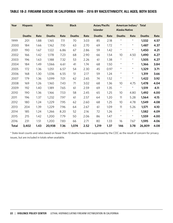## TABLE 1B-2: FIREARM SUICIDE IN CALIFORNIA 1999 – 2016 BY RACE/ETHNICITY, ALL AGES, BOTH SEXES

| Year         | <b>Hispanic</b> |      | White         |      | <b>Black</b>  |      | Asian/Pacific   | American Indian/ Total<br><b>Alaska Native</b> |               |            |               |      |
|--------------|-----------------|------|---------------|------|---------------|------|-----------------|------------------------------------------------|---------------|------------|---------------|------|
|              |                 |      |               |      |               |      | <b>Islander</b> |                                                |               |            |               |      |
|              | <b>Deaths</b>   | Rate | <b>Deaths</b> | Rate | <b>Deaths</b> | Rate | <b>Deaths</b>   | Rate                                           | <b>Deaths</b> | Rate       | <b>Deaths</b> | Rate |
| 1999         | 201             | 1.88 | 1,165         | 7.11 | 70            | 3.03 | 85              | 2.18                                           | $^\star$      | $^\star$   | 1,532         | 4.57 |
| 2000         | 184             | 1.66 | 1,162         | 7.10 | 63            | 2.70 | 69              | 1.72                                           | $\star$       | $\star$    | 1,487         | 4.37 |
| 2001         | 190             | 1.67 | 1,122         | 6.86 | 67            | 2.86 | 59              | 1.42                                           | $\star$       | $\star$    | 1,450         | 4.21 |
| 2002         | 166             | 1.42 | 1,178         | 7.23 | 68            | 2.90 | 66              | 1.54                                           | 10            | 4.50       | 1,490         | 4.27 |
| 2003         | 196             | 1.63 | 1,188         | 7.32 | 53            | 2.26 | 61              | 1.38                                           | $\star$       | $\star$    | 1,505         | 4.27 |
| 2004         | 184             | 1.49 | 1,066         | 6.61 | 41            | 1.74 | 68              | 1.50                                           | $\star$       | $^{\star}$ | 1,366         | 3.84 |
| 2005         | 172             | 1.36 | 1,051         | 6.57 | 54            | 2.30 | 45              | 0.97                                           | $\star$       | $\star$    | 1,329         | 3.71 |
| 2006         | 168             | 1.30 | 1,036         | 6.55 | 51            | 2.17 | 59              | 1.24                                           | $\star$       | $\star$    | 1,319         | 3.66 |
| 2007         | 179             | 1.36 | 1,099         | 7.01 | 62            | 2.65 | 74              | 1.52                                           | $\star$       | $\star$    | 1,422         | 3.92 |
| 2008         | 169             | 1.26 | 1,160         | 7.43 | 71            | 3.02 | 68              | 1.36                                           | 10            | 4.75       | 1,478         | 4.04 |
| 2009         | 192             | 1.40 | 1,189         | 7.65 | 61            | 2.59 | 69              | 1.35                                           | $\star$       | $\star$    | 1,519         | 4.11 |
| 2010         | 190             | 1.36 | 1,166         | 7.53 | 58            | 2.45 | 65              | 1.25                                           | 10            | 4.80       | 1,492         | 4.00 |
| 2011         | 196             | 1.37 | 1,232         | 7.97 | 61            | 2.57 | 64              | 1.20                                           | 11            | 5.28       | 1,564         | 4.15 |
| 2012         | 180             | 1.24 | 1,229         | 7.95 | 62            | 2.60 | 68              | 1.25                                           | 10            | 4.78       | 1,549         | 4.08 |
| 2013         | 204             | 1.39 | 1,229         | 7.96 | 64            | 2.67 | 61              | 1.09                                           | 11            | 5.26       | 1,571         | 4.10 |
| 2014         | 185             | 1.24 | 1,266         | 8.20 | 52            | 2.16 | 72              | 1.26                                           | $\star$       | $^{\star}$ | 1,582         | 4.09 |
| 2015         | 215             | 1.42 | 1,200         | 7.79 | 50            | 2.06 | 86              | 1.47                                           | $\star$       | $\star$    | 1,559         | 4.00 |
| 2016         | 231             | 1.51 | 1,200         | 7.83 | 66            | 2.71 | 80              | 1.33                                           | 16            | 7.67       | 1,595         | 4.06 |
| <b>Total</b> | 3,402           | 1.43 | 20,938        | 7.36 | 1,074         | 2.52 | 1,219           | 1.37                                           | 146           | 3.78       | 26,809        | 4.08 |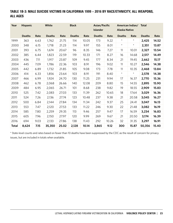## TABLE 1B-3: MALE SUICIDE VICTIMS IN CALIFORNIA 1999 – 2016 BY RACE/ETHNICITY, ALL WEAPONS, ALL AGES

| Year         | White<br><b>Hispanic</b> |      |               | <b>Black</b> |               | Asian/Pacific |                 |       | American Indian/ Total |            |               |       |
|--------------|--------------------------|------|---------------|--------------|---------------|---------------|-----------------|-------|------------------------|------------|---------------|-------|
|              |                          |      |               |              |               |               | <b>Islander</b> |       | <b>Alaska Native</b>   |            |               |       |
|              | <b>Deaths</b>            | Rate | <b>Deaths</b> | Rate         | <b>Deaths</b> | Rate          | <b>Deaths</b>   | Rate  | <b>Deaths</b>          | Rate       | <b>Deaths</b> | Rate  |
| 1999         | 363                      | 6.63 | 1,762         | 21.75        | 114           | 10.05         | 173             | 9.22  | $\star$                | $^{\star}$ | 2,425         | 14.52 |
| 2000         | 348                      | 6.15 | 1,718         | 21.23        | 114           | 9.97          | 155             | 8.01  | $\star$                | $\star$    | 2,351         | 13.87 |
| 2001         | 393                      | 6.75 | 1,674         | 20.67        | 96            | 8.35          | 146             | 7.27  | 11                     | 10.01      | 2,327         | 13.54 |
| 2002         | 385                      | 6.44 | 1,823         | 22.59        | 119           | 10.33         | 171             | 8.27  | 16                     | 14.68      | 2,517         | 14.49 |
| 2003         | 436                      | 7.11 | 1,917         | 23.87        | 109           | 9.45          | 177             | 8.34  | 21                     | 19.45      | 2,662         | 15.17 |
| 2004         | 445                      | 7.09 | 1,786         | 22.36        | 103           | 8.91          | 196             | 9.02  | 11                     | 10.27      | 2,546         | 14.38 |
| 2005         | 442                      | 6.89 | 1,732         | 21.85        | 105           | 9.08          | 173             | 7.78  | 11                     | 10.35      | 2,468         | 13.84 |
| 2006         | 414                      | 6.33 | 1,856         | 23.64        | 103           | 8.91          | 191             | 8.40  | $\star$                | $\star$    | 2,578         | 14.38 |
| 2007         | 466                      | 6.99 | 1,924         | 24.70        | 130           | 11.25         | 231             | 9.94  | 17                     | 16.37      | 2,770         | 15.36 |
| 2008         | 462                      | 6.78 | 2,068         | 26.66        | 140           | 12.08         | 209             | 8.80  | 15                     | 14.55      | 2,895         | 15.90 |
| 2009         | 484                      | 6.95 | 2,065         | 26.71        | 101           | 8.68          | 238             | 9.82  | 19                     | 18.55      | 2,909         | 15.83 |
| 2010         | 525                      | 7.42 | 2,083         | 27.03        | 133           | 11.39         | 262             | 10.65 | 18                     | 17.64      | 3,029         | 16.36 |
| 2011         | 524                      | 7.26 | 2,136         | 27.74        | 123           | 10.48         | 237             | 9.38  | 21                     | 20.58      | 3,045         | 16.27 |
| 2012         | 500                      | 6.84 | 2,144         | 27.84        | 134           | 11.34         | 242             | 9.37  | 25                     | 24.41      | 3,047         | 16.13 |
| 2013         | 553                      | 7.47 | 2,120         | 27.53        | 133           | 11.22         | 246             | 9.30  | 22                     | 21.48      | 3,082         | 16.19 |
| 2014         | 585                      | 7.80 | 2,259         | 29.35        | 113           | 9.46          | 257             | 9.47  | 17                     | 16.59      | 3,234         | 16.83 |
| 2015         | 605                      | 7.96 | 2,150         | 27.97        | 120           | 9.99          | 269             | 9.67  | 21                     | 20.50      | 3,174         | 16.39 |
| 2016         | 694                      | 9.03 | 2,133         | 27.86        | 138           | 11.43         | 292             | 10.26 | 32                     | 31.35      | 3,297         | 16.91 |
| <b>Total</b> | 8,624                    | 7.15 | 35,350        | 25.02        | 2,128         | 10.14         | 3,865           | 9.12  | 300                    | 15.87      | 50,356        | 15.40 |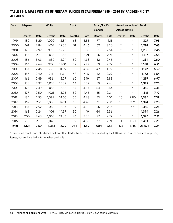## TABLE 1B-4: MALE VICTIMS OF FIREARM SUICIDE IN CALIFORNIA 1999 – 2016 BY RACE/ETHNICITY, ALL AGES

| Year         | <b>Hispanic</b> |      | White         |       | <b>Black</b>  |      | Asian/Pacific   |      |                      | American Indian/ Total |               |      |
|--------------|-----------------|------|---------------|-------|---------------|------|-----------------|------|----------------------|------------------------|---------------|------|
|              |                 |      |               |       |               |      | <b>Islander</b> |      | <b>Alaska Native</b> |                        |               |      |
|              | <b>Deaths</b>   | Rate | <b>Deaths</b> | Rate  | <b>Deaths</b> | Rate | <b>Deaths</b>   | Rate | <b>Deaths</b>        | Rate                   | <b>Deaths</b> | Rate |
| 1999         | 180             | 3.29 | 1,000         | 12.34 | 63            | 5.55 | 77              | 4.11 | $^\star$             | $^{\star}$             | 1,327         | 7.95 |
| 2000         | 161             | 2.84 | 1,016         | 12.55 | 51            | 4.46 | 62              | 3.20 | $\star$              | $\star$                | 1,297         | 7.65 |
| 2001         | 170             | 2.92 | 990           | 12.23 | 58            | 5.05 | 51              | 2.54 | $\star$              | $^{\star}$             | 1,280         | 7.45 |
| 2002         | 156             | 2.61 | 1,035         | 12.83 | 60            | 5.21 | 56              | 2.71 | $\star$              | $^{\star}$             | 1,317         | 7.58 |
| 2003         | 186             | 3.03 | 1,039         | 12.94 | 50            | 4.33 | 52              | 2.45 | $\star$              | $^{\star}$             | 1,334         | 7.60 |
| 2004         | 166             | 2.64 | 927           | 11.60 | 32            | 2.77 | 59              | 2.72 | $^{\star}$           | $^{\star}$             | 1,188         | 6.71 |
| 2005         | 157             | 2.45 | 916           | 11.55 | 50            | 4.32 | 42              | 1.89 | $\star$              | $\star$                | 1,172         | 6.57 |
| 2006         | 157             | 2.40 | 911           | 11.61 | 48            | 4.15 | 52              | 2.29 | $\star$              | $^{\star}$             | 1,172         | 6.54 |
| 2007         | 166             | 2.49 | 956           | 12.27 | 60            | 5.19 | 67              | 2.88 | $\star$              | $\star$                | 1,257         | 6.97 |
| 2008         | 158             | 2.32 | 1,033         | 13.32 | 64            | 5.52 | 59              | 2.48 | $^{\star}$           | $^{\star}$             | 1,322         | 7.26 |
| 2009         | 173             | 2.49 | 1,055         | 13.65 | 54            | 4.64 | 64              | 2.64 | $\star$              | $\star$                | 1,352         | 7.36 |
| 2010         | 177             | 2.50 | 1,021         | 13.25 | 52            | 4.45 | 55              | 2.24 | $\star$              | $^{\star}$             | 1,315         | 7.10 |
| 2011         | 184             | 2.55 | 1,082         | 14.05 | 55            | 4.68 | 53              | 2.10 | 10                   | 9.80                   | 1,384         | 7.39 |
| 2012         | 162             | 2.21 | 1,088         | 14.13 | 53            | 4.49 | 61              | 2.36 | 10                   | 9.76                   | 1,374         | 7.28 |
| 2013         | 187             | 2.52 | 1,068         | 13.87 | 59            | 4.98 | 56              | 2.12 | 10                   | 9.76                   | 1,382         | 7.26 |
| 2014         | 168             | 2.24 | 1,106         | 14.37 | 50            | 4.19 | 64              | 2.36 | $\star$              | $^{\star}$             | 1,394         | 7.26 |
| 2015         | 200             | 2.63 | 1,065         | 13.86 | 46            | 3.83 | 77              | 2.77 | $\star$              | $^{\star}$             | 1,396         | 7.21 |
| 2016         | 216             | 2.81 | 1,045         | 13.65 | 59            | 4.89 | 77              | 2.71 | 14                   | 13.71                  | 1,413         | 7.25 |
| <b>Total</b> | 3,124           | 2.59 | 18,353        | 12.99 | 964           | 4.59 | 1,084           | 2.56 | 122                  | 6.45                   | 23,676        | 7.24 |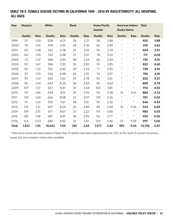## TABLE 1B-5: FEMALE SUICIDE VICTIMS IN CALIFORNIA 1999 – 2016 BY RACE/ETHNICITY, ALL WEAPONS, ALL AGES

| Year         | White<br><b>Hispanic</b> |      | <b>Black</b>  |      | Asian/Pacific<br><b>Islander</b> |      | American Indian/ Total<br><b>Alaska Native</b> |      |                 |         |               |      |
|--------------|--------------------------|------|---------------|------|----------------------------------|------|------------------------------------------------|------|-----------------|---------|---------------|------|
|              | <b>Deaths</b>            | Rate | <b>Deaths</b> | Rate | <b>Deaths</b>                    | Rate | <b>Deaths</b>                                  | Rate | <b>Deaths</b>   | Rate    | <b>Deaths</b> | Rate |
| 1999         | 52                       | 1.00 | 508           | 6.13 | 26                               | 2.21 | 58                                             | 2.88 | $\star$         | $\star$ | 652           | 3.88 |
| 2000         | 78                       | 1.45 | 449           | 5.42 | 28                               | 2.36 | 60                                             | 2.89 | $\star$         | $\star$ | 618           | 3.62 |
| 2001         | 60                       | 1.08 | 362           | 4.38 | 25                               | 2.10 | 56                                             | 2.59 | $\star$         | $\star$ | 504           | 2.91 |
| 2002         | 60                       | 1.05 | 533           | 6.48 | 37                               | 3.10 | 78                                             | 3.50 | $\star$         | $\star$ | 711           | 4.06 |
| 2003         | 72                       | 1.22 | 568           | 6.93 | 28                               | 2.34 | 65                                             | 2.83 | $\star$         | $\star$ | 735           | 4.15 |
| 2004         | 101                      | 1.67 | 586           | 7.20 | 35                               | 2.92 | 91                                             | 3.85 | $\star$         | $\star$ | 822           | 4.60 |
| 2005         | 82                       | 1.32 | 552           | 6.85 | 29                               | 2.43 | 71                                             | 2.92 | $\star$         | $\star$ | 738           | 4.10 |
| 2006         | 97                       | 1.53 | 556           | 6.98 | 25                               | 2.10 | 74                                             | 2.97 | $\star$         | $\star$ | 756           | 4.18 |
| 2007         | 99                       | 1.53 | 602           | 7.62 | 33                               | 2.78 | 92                                             | 3.61 | $\star$         | $\star$ | 832           | 4.57 |
| 2008         | 95                       | 1.43 | 644           | 8.20 | 36                               | 3.03 | 95                                             | 3.63 | $\star$         | $\star$ | 880           | 4.78 |
| 2009         | 107                      | 1.57 | 657           | 8.41 | 41                               | 3.44 | 102                                            | 3.81 | $\star$         | $\star$ | 914           | 4.92 |
| 2010         | 115                      | 1.66 | 634           | 8.15 | 33                               | 2.76 | 92                                             | 3.38 | 10 <sup>°</sup> | 9.41    | 884           | 4.72 |
| 2011         | 120                      | 1.69 | 666           | 8.58 | 37                               | 3.07 | 119                                            | 4.26 | $\star$         | $\star$ | 951           | 5.02 |
| 2012         | 111                      | 1.54 | 595           | 7.67 | 38                               | 3.15 | 95                                             | 3.32 | $\star$         | $\star$ | 846           | 4.42 |
| 2013         | 110                      | 1.51 | 697           | 9.00 | 35                               | 2.89 | 90                                             | 3.08 | 10              | 9.36    | 943           | 4.89 |
| 2014         | 159                      | 2.15 | 671           | 8.67 | 27                               | 2.22 | 114                                            | 3.80 | $\star$         | $\star$ | 980           | 5.03 |
| 2015         | 149                      | 1.98 | 687           | 8.91 | 36                               | 2.95 | 116                                            | 3.77 | $\star$         | $\star$ | 993           | 5.06 |
| 2016         | 154                      | 2.03 | 685           | 8.92 | 32                               | 2.61 | 109                                            | 3.46 | 10              | 9.39    | 997           | 5.05 |
| <b>Total</b> | 1,821                    | 1.55 | 10,652        | 7.44 | 581                              | 2.69 | 1,577                                          | 3.40 | 109             | 5.54    | 14,756        | 4.47 |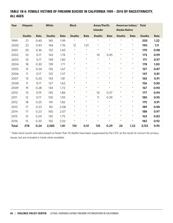## TABLE 1B-6: FEMALE VICTIMS OF FIREARM SUICIDE IN CALIFORNIA 1999 – 2016 BY RACE/ETHNICITY, ALL AGES

| Year         | <b>Hispanic</b> |      | White         | <b>Black</b> |               |         | Asian/Pacific<br><b>Islander</b> |            | American Indian/<br><b>Alaska Native</b> |         | <b>Total</b>  |      |
|--------------|-----------------|------|---------------|--------------|---------------|---------|----------------------------------|------------|------------------------------------------|---------|---------------|------|
|              | <b>Deaths</b>   | Rate | <b>Deaths</b> | Rate         | <b>Deaths</b> | Rate    | <b>Deaths</b>                    | Rate       | <b>Deaths</b>                            | Rate    | <b>Deaths</b> | Rate |
| 1999         | 21              | 0.40 | 165           | 1.99         | $\star$       | $\star$ | $\star$                          | $\star$    | $\star$                                  | $\star$ | 205           | 1.22 |
| 2000         | 23              | 0.43 | 146           | 1.76         | 12            | 1.01    | $\star$                          | $\star$    | $\star$                                  | $\star$ | 190           | 1.11 |
| 2001         | 20              | 0.36 | 132           | 1.60         | $\star$       | $\star$ | $\star$                          | $\star$    | $\star$                                  | $\star$ | 170           | 0.98 |
| 2002         | 10              | 0.17 | 143           | 1.74         | $\star$       | $\star$ | 10                               | 0.45       | $\star$                                  | $\star$ | 173           | 0.99 |
| 2003         | 10 <sup>°</sup> | 0.17 | 149           | 1.82         | $\star$       | $\star$ | $\star$                          | $\star$    | $\star$                                  | $\star$ | 171           | 0.97 |
| 2004         | 18              | 0.30 | 139           | 1.71         | $\star$       | $\star$ | $\star$                          | $\star$    | $\star$                                  | $\star$ | 178           | 1.00 |
| 2005         | 15              | 0.24 | 135           | 1.67         | $\star$       | $\star$ | $\star$                          | $^{\star}$ | $\star$                                  | $\star$ | 157           | 0.87 |
| 2006         | 11              | 0.17 | 125           | 1.57         | $\star$       | $\star$ | $\star$                          | $\star$    | $\star$                                  | $\star$ | 147           | 0.81 |
| 2007         | 13              | 0.20 | 143           | 1.81         | $\star$       | $\star$ | $\star$                          | $\star$    | $\star$                                  | $\star$ | 165           | 0.91 |
| 2008         | 11              | 0.17 | 127           | 1.62         | $\star$       | $\star$ | $\star$                          | $\star$    | $\star$                                  | $\star$ | 156           | 0.85 |
| 2009         | 19              | 0.28 | 134           | 1.72         | $\star$       | $\star$ | $\star$                          | $^{\star}$ | $\star$                                  | $\star$ | 167           | 0.90 |
| 2010         | 13              | 0.19 | 145           | 1.86         | $\star$       | $\star$ | 10                               | 0.37       | $\star$                                  | $\star$ | 177           | 0.94 |
| 2011         | 12              | 0.17 | 150           | 1.93         | $\star$       | $\star$ | 11                               | 0.39       | $\star$                                  | $\star$ | 180           | 0.95 |
| 2012         | 18              | 0.25 | 141           | 1.82         | $\star$       | $\star$ | $\star$                          | $^{\star}$ | $\star$                                  | $\star$ | 175           | 0.91 |
| 2013         | 17              | 0.23 | 161           | 2.08         | $\star$       | $\star$ | $\star$                          | $^{\star}$ | $\star$                                  | $\star$ | 189           | 0.98 |
| 2014         | 17              | 0.23 | 160           | 2.07         | $\star$       | $\star$ | $\star$                          | $\star$    | $\star$                                  | $\star$ | 188           | 0.97 |
| 2015         | 15              | 0.20 | 135           | 1.75         | $\star$       | $\star$ | $\star$                          | $^{\star}$ | $\star$                                  | $\star$ | 163           | 0.83 |
| 2016         | 15              | 0.20 | 155           | 2.02         | $\star$       | $\star$ | $\star$                          | $\star$    | $\star$                                  | $\star$ | 182           | 0.92 |
| <b>Total</b> | 278             | 0.24 | 2,585         | 1.81         | 110           | 0.51    | 135                              | 0.29       | 24                                       | 1.22    | 3,133         | 0.95 |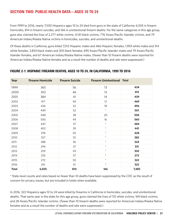# SECTION TWO: PUBLIC HEALTH DATA—AGES 10 TO 24

From 1999 to 2016, nearly 7,500 Hispanics ages 10 to 24 died from guns in the state of California: 6,505 in firearm homicides, 814 in firearm suicides, and 166 in unintentional firearm deaths. For the same categories in this age group, guns also claimed the lives of 2,277 white victims, 4,141 black victims, 776 Asian/Pacific Islander victims, and 79 American Indian/Alaska Native victims in homicides, suicides, and unintentional deaths.

Of these deaths in California, guns killed 7,012 Hispanic males and 466 Hispanic females, 1,959 white males and 314 white females, 3,833 black males and 305 black females, 695 Asian/Pacific Islander males and 79 Asian/Pacific Islander females, and 67 American Indian/Alaska Native males. (Fewer than 10 firearm deaths were reported for American Indian/Alaska Native females and as a result the number of deaths and rate were suppressed.)

| Year         | <b>Firearm Homicide</b> | <b>Firearm Suicide</b> | <b>Firearm Unintentional Total</b> |       |
|--------------|-------------------------|------------------------|------------------------------------|-------|
| 1999         | 365                     | 56                     | 13                                 | 434   |
| 2000         | 353                     | 46                     | 13                                 | 412   |
| 2001         | 384                     | 41                     | 14                                 | 439   |
| 2002         | 417                     | 40                     | 12                                 | 469   |
| 2003         | 426                     | 52                     | 18                                 | 496   |
| 2004         | 449                     | 52                     | $\star$                            | 501   |
| 2005         | 448                     | 38                     | 20                                 | 506   |
| 2006         | 500                     | 44                     | 16                                 | 560   |
| 2007         | 447                     | 37                     | $\star$                            | 484   |
| 2008         | 402                     | 39                     | $\star$                            | 441   |
| 2009         | 378                     | 50                     | $\star$                            | 428   |
| 2010         | 327                     | 55                     | $\star$                            | 382   |
| 2011         | 288                     | 36                     | $\star$                            | 324   |
| 2012         | 294                     | 37                     | $\star$                            | 331   |
| 2013         | 259                     | 43                     | $\star$                            | 302   |
| 2014         | 235                     | 37                     | $\star$                            | 272   |
| 2015         | 272                     | 50                     | $\star$                            | 322   |
| 2016         | 261                     | 61                     | $\star$                            | 322   |
| <b>Total</b> | 6,505                   | 814                    | 166                                | 7,485 |

## FIGURE 2-1: HISPANIC FIREARM DEATHS, AGES 10 TO 24, IN CALIFORNIA, 1999 TO 2016

\* State-level counts and rates based on fewer than 10 deaths have been suppressed by the CDC as the result of concern for privacy issues, but are included in totals when available.

In 2016, 322 Hispanics ages 10 to 24 were killed by firearms in California in homicides, suicides, and unintentional deaths. That same year in the state for this age group, guns claimed the lives of 110 white victims, 169 black victims, and 28 Asian/Pacific Islander victims. (Fewer than 10 firearm deaths were reported for American Indian/Alaska Native females and as a result the number of deaths and rate were suppressed.)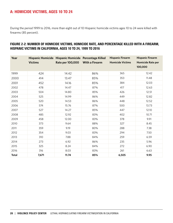# A: HOMICIDE VICTIMS, AGES 10 TO 24

During the period 1999 to 2016, more than eight out of 10 Hispanic homicide victims ages 10 to 24 were killed with firearms (85 percent).

## FIGURE 2-2: NUMBER OF HOMICIDE VICTIMS, HOMICIDE RATE, AND PERCENTAGE KILLED WITH A FIREARM, HISPANIC VICTIMS IN CALIFORNIA, AGES 10 TO 24, 1999 TO 2016

| Year         | <b>Victims</b> | Hispanic Homicide Hispanic Homicide Percentage Killed<br>Rate per 100,000 | <b>With a Firearm</b> | <b>Hispanic Firearm</b><br><b>Homicide Victims</b> | <b>Hispanic Firearm</b><br><b>Homicide Rate per</b><br>100,000 |
|--------------|----------------|---------------------------------------------------------------------------|-----------------------|----------------------------------------------------|----------------------------------------------------------------|
| 1999         | 424            | 14.42                                                                     | 86%                   | 365                                                | 12.42                                                          |
| 2000         | 414            | 13.47                                                                     | 85%                   | 353                                                | 11.48                                                          |
| 2001         | 452            | 14.16                                                                     | 85%                   | 384                                                | 12.03                                                          |
| 2002         | 478            | 14.47                                                                     | 87%                   | 417                                                | 12.63                                                          |
| 2003         | 504            | 14.80                                                                     | 85%                   | 426                                                | 12.51                                                          |
| 2004         | 525            | 14.99                                                                     | 86%                   | 449                                                | 12.82                                                          |
| 2005         | 520            | 14.53                                                                     | 86%                   | 448                                                | 12.52                                                          |
| 2006         | 574            | 15.76                                                                     | 87%                   | 500                                                | 13.73                                                          |
| 2007         | 527            | 14.27                                                                     | 85%                   | 447                                                | 12.10                                                          |
| 2008         | 485            | 12.92                                                                     | 83%                   | 402                                                | 10.71                                                          |
| 2009         | 458            | 12.00                                                                     | 83%                   | 378                                                | 9.91                                                           |
| 2010         | 373            | 9.64                                                                      | 88%                   | 327                                                | 8.45                                                           |
| 2011         | 359            | 9.19                                                                      | 80%                   | 288                                                | 7.38                                                           |
| 2012         | 354            | 9.03                                                                      | 83%                   | 294                                                | 7.50                                                           |
| 2013         | 310            | 7.88                                                                      | 84%                   | 259                                                | 6.59                                                           |
| 2014         | 273            | 6.92                                                                      | 86%                   | 235                                                | 5.96                                                           |
| 2015         | 325            | 8.24                                                                      | 84%                   | 272                                                | 6.90                                                           |
| 2016         | 316            | 8.03                                                                      | 83%                   | 261                                                | 6.63                                                           |
| <b>Total</b> | 7,671          | 11.74                                                                     | 85%                   | 6,505                                              | 9.95                                                           |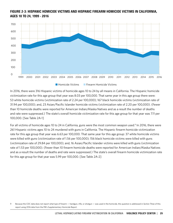

# FIGURE 2-3: HISPANIC HOMICIDE VICTIMS AND HISPANIC FIREARM HOMICIDE VICTIMS IN CALIFORNIA, AGES 10 TO 24, 1999 - 2016

In 2016, there were 316 Hispanic victims of homicide ages 10 to 24 by all means in California. The Hispanic homicide victimization rate for this age group that year was 8.03 per 100,000. That same year in this age group there were: 53 white homicide victims (victimization rate of 2.24 per 100,000); 167 black homicide victims (victimization rate of 31.94 per 100,000); and, 23 Asian/Pacific Islander homicide victims (victimization rate of 2.20 per 100,000). (Fewer than 10 homicide deaths were reported for American Indian/Alaska Natives and as a result the number of deaths and rate were suppressed.) The state's overall homicide victimization rate for this age group for that year was 7.11 per 100,000. [See Table 2A-1]

For all victims of homicide ages 10 to 24 in California, guns were the most common weapon used.<sup>9</sup> In 2016, there were 261 Hispanic victims ages 10 to 24 murdered with guns in California. The Hispanic firearm homicide victimization rate for this age group that year was 6.63 per 100,000. That same year for this age group: 37 white homicide victims were killed with guns (victimization rate of 1.56 per 100,000); 156 black homicide victims were killed with guns (victimization rate of 29.84 per 100,000); and, 16 Asian/Pacific Islander victims were killed with guns (victimization rate of 1.53 per 100,000). (Fewer than 10 firearm homicide deaths were reported for American Indian/Alaska Natives and as a result the number of deaths and rate were suppressed.) The state's overall firearm homicide victimization rate for this age group for that year was 5.99 per 100,000. [See Table 2A-2]

<sup>9</sup> Because the CDC data does not report what *type* of firearm — handgun, rifle, or shotgun — was used in the homicide, this question is addressed in *Section Three* of this report using 2016 data from the FBI's Supplementary Homicide Report.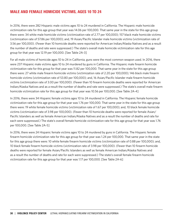# MALE AND FEMALE HOMICIDE VICTIMS, AGES 10 TO 24

In 2016, there were 282 Hispanic male victims ages 10 to 24 murdered in California. The Hispanic male homicide victimization rate for this age group that year was 14.06 per 100,000. That same year in the state for this age group there were: 34 white male homicide victims (victimization rate of 2.77 per 100,000); 157 black male homicide victims (victimization rate of 57.86 per 100,000); and, 19 Asian/Pacific Islander male homicide victims (victimization rate of 3.56 per 100,000). (Fewer than 10 homicide deaths were reported for American Indian/Alaska Natives and as a result the number of deaths and rate were suppressed.) The state's overall male homicide victimization rate for this age group for that year was 12.19 per 100,000. [See Table 2A-3]

For all male victims of homicide ages 10 to 24 in California, guns were the most common weapon used. In 2016, there were 237 Hispanic male victims ages 10 to 24 murdered by guns in California. The Hispanic male firearm homicide victimization rate for this group for that year was 11.82 per 100,000. That same year in the state for this age group there were: 27 white male firearm homicide victims (victimization rate of 2.20 per 100,000); 146 black male firearm homicide victims (victimization rate of 53.80 per 100,000); and, 16 Asian/Pacific Islander male firearm homicide victims (victimization rate of 3.00 per 100,000). (Fewer than 10 firearm homicide deaths were reported for American Indian/Alaska Natives and as a result the number of deaths and rate were suppressed.) The state's overall male firearm homicide victimization rate for this age group for that year was 10.56 per 100,000. [See Table 2A-4]

In 2016, there were 34 Hispanic female victims ages 10 to 24 murdered in California. The Hispanic female homicide victimization rate for this age group for that year was 1.76 per 100,000. That same year in the state for this age group there were: 19 white female homicide victims (victimization rate of 1.67 per 100,000); and, 10 black female homicide victims (victimization rate of 3.98 per 100,000). (Fewer than 10 homicide deaths were reported for female Asian/ Pacific Islanders as well as female American Indian/Alaska Natives and as a result the number of deaths and rate for each were suppressed.) The state's overall female homicide victimization rate for this age group for that year was 1.76 per 100,000. [See Table 2A-5]

In 2016, there were 24 Hispanic female victims ages 10 to 24 murdered by guns in California. The Hispanic female firearm homicide victimization rate for this age group for that year was 1.24 per 100,000. That same year in the state for this age group there were: 10 white female firearm homicide victims (victimization rate of 0.88 per 100,000); and, 10 black female firearm homicide victims (victimization rate of 3.98 per 100,000). (Fewer than 10 firearm homicide deaths were reported for female Asian/Pacific Islanders as well as female American Indian/Alaska Natives and as a result the number of deaths and rate for each were suppressed.) The state's overall female firearm homicide victimization rate for this age group for that year was 1.17 per 100,000. [See Table 2A-6]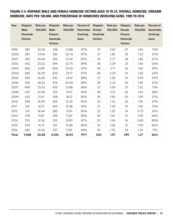## FIGURE 2-4: HISPANIC MALE AND FEMALE HOMICIDE VICTIMS AGES 10 TO 24, OVERALL HOMICIDE, FIREARM HOMICIDE, RATE PER 100,000, AND PERCENTAGE OF HOMICIDES INVOLVING GUNS, 1999 TO 2016

| Year         | <b>Hispanic</b><br><b>Male</b><br>Homicide<br><b>Victims</b> | Rate per<br>100,000 | <b>Hispanic</b><br><b>Male</b><br><b>Firearm</b><br>Homicide<br><b>Victims</b> | Rate per<br>100,000 | <b>Percent of</b><br><b>Homicides</b><br>Involving<br><b>Guns</b> | <b>Hispanic</b><br>Female<br>Homicide<br><b>Victims</b> | Rate per<br>100,000 | <b>Hispanic</b><br>Female<br><b>Firearm</b><br>Homicide<br><b>Victims</b> | Rate per<br>100,000 | Percent of<br><b>Homicides</b><br>Involving<br><b>Guns</b> |
|--------------|--------------------------------------------------------------|---------------------|--------------------------------------------------------------------------------|---------------------|-------------------------------------------------------------------|---------------------------------------------------------|---------------------|---------------------------------------------------------------------------|---------------------|------------------------------------------------------------|
| 1999         | 387                                                          | 25.05               | 338                                                                            | 21.88               | 87%                                                               | 37                                                      | 2.65                | 27                                                                        | 1.94                | 73%                                                        |
| 2000         | 387                                                          | 23.96               | 335                                                                            | 20.74               | 87%                                                               | 27                                                      | 1.85                | 18                                                                        | 1.23                | 67%                                                        |
| 2001         | 410                                                          | 24.46               | 356                                                                            | 21.24               | 87%                                                               | 42                                                      | 2.77                | 28                                                                        | 1.85                | 67%                                                        |
| 2002         | 442                                                          | 25.52               | 394                                                                            | 22.75               | 89%                                                               | 36                                                      | 2.29                | 23                                                                        | 1.46                | 64%                                                        |
| 2003         | 460                                                          | 25.81               | 400                                                                            | 22.45               | 87%                                                               | 44                                                      | 2.71                | 26                                                                        | 1.60                | 59%                                                        |
| 2004         | 485                                                          | 26.50               | 424                                                                            | 23.17               | 87%                                                               | 40                                                      | 2.39                | 25                                                                        | 1.50                | 63%                                                        |
| 2005         | 493                                                          | 26.40               | 432                                                                            | 23.14               | 88%                                                               | 27                                                      | 1.58                | 16                                                                        | 0.93                | 59%                                                        |
| 2006         | 535                                                          | 28.22               | 474                                                                            | 25.00               | 89%                                                               | 39                                                      | 2.23                | 26                                                                        | 1.49                | 67%                                                        |
| 2007         | 490                                                          | 25.52               | 420                                                                            | 21.88               | 86%                                                               | 37                                                      | 2.09                | 27                                                                        | 1.52                | 73%                                                        |
| 2008         | 447                                                          | 22.96               | 376                                                                            | 19.31               | 84%                                                               | 38                                                      | 2.10                | 26                                                                        | 1.44                | 68%                                                        |
| 2009         | 423                                                          | 21.41               | 358                                                                            | 18.12               | 85%                                                               | 35                                                      | 1.90                | 20                                                                        | 1.09                | 57%                                                        |
| 2010         | 340                                                          | 16.99               | 305                                                                            | 15.24               | 90%                                                               | 33                                                      | 1.76                | 22                                                                        | 1.18                | 67%                                                        |
| 2011         | 332                                                          | 16.51               | 269                                                                            | 13.38               | 81%                                                               | 27                                                      | 1.43                | 19                                                                        | 1.00                | 70%                                                        |
| 2012         | 331                                                          | 16.44               | 280                                                                            | 13.91               | 85%                                                               | 23                                                      | 1.20                | 14                                                                        | 0.73                | 61%                                                        |
| 2013         | 278                                                          | 13.81               | 238                                                                            | 11.82               | 86%                                                               | 32                                                      | 1.67                | 21                                                                        | 1.09                | 66%                                                        |
| 2014         | 253                                                          | 12.56               | 219                                                                            | 10.87               | 87%                                                               | 20                                                      | 1.04                | 16                                                                        | 0.83                | 80%                                                        |
| 2015         | 293                                                          | 14.57               | 251                                                                            | 12.48               | 86%                                                               | 32                                                      | 1.66                | 21                                                                        | 1.09                | 66%                                                        |
| 2016         | 282                                                          | 14.06               | 237                                                                            | 11.82               | 84%                                                               | 34                                                      | 1.76                | 24                                                                        | 1.24                | 71%                                                        |
| <b>Total</b> | 7,068                                                        | 20.88               | 6,106                                                                          | 18.04               | 86%                                                               | 603                                                     | 1.91                | 399                                                                       | 1.27                | 66%                                                        |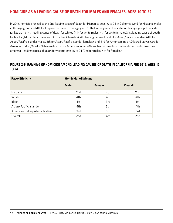# HOMICIDE AS A LEADING CAUSE OF DEATH FOR MALES AND FEMALES, AGES 10 TO 24

In 2016, homicide ranked as the 2nd leading cause of death for Hispanics ages 10 to 24 in California (2nd for Hispanic males in this age group and 4th for Hispanic females in this age group). That same year in the state for this age group, homicide ranked as the: 4th leading cause of death for whites (4th for white males, 4th for white females); 1st leading cause of death for blacks (1st for black males and 3rd for black females); 4th leading cause of death for Asian/Pacific Islanders (4th for Asian/Pacific Islander males, 5th for Asian/Pacific Islander females); and, 3rd for American Indian/Alaska Natives (3rd for American Indian/Alaska Native males, 3rd for American Indian/Alaska Native females). Statewide homicide ranked 2nd among all leading causes of death for victims ages 10 to 24 (2nd for males, 4th for females).

## FIGURE 2-5: RANKING OF HOMICIDE AMONG LEADING CAUSES OF DEATH IN CALIFORNIA FOR 2016, AGES 10 TO 24

| Race/Ethnicity                | <b>Homicide, All Means</b> |        |                 |  |  |  |  |
|-------------------------------|----------------------------|--------|-----------------|--|--|--|--|
|                               | <b>Male</b>                | Female | <b>Overall</b>  |  |  |  |  |
| Hispanic                      | 2nd                        | 4th    | 2 <sub>nd</sub> |  |  |  |  |
| White                         | 4th                        | 4th    | 4th             |  |  |  |  |
| <b>Black</b>                  | 1st                        | 3rd    | 1st             |  |  |  |  |
| Asian/Pacific Islander        | 4th                        | 5th    | 4th             |  |  |  |  |
| American Indian/Alaska Native | 3rd                        | 3rd    | 3rd             |  |  |  |  |
| Overall                       | 2nd                        | 4th    | 2nd             |  |  |  |  |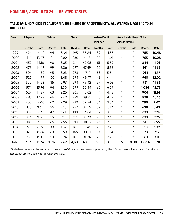# HOMICIDE, AGES 10 TO 24 — RELATED TABLES

## TABLE 2A-1: HOMICIDE IN CALIFORNIA 1999 – 2016 BY RACE/ETHNICITY, ALL WEAPONS, AGES 10 TO 24, BOTH SEXES

| Year         | <b>Hispanic</b> |       | White         | <b>Black</b> |               |       | Asian/Pacific<br><b>Islander</b> |      | American Indian/ Total<br><b>Alaska Native</b> |            |               |       |
|--------------|-----------------|-------|---------------|--------------|---------------|-------|----------------------------------|------|------------------------------------------------|------------|---------------|-------|
|              | <b>Deaths</b>   | Rate  | <b>Deaths</b> | Rate         | <b>Deaths</b> | Rate  | <b>Deaths</b>                    | Rate | <b>Deaths</b>                                  | Rate       | <b>Deaths</b> | Rate  |
| 1999         | 424             | 14.42 | 94            | 3.34         | 195           | 35.84 | 39                               | 4.55 | $\star$                                        | $^\star$   | 755           | 10.48 |
| 2000         | 414             | 13.47 | 81            | 2.82         | 230           | 41.15 | 37                               | 4.21 | $\star$                                        | $\star$    | 765           | 10.28 |
| 2001         | 452             | 14.16 | 98            | 3.35         | 241           | 42.05 | 51                               | 5.59 | $\star$                                        | $\star$    | 844           | 11.03 |
| 2002         | 478             | 14.47 | 99            | 3.36         | 277           | 47.49 | 50                               | 5.33 | $\star$                                        | $\star$    | 911           | 11.65 |
| 2003         | 504             | 14.80 | 95            | 3.23         | 278           | 47.17 | 53                               | 5.54 | $\star$                                        | $\star$    | 935           | 11.77 |
| 2004         | 525             | 14.99 | 102           | 3.48         | 294           | 49.47 | 43                               | 4.44 | $\star$                                        | $\star$    | 968           | 12.02 |
| 2005         | 520             | 14.53 | 85            | 2.93         | 294           | 49.42 | 59                               | 6.03 | $\star$                                        | $^{\star}$ | 961           | 11.85 |
| 2006         | 574             | 15.76 | 94            | 3.30         | 299           | 50.44 | 62                               | 6.29 | $\star$                                        | $\star$    | 1,036         | 12.75 |
| 2007         | 527             | 14.27 | 63            | 2.25         | 265           | 45.02 | 44                               | 4.42 | $\star$                                        | $\star$    | 906           | 11.14 |
| 2008         | 485             | 12.92 | 66            | 2.40         | 229           | 39.21 | 43                               | 4.27 | $\star$                                        | $\star$    | 828           | 10.16 |
| 2009         | 458             | 12.00 | 62            | 2.29         | 229           | 39.54 | 34                               | 3.34 | $\star$                                        | $\star$    | 790           | 9.67  |
| 2010         | 373             | 9.64  | 56            | 2.10         | 227           | 39.55 | 32                               | 3.12 | $\star$                                        | $\star$    | 690           | 8.43  |
| 2011         | 359             | 9.19  | 42            | 1.61         | 199           | 34.84 | 32                               | 3.09 | $\star$                                        | $\star$    | 633           | 7.74  |
| 2012         | 354             | 9.03  | 55            | 2.13         | 191           | 33.70 | 28                               | 2.69 | $\star$                                        | $\star$    | 633           | 7.76  |
| 2013         | 310             | 7.88  | 65            | 2.56         | 213           | 38.16 | 24                               | 2.30 | $\star$                                        | $\star$    | 613           | 7.55  |
| 2014         | 273             | 6.92  | 39            | 1.57         | 167           | 30.45 | 23                               | 2.20 | $\star$                                        | $\star$    | 510           | 6.32  |
| 2015         | 325             | 8.24  | 63            | 2.60         | 165           | 30.81 | 13                               | 1.24 | $\star$                                        | $\star$    | 573           | 7.17  |
| 2016         | 316             | 8.03  | 53            | 2.24         | 167           | 31.94 | 23                               | 2.20 | $\star$                                        | $\star$    | 563           | 7.11  |
| <b>Total</b> | 7,671           | 11.74 | 1,312         | 2.67         | 4,160         | 40.55 | 690                              | 3.88 | 72                                             | 8.00       | 13,914        | 9.70  |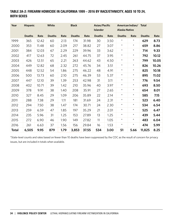## TABLE 2A-2: FIREARM HOMICIDE IN CALIFORNIA 1999 – 2016 BY RACE/ETHNICITY, AGES 10 TO 24, BOTH SEXES

| Year         | <b>Hispanic</b> |       | White         |      | <b>Black</b>  |       | Asian/Pacific<br><b>Islander</b> |      | <b>Alaska Native</b> | American Indian/ | <b>Total</b>  |       |
|--------------|-----------------|-------|---------------|------|---------------|-------|----------------------------------|------|----------------------|------------------|---------------|-------|
|              |                 |       |               |      |               |       |                                  |      |                      |                  |               |       |
|              | <b>Deaths</b>   | Rate  | <b>Deaths</b> | Rate | <b>Deaths</b> | Rate  | <b>Deaths</b>                    | Rate | <b>Deaths</b>        | Rate             | <b>Deaths</b> | Rate  |
| 1999         | 365             | 12.42 | 60            | 2.13 | 174           | 31.98 | 30                               | 3.50 | $^{\star}$           | $\star$          | 629           | 8.73  |
| 2000         | 353             | 11.48 | 60            | 2.09 | 217           | 38.82 | 27                               | 3.07 | $\star$              | $\star$          | 659           | 8.86  |
| 2001         | 384             | 12.03 | 67            | 2.29 | 229           | 39.96 | 33                               | 3.62 | $\star$              | $\star$          | 714           | 9.33  |
| 2002         | 417             | 12.63 | 72            | 2.45 | 261           | 44.75 | 37                               | 3.95 | $\star$              | $\star$          | 792           | 10.12 |
| 2003         | 426             | 12.51 | 65            | 2.21 | 263           | 44.62 | 43                               | 4.50 | $\star$              | $\star$          | 799           | 10.05 |
| 2004         | 449             | 12.82 | 68            | 2.32 | 272           | 45.76 | 34                               | 3.51 | $\star$              | $\star$          | 826           | 10.26 |
| 2005         | 448             | 12.52 | 54            | 1.86 | 275           | 46.22 | 48                               | 4.91 | $\star$              | $\star$          | 825           | 10.18 |
| 2006         | 500             | 13.73 | 60            | 2.10 | 275           | 46.39 | 53                               | 5.37 | $\star$              | $\star$          | 895           | 11.02 |
| 2007         | 447             | 12.10 | 39            | 1.39 | 253           | 42.98 | 31                               | 3.11 | $\star$              | $\star$          | 776           | 9.54  |
| 2008         | 402             | 10.71 | 39            | 1.42 | 210           | 35.96 | 40                               | 3.97 | $\star$              | $\star$          | 693           | 8.50  |
| 2009         | 378             | 9.91  | 38            | 1.40 | 208           | 35.91 | 27                               | 2.65 | $\star$              | $\star$          | 654           | 8.01  |
| 2010         | 327             | 8.45  | 29            | 1.09 | 206           | 35.89 | 22                               | 2.14 | $\star$              | $\star$          | 585           | 7.15  |
| 2011         | 288             | 7.38  | 29            | 1.11 | 181           | 31.69 | 24                               | 2.31 | $\star$              | $\star$          | 523           | 6.40  |
| 2012         | 294             | 7.50  | 38            | 1.47 | 174           | 30.71 | 24                               | 2.30 | $\star$              | $\star$          | 534           | 6.54  |
| 2013         | 259             | 6.59  | 47            | 1.85 | 197           | 35.29 | 21                               | 2.01 | $\star$              | $\star$          | 525           | 6.47  |
| 2014         | 235             | 5.96  | 31            | 1.25 | 153           | 27.89 | 13                               | 1.25 | $\star$              | $\star$          | 439           | 5.44  |
| 2015         | 272             | 6.90  | 46            | 1.90 | 149           | 27.82 | 11                               | 1.05 | $\star$              | $^{\star}$       | 483           | 6.04  |
| 2016         | 261             | 6.63  | 37            | 1.56 | 156           | 29.84 | 16                               | 1.53 | $\star$              | $\star$          | 474           | 5.99  |
| <b>Total</b> | 6,505           | 9.95  | 879           | 1.79 | 3,853         | 37.55 | 534                              | 3.00 | 51                   | 5.66             | 11,825        | 8.25  |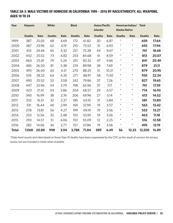## TABLE 2A-3: MALE VICTIMS OF HOMICIDE IN CALIFORNIA 1999 – 2016 BY RACE/ETHNICITY, ALL WEAPONS, AGES 10 TO 24

| Year         | <b>Hispanic</b> |       | <b>White</b>  |      | <b>Black</b>  |       | Asian/Pacific   |       |                      | American Indian/ Total |               |       |
|--------------|-----------------|-------|---------------|------|---------------|-------|-----------------|-------|----------------------|------------------------|---------------|-------|
|              |                 |       |               |      |               |       | <b>Islander</b> |       | <b>Alaska Native</b> |                        |               |       |
|              | <b>Deaths</b>   | Rate  | <b>Deaths</b> | Rate | <b>Deaths</b> | Rate  | <b>Deaths</b>   | Rate  | <b>Deaths</b>        | Rate                   | <b>Deaths</b> | Rate  |
| 1999         | 387             | 25.05 | 68            | 4.69 | 172           | 61.82 | 30              | 6.87  | $\star$              | $^{\star}$             | 659           | 17.64 |
| 2000         | 387             | 23.96 | 62            | 4.19 | 210           | 73.53 | 31              | 6.93  | $\star$              | $\star$                | 692           | 17.94 |
| 2001         | 410             | 24.46 | 65            | 4.32 | 221           | 75.28 | 44              | 9.47  | $\star$              | $\star$                | 741           | 18.68 |
| 2002         | 442             | 25.52 | 73            | 4.82 | 253           | 84.68 | 41              | 8.59  | $\star$              | $\star$                | 813           | 20.07 |
| 2003         | 460             | 25.81 | 79            | 5.24 | 251           | 83.32 | 47              | 9.66  | $\star$              | $\star$                | 841           | 20.49 |
| 2004         | 485             | 26.50 | 81            | 5.38 | 274           | 89.98 | 38              | 7.69  | $\star$              | $\star$                | 879           | 21.11 |
| 2005         | 493             | 26.40 | 63            | 4.21 | 270           | 88.25 | 51              | 10.21 | $\star$              | $\star$                | 879           | 20.95 |
| 2006         | 535             | 28.22 | 64            | 4.35 | 271           | 88.91 | 58              | 11.50 | $\star$              | $\star$                | 935           | 22.24 |
| 2007         | 490             | 25.52 | 52            | 3.58 | 242           | 79.86 | 37              | 7.26  | $\star$              | $\star$                | 827           | 19.65 |
| 2008         | 447             | 22.96 | 54            | 3.79 | 198           | 65.96 | 37              | 7.17  | $\star$              | $\star$                | 741           | 17.59 |
| 2009         | 423             | 21.41 | 54            | 3.86 | 204           | 68.57 | 29              | 5.57  | $\star$              | $\star$                | 714           | 16.93 |
| 2010         | 340             | 16.99 | 38            | 2.76 | 206           | 69.96 | 27              | 5.14  | $\star$              | $\star$                | 613           | 14.52 |
| 2011         | 332             | 16.51 | 32            | 2.37 | 185           | 63.10 | 31              | 5.84  | $\star$              | $\star$                | 581           | 13.80 |
| 2012         | 331             | 16.44 | 40            | 2.99 | 169           | 57.99 | 19              | 3.57  | $\star$              | $\star$                | 563           | 13.42 |
| 2013         | 278             | 13.81 | 56            | 4.27 | 199           | 69.19 | 19              | 3.56  | $\star$              | $\star$                | 553           | 13.27 |
| 2014         | 253             | 12.56 | 32            | 2.48 | 153           | 53.95 | 19              | 3.56  | $\star$              | $\star$                | 463           | 11.18 |
| 2015         | 293             | 14.57 | 51            | 4.06 | 153           | 55.09 | 12              | 2.25  | $\star$              | $\star$                | 516           | 12.58 |
| 2016         | 282             | 14.06 | 34            | 2.77 | 157           | 57.86 | 19              | 3.56  | $\star$              | $\star$                | 495           | 12.19 |
| <b>Total</b> | 7,068           | 20.88 | 998           | 3.94 | 3,788         | 71.84 | 589             | 6.49  | 56                   | 12.23                  | 12,505        | 16.89 |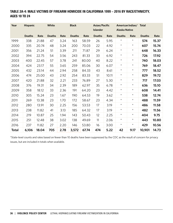## TABLE 2A-4: MALE VICTIMS OF FIREARM HOMICIDE IN CALIFORNIA 1999 – 2016 BY RACE/ETHNICITY, AGES 10 TO 24

| Year         | <b>Hispanic</b> |       | White         |      | <b>Black</b>  |       | Asian/Pacific<br><b>Islander</b> |       | <b>Alaska Native</b> | American Indian/ Total |               |       |
|--------------|-----------------|-------|---------------|------|---------------|-------|----------------------------------|-------|----------------------|------------------------|---------------|-------|
|              | <b>Deaths</b>   | Rate  | <b>Deaths</b> | Rate | <b>Deaths</b> | Rate  | <b>Deaths</b>                    | Rate  | <b>Deaths</b>        | Rate                   | <b>Deaths</b> | Rate  |
| 1999         | 338             | 21.88 | 47            | 3.24 | 163           | 58.59 | 26                               | 5.95  | $\star$              | $\star$                | 574           | 15.37 |
| 2000         | 335             | 20.74 | 48            | 3.24 | 200           | 70.03 | 22                               | 4.92  | $\star$              | $\star$                | 607           | 15.74 |
| 2001         | 356             | 21.24 | 51            | 3.39 | 211           | 71.87 | 29                               | 6.24  | $\star$              | $\star$                | 648           | 16.33 |
| 2002         | 394             | 22.75 | 54            | 3.56 | 243           | 81.33 | 33                               | 6.92  | $\star$              | $\star$                | 726           | 17.92 |
| 2003         | 400             | 22.45 | 57            | 3.78 | 241           | 80.00 | 40                               | 8.22  | $\star$              | $\star$                | 740           | 18.03 |
| 2004         | 424             | 23.17 | 55            | 3.65 | 259           | 85.06 | 30                               | 6.07  | $\star$              | $\star$                | 769           | 18.47 |
| 2005         | 432             | 23.14 | 44            | 2.94 | 258           | 84.33 | 43                               | 8.61  | $\star$              | $\star$                | 777           | 18.52 |
| 2006         | 474             | 25.00 | 43            | 2.92 | 254           | 83.33 | 51                               | 10.11 | $\star$              | $\star$                | 829           | 19.72 |
| 2007         | 420             | 21.88 | 32            | 2.21 | 233           | 76.89 | 27                               | 5.30  | $\star$              | $\star$                | 717           | 17.03 |
| 2008         | 376             | 19.31 | 34            | 2.39 | 189           | 62.97 | 35                               | 6.78  | $\star$              | $\star$                | 636           | 15.10 |
| 2009         | 358             | 18.12 | 33            | 2.36 | 191           | 64.20 | 23                               | 4.42  | $\star$              | $\star$                | 608           | 14.41 |
| 2010         | 305             | 15.24 | 23            | 1.67 | 190           | 64.53 | 19                               | 3.62  | $\star$              | $\star$                | 538           | 12.74 |
| 2011         | 269             | 13.38 | 23            | 1.70 | 172           | 58.67 | 23                               | 4.34  | $\star$              | $\star$                | 488           | 11.59 |
| 2012         | 280             | 13.91 | 30            | 2.25 | 156           | 53.53 | 17                               | 3.19  | $\star$              | $\star$                | 486           | 11.58 |
| 2013         | 238             | 11.82 | 41            | 3.13 | 185           | 64.32 | 17                               | 3.19  | $\star$              | $\star$                | 482           | 11.56 |
| 2014         | 219             | 10.87 | 25            | 1.94 | 143           | 50.43 | 12                               | 2.25  | $\star$              | $\star$                | 404           | 9.75  |
| 2015         | 251             | 12.48 | 38            | 3.02 | 138           | 49.69 | 11                               | 2.06  | $\star$              | $\star$                | 443           | 10.80 |
| 2016         | 237             | 11.82 | 27            | 2.20 | 146           | 53.80 | 16                               | 3.00  | $\star$              | $\star$                | 429           | 10.56 |
| <b>Total</b> | 6,106           | 18.04 | 705           | 2.78 | 3,572         | 67.74 | 474                              | 5.22  | 42                   | 9.17                   | 10,901        | 14.73 |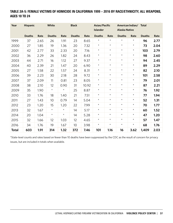## TABLE 2A-5: FEMALE VICTIMS OF HOMICIDE IN CALIFORNIA 1999 – 2016 BY RACE/ETHNICITY, ALL WEAPONS, AGES 10 TO 24

| Year         | <b>Hispanic</b> |      | White         |         | <b>Black</b>  |       | Asian/Pacific<br><b>Islander</b> |            | <b>Alaska Native</b> | American Indian/ Total |               |      |
|--------------|-----------------|------|---------------|---------|---------------|-------|----------------------------------|------------|----------------------|------------------------|---------------|------|
|              |                 |      |               |         |               |       |                                  |            |                      |                        |               |      |
|              | <b>Deaths</b>   | Rate | <b>Deaths</b> | Rate    | <b>Deaths</b> | Rate  | <b>Deaths</b>                    | Rate       | <b>Deaths</b>        | Rate                   | <b>Deaths</b> | Rate |
| 1999         | 37              | 2.65 | 26            | 1.91    | 23            | 8.65  | $^\star$                         | $^{\star}$ | $^{\star}$           | $^\star$               | 96            | 2.77 |
| 2000         | 27              | 1.85 | 19            | 1.36    | 20            | 7.32  | $\star$                          | $\star$    | $\star$              | $\star$                | 73            | 2.04 |
| 2001         | 42              | 2.77 | 33            | 2.33    | 20            | 7.16  | $\star$                          | $\star$    | $\star$              | $\star$                | 103           | 2.79 |
| 2002         | 36              | 2.29 | 26            | 1.82    | 24            | 8.43  | $\star$                          | $^{\star}$ | $\star$              | $\star$                | 98            | 2.60 |
| 2003         | 44              | 2.71 | 16            | 1.12    | 27            | 9.37  | $\star$                          | $\star$    | $\star$              | $\star$                | 94            | 2.45 |
| 2004         | 40              | 2.39 | 21            | 1.47    | 20            | 6.90  | $\star$                          | $\star$    | $\star$              | $\star$                | 89            | 2.29 |
| 2005         | 27              | 1.58 | 22            | 1.57    | 24            | 8.31  | $^{\star}$                       | $^{\star}$ | $\star$              | $\star$                | 82            | 2.10 |
| 2006         | 39              | 2.23 | 30            | 2.18    | 28            | 9.72  | $\star$                          | $^{\star}$ | $\star$              | $\star$                | 101           | 2.58 |
| 2007         | 37              | 2.09 | 11            | 0.81    | 23            | 8.05  | $\star$                          | $\star$    | $\star$              | $\star$                | 79            | 2.01 |
| 2008         | 38              | 2.10 | 12            | 0.90    | 31            | 10.92 | $\star$                          | $^{\star}$ | $^{\star}$           | $\star$                | 87            | 2.21 |
| 2009         | 35              | 1.90 | $^{\star}$    | $\star$ | 25            | 8.87  | $^{\star}$                       | $\star$    | $^{\star}$           | $\star$                | 76            | 1.92 |
| 2010         | 33              | 1.76 | 18            | 1.40    | 21            | 7.51  | $\star$                          | $\star$    | $\star$              | $\star$                | 77            | 1.94 |
| 2011         | 27              | 1.43 | 10            | 0.79    | 14            | 5.04  | $\star$                          | $\star$    | $^{\star}$           | $\star$                | 52            | 1.31 |
| 2012         | 23              | 1.20 | 15            | 1.20    | 22            | 7.99  | $\star$                          | $\star$    | $\star$              | $\star$                | 70            | 1.77 |
| 2013         | 32              | 1.67 | $\star$       | $\star$ | 14            | 5.17  | $^{\star}$                       | $\star$    | $\star$              | $\star$                | 60            | 1.52 |
| 2014         | 20              | 1.04 | $\star$       | $\star$ | 14            | 5.28  | $^{\star}$                       | $\star$    | $\star$              | $\star$                | 47            | 1.20 |
| 2015         | 32              | 1.66 | 12            | 1.03    | 12            | 4.65  | $^\star$                         | $\star$    | $^{\star}$           | $\star$                | 57            | 1.47 |
| 2016         | 34              | 1.76 | 19            | 1.67    | 10            | 3.98  | $^{\star}$                       | $\star$    | $\star$              | $\star$                | 68            | 1.76 |
| <b>Total</b> | 603             | 1.91 | 314           | 1.32    | 372           | 7.46  | 101                              | 1.16       | 16                   | 3.62                   | 1,409         | 2.03 |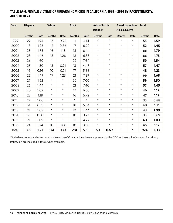## TABLE 2A-6: FEMALE VICTIMS OF FIREARM HOMICIDE IN CALIFORNIA 1999 – 2016 BY RACE/ETHNICITY, AGES 10 TO 24

| Year         | <b>Hispanic</b> |      | White<br><b>Black</b> |         | Asian/Pacific<br><b>Islander</b> |         | American Indian/ Total<br><b>Alaska Native</b> |         |               |            |               |      |
|--------------|-----------------|------|-----------------------|---------|----------------------------------|---------|------------------------------------------------|---------|---------------|------------|---------------|------|
|              | <b>Deaths</b>   | Rate | <b>Deaths</b>         | Rate    | <b>Deaths</b>                    | Rate    | <b>Deaths</b>                                  | Rate    | <b>Deaths</b> | Rate       | <b>Deaths</b> | Rate |
| 1999         | 27              | 1.94 | 13                    | 0.95    | 11                               | 4.14    | $\star$                                        | $\star$ | $\star$       | $\star$    | 55            | 1.59 |
| 2000         | 18              | 1.23 | 12                    | 0.86    | 17                               | 6.22    | $\star$                                        | $\star$ | $\star$       | $\star$    | 52            | 1.45 |
| 2001         | 28              | 1.85 | 16                    | 1.13    | 18                               | 6.44    | $\star$                                        | $\star$ | $\star$       | $\star$    | 66            | 1.79 |
| 2002         | 23              | 1.46 | 18                    | 1.26    | 18                               | 6.33    | $\star$                                        | $\star$ | $\star$       | $\star$    | 66            | 1.75 |
| 2003         | 26              | 1.60 | $\star$               | $\star$ | 22                               | 7.64    | $\star$                                        | $\star$ | $\star$       | $\star$    | 59            | 1.54 |
| 2004         | 25              | 1.50 | 13                    | 0.91    | 13                               | 4.48    | $\star$                                        | $\star$ | $\star$       | $\star$    | 57            | 1.47 |
| 2005         | 16              | 0.93 | 10                    | 0.71    | 17                               | 5.88    | $\star$                                        | $\star$ | $\star$       | $\star$    | 48            | 1.23 |
| 2006         | 26              | 1.49 | 17                    | 1.23    | 21                               | 7.29    | $\star$                                        | $\star$ | $\star$       | $\star$    | 66            | 1.68 |
| 2007         | 27              | 1.52 | $\star$               | $\star$ | 20                               | 7.00    | $\star$                                        | $\star$ | $\star$       | $\star$    | 59            | 1.50 |
| 2008         | 26              | 1.44 | $\star$               | $\star$ | 21                               | 7.40    | $^{\star}$                                     | $\star$ | $\star$       | $\star$    | 57            | 1.45 |
| 2009         | 20              | 1.09 | $\star$               | $\star$ | 17                               | 6.03    | $\star$                                        | $\star$ | $\star$       | $\star$    | 46            | 1.17 |
| 2010         | 22              | 1.18 | $\star$               | $\star$ | 16                               | 5.72    | $\star$                                        | $\star$ | $\star$       | $\star$    | 47            | 1.19 |
| 2011         | 19              | 1.00 | $\star$               | $\star$ | $\star$                          | $\star$ | $\star$                                        | $\star$ | $\star$       | $^{\star}$ | 35            | 0.88 |
| 2012         | 14              | 0.73 | $^{\star}$            | $\star$ | 18                               | 6.54    | $\star$                                        | $\star$ | $\star$       | $\star$    | 48            | 1.21 |
| 2013         | 21              | 1.09 | $^{\star}$            | $\star$ | 12                               | 4.44    | $\star$                                        | $\star$ | $\star$       | $\star$    | 43            | 1.09 |
| 2014         | 16              | 0.83 | $\star$               | $\star$ | 10                               | 3.77    | $\star$                                        | $\star$ | $\star$       | $\star$    | 35            | 0.89 |
| 2015         | 21              | 1.09 | $\star$               | $\star$ | 11                               | 4.27    | $\star$                                        | $\star$ | $\star$       | $^{\star}$ | 40            | 1.03 |
| 2016         | 24              | 1.24 | 10                    | 0.88    | 10                               | 3.98    | $\star$                                        | $\star$ | $\star$       | $\star$    | 45            | 1.17 |
| <b>Total</b> | 399             | 1.27 | 174                   | 0.73    | 281                              | 5.63    | 60                                             | 0.69    | $\star$       | $\star$    | 924           | 1.33 |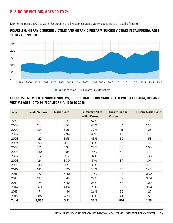# B: SUICIDE VICTIMS, AGES 10 TO 24

During the period 1999 to 2016, 32 percent of all Hispanic suicide victims ages 10 to 24 used a firearm.



## FIGURE 2-6: HISPANIC SUICIDE VICTIMS AND HISPANIC FIREARM SUICIDE VICTIMS IN CALIFORNIA, AGES 10 TO 24, 1999 - 2016

## FIGURE 2-7: NUMBER OF SUICIDE VICTIMS, SUICIDE RATE, PERCENTAGE KILLED WITH A FIREARM, HISPANIC VICTIMS AGES 10 TO 24 IN CALIFORNIA, 1999 TO 2016

| Year         | <b>Suicide Victims</b> | <b>Suicide Rate</b> | <b>Percentage Killed</b> | <b>Firearm Suicide</b> | <b>Firearm Suicide Rate</b> |
|--------------|------------------------|---------------------|--------------------------|------------------------|-----------------------------|
|              |                        |                     | <b>With a Firearm</b>    | <b>Victims</b>         |                             |
| 1999         | 98                     | 3.33                | 57%                      | 56                     | 1.90                        |
| 2000         | 110                    | 3.58                | 42%                      | 46                     | 1.50                        |
| 2001         | 104                    | 3.26                | 39%                      | 41                     | 1.28                        |
| 2002         | 97                     | 2.94                | 41%                      | 40                     | 1.21                        |
| 2003         | 122                    | 3.58                | 43%                      | 52                     | 1.53                        |
| 2004         | 158                    | 4.51                | 33%                      | 52                     | 1.48                        |
| 2005         | 141                    | 3.94                | 27%                      | 38                     | 1.06                        |
| 2006         | 140                    | 3.84                | 31%                      | 44                     | 1.21                        |
| 2007         | 117                    | 3.17                | 32%                      | 37                     | 1.00                        |
| 2008         | 124                    | 3.30                | 31%                      | 39                     | 1.04                        |
| 2009         | 143                    | 3.75                | 35%                      | 50                     | 1.31                        |
| 2010         | 182                    | 4.70                | 30%                      | 55                     | 1.42                        |
| 2011         | 172                    | 4.40                | 21%                      | 36                     | 0.92                        |
| 2012         | 137                    | 3.49                | 27%                      | 37                     | 0.94                        |
| 2013         | 174                    | 4.42                | 25%                      | 43                     | 1.09                        |
| 2014         | 160                    | 4.06                | 23%                      | 37                     | 0.94                        |
| 2015         | 191                    | 4.84                | 26%                      | 50                     | 1.27                        |
| 2016         | 186                    | 4.73                | 33%                      | 61                     | 1.55                        |
| <b>Total</b> | 2,556                  | 3.91                | 32%                      | 814                    | 1.25                        |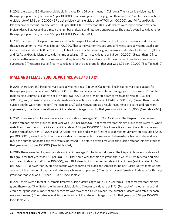In 2016, there were 186 Hispanic suicide victims ages 10 to 24 by all means in California. The Hispanic suicide rate for this age group for that year was 4.73 per 100,000. That same year in this age group there were: 212 white suicide victims (suicide rate of 8.96 per 100,000); 37 black suicide victims (suicide rate of 7.08 per 100,000); and, 74 Asian/Pacific Islander suicide victims (suicide rate of 7.08 per 100,000). (Fewer than 10 suicide deaths were reported for American Indian/Alaska Natives and as a result the number of deaths and rate were suppressed.) The state's overall suicide rate for this age group for that year was 6.53 per 100,000. [See Table 2B-1]

In 2016, there were 61 Hispanic firearm suicide victims ages 10 to 24 in California. The Hispanic firearm suicide rate for this age group for that year was 1.55 per 100,000. That same year for this age group: 73 white suicide victims used a gun (firearm suicide rate of 3.08 per 100,000); 13 black suicide victims used a gun (firearm suicide rate of 2.49 per 100,000); and, 12 Asian/Pacific Islander suicide victims used a gun (firearm suicide rate of 1.15 per 100,000). (Fewer than 10 firearm suicide deaths were reported for American Indian/Alaska Natives and as a result the number of deaths and rate were suppressed.) The state's overall firearm suicide rate for this age group for that year was 2.02 per 100,000. [See Table 2B-2]

# MALE AND FEMALE SUICIDE VICTIMS, AGES 10 TO 24

In 2016, there were 150 Hispanic male suicide victims ages 10 to 24 in California. The Hispanic male suicide rate for this age group for that year was 7.48 per 100,000. That same year in the state for this age group there were: 165 white male suicide victims (suicide rate of 13.44 per 100,000); 28 black male suicide victims (suicide rate of 10.32 per 100,000); and, 56 Asian/Pacific Islander male suicide victims (suicide rate of 10.49 per 100,000). (Fewer than 10 male suicide deaths were reported for American Indian/Alaska Natives and as a result the number of deaths and rate were suppressed.) The state's overall male suicide rate for this age group for that year was 9.97 per 100,000. [See Table 2B-3]

In 2016, there were 57 Hispanic male firearms suicide victims ages 10 to 24 in California. The Hispanic male firearm suicide rate for this age group for that year was 2.84 per 100,000. That same year for this age group there were: 60 white male firearm suicide victims (firearm suicide rate of 4.89 per 100,000); 10 black male firearm suicide victims (firearm suicide rate of 3.69 per 100,000); and, 12 Asian/Pacific Islander male firearm suicide victims (firearm suicide rate of 2.25 per 100,000). (Fewer than 10 firearm suicide deaths were reported for American Indian/Alaska Native males and as a result the number of deaths and rate were suppressed.) The state's overall male firearm suicide rate for this age group for that year was 3.45 per 100,000. [See Table 2B-4]

In 2016, there were 36 Hispanic female suicide victims ages 10 to 24 in California. The Hispanic female suicide rate for this group for that year was 1.86 per 100,000. That same year for this age group there were: 47 white female suicide victims (suicide rate of 4.13 per 100,000); and, 18 Asian/Pacific Islander female suicide victims (suicide rate of 3.52 per 100,000). (Fewer than 10 suicide deaths were reported for black and American Indian/Alaska Native females and as a result the number of deaths and rate for each were suppressed.) The state's overall female suicide rate for this age group for that year was 2.91 per 100,000. [See Table 2B-5]

In 2016, there were a total of 20 female firearms suicide victims ages 10 to 24 in California. That same year for this age group there were 13 white female firearm suicide victims (firearm suicide rate of 1.14). (For each of the other racial and ethnic categories the number of suicide victims was fewer than 10. As a result, the number of deaths and rates for each were suppressed.) The state's overall female firearm suicide rate for this age group for that year was 0.52 per 100,000. [See Table 2B-6]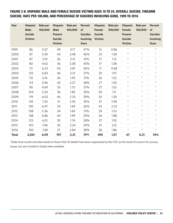## FIGURE 2-8: HISPANIC MALE AND FEMALE SUICIDE VICTIMS AGES 10 TO 24, OVERALL SUICIDE, FIREARM SUICIDE, RATE PER 100,000, AND PERCENTAGE OF SUICIDES INVOLVING GUNS, 1999 TO 2016

| Year         | <b>Hispanic</b><br>Male<br><b>Suicide</b><br><b>Victims</b> | Rate per<br>100,000 | <b>Hispanic</b><br><b>Male</b><br><b>Firearm</b><br><b>Suicide</b><br><b>Victims</b> | Rate per<br>100,000 | <b>Percent</b><br>of<br><b>Suicides</b><br>Involving<br><b>Guns</b> | <b>Hispanic</b><br>Female<br><b>Suicide</b><br><b>Victims</b> | Rate per<br>100,000 | <b>Hispanic</b><br>Female<br><b>Firearm</b><br><b>Suicide</b><br><b>Victims</b> | Rate per<br>100,000 | <b>Percent</b><br>of<br><b>Suicides</b><br>Involving<br><b>Guns</b> |
|--------------|-------------------------------------------------------------|---------------------|--------------------------------------------------------------------------------------|---------------------|---------------------------------------------------------------------|---------------------------------------------------------------|---------------------|---------------------------------------------------------------------------------|---------------------|---------------------------------------------------------------------|
| 1999         | 86                                                          | 5.57                | 49                                                                                   | 3.17                | 57%                                                                 | 12                                                            | 0.86                | $\star$                                                                         | $\star$             | $\star$                                                             |
| 2000         | 87                                                          | 5.39                | 40                                                                                   | 2.48                | 46%                                                                 | 23                                                            | 1.58                | $\star$                                                                         | $\star$             | $\star$                                                             |
| 2001         | 87                                                          | 5.19                | 36                                                                                   | 2.15                | 41%                                                                 | 17                                                            | 1.12                | $\star$                                                                         | $\star$             | $\star$                                                             |
| 2002         | 80                                                          | 4.62                | 36                                                                                   | 2.08                | 45%                                                                 | 17                                                            | 1.08                | $\star$                                                                         | $\star$             | $\star$                                                             |
| 2003         | 111                                                         | 6.23                | 50                                                                                   | 2.81                | 45%                                                                 | 11                                                            | 0.68                | $\star$                                                                         | $\star$             | $\star$                                                             |
| 2004         | 125                                                         | 6.83                | 46                                                                                   | 2.51                | 37%                                                                 | 33                                                            | 1.97                | $\star$                                                                         | $\star$             | $\star$                                                             |
| 2005         | 115                                                         | 6.16                | 36                                                                                   | 1.93                | 31%                                                                 | 26                                                            | 1.52                | $\star$                                                                         | $\star$             | $\star$                                                             |
| 2006         | 113                                                         | 5.96                | 43                                                                                   | 2.27                | 38%                                                                 | 27                                                            | 1.55                | $\star$                                                                         | $\star$             | $\star$                                                             |
| 2007         | 90                                                          | 4.69                | 33                                                                                   | 1.72                | 37%                                                                 | 27                                                            | 1.52                | $\star$                                                                         | $\star$             | $\star$                                                             |
| 2008         | 104                                                         | 5.34                | 36                                                                                   | 1.85                | 35%                                                                 | 20                                                            | 1.11                | $\star$                                                                         | $\star$             | $\star$                                                             |
| 2009         | 119                                                         | 6.02                | 46                                                                                   | 2.33                | 39%                                                                 | 24                                                            | 1.30                | $\star$                                                                         | $\star$             | $\star$                                                             |
| 2010         | 145                                                         | 7.24                | 51                                                                                   | 2.55                | 35%                                                                 | 37                                                            | 1.98                | $\star$                                                                         | $\star$             | $\star$                                                             |
| 2011         | 130                                                         | 6.47                | 34                                                                                   | 1.69                | 26%                                                                 | 42                                                            | 2.22                | $\star$                                                                         | $\star$             | $\star$                                                             |
| 2012         | 108                                                         | 5.36                | 34                                                                                   | 1.69                | 31%                                                                 | 29                                                            | 1.52                | $\star$                                                                         | $\star$             | $\star$                                                             |
| 2013         | 138                                                         | 6.86                | 40                                                                                   | 1.99                | 29%                                                                 | 36                                                            | 1.88                | $\star$                                                                         | $\star$             | $\star$                                                             |
| 2014         | 123                                                         | 6.10                | 35                                                                                   | 1.74                | 28%                                                                 | 37                                                            | 1.92                | $\star$                                                                         | $\star$             | $\star$                                                             |
| 2015         | 150                                                         | 7.46                | 45                                                                                   | 2.24                | 30%                                                                 | 41                                                            | 2.12                | $\star$                                                                         | $\star$             | $\star$                                                             |
| 2016         | 150                                                         | 7.48                | 57                                                                                   | 2.84                | 38%                                                                 | 36                                                            | 1.86                | $\star$                                                                         | $\star$             | $\star$                                                             |
| <b>Total</b> | 2,061                                                       | 6.09                | 747                                                                                  | 2.21                | 36%                                                                 | 495                                                           | 1.57                | 67                                                                              | 0.21                | 14%                                                                 |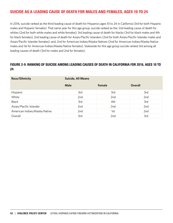# SUICIDE AS A LEADING CAUSE OF DEATH FOR MALES AND FEMALES, AGES 10 TO 24

In 2016, suicide ranked as the third leading cause of death for Hispanics ages 10 to 24 in California (3rd for both Hispanic males and Hispanic females). That same year for this age group, suicide ranked as the: 2nd leading cause of death for whites (2nd for both white males and white females); 3rd leading cause of death for blacks (3rd for black males and 4th for black females); 2nd leading cause of death for Asian/Pacific Islanders (2nd for both Asian/Pacific Islander males and Asian/Pacific Islander females); and, 2nd for American Indian/Alaska Natives (2nd for American Indian/Alaska Native males and 1st for American Indian/Alaska Native females). Statewide for this age group suicide ranked 3rd among all leading causes of death (3rd for males and 2nd for females).

## FIGURE 2-9: RANKING OF SUICIDE AMONG LEADING CAUSES OF DEATH IN CALIFORNIA FOR 2016, AGES 10 TO 24

| Race/Ethnicity                | <b>Suicide, All Means</b> |        |                |  |  |  |  |
|-------------------------------|---------------------------|--------|----------------|--|--|--|--|
|                               | <b>Male</b>               | Female | <b>Overall</b> |  |  |  |  |
| Hispanic                      | 3rd                       | 3rd    | 3rd            |  |  |  |  |
| White                         | 2nd                       | 2nd    | 2nd            |  |  |  |  |
| <b>Black</b>                  | 3rd                       | 4th    | 3rd            |  |  |  |  |
| Asian/Pacific Islander        | 2nd                       | 2nd    | 2nd            |  |  |  |  |
| American Indian/Alaska Native | 2nd                       | 1st    | 2nd            |  |  |  |  |
| Overall                       | 3rd                       | 2nd    | 3rd            |  |  |  |  |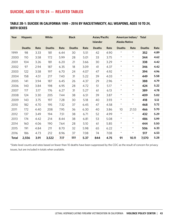# SUICIDE, AGES 10 TO 24 — RELATED TABLES

## TABLE 2B-1: SUICIDE IN CALIFORNIA 1999 – 2016 BY RACE/ETHNICITY, ALL WEAPONS, AGES 10 TO 24, BOTH SEXES

| Year         | <b>Hispanic</b> |      | White         |      | <b>Black</b>  |      | Asian/Pacific<br><b>Islander</b> |      | American Indian/<br><b>Alaska Native</b> |         | <b>Total</b>  |      |
|--------------|-----------------|------|---------------|------|---------------|------|----------------------------------|------|------------------------------------------|---------|---------------|------|
|              | <b>Deaths</b>   | Rate | <b>Deaths</b> | Rate | <b>Deaths</b> | Rate | <b>Deaths</b>                    | Rate | <b>Deaths</b>                            | Rate    | <b>Deaths</b> | Rate |
| 1999         | 98              | 3.33 | 181           | 6.44 | 30            | 5.51 | 42                               | 4.90 | $\star$                                  | $\star$ | 352           | 4.89 |
| 2000         | 110             | 3.58 | 172           | 5.99 | 28            | 5.01 | 33                               | 3.75 | $\star$                                  | $\star$ | 344           | 4.62 |
| 2001         | 104             | 3.26 | 181           | 6.20 | 21            | 3.66 | 30                               | 3.29 | $\star$                                  | $\star$ | 338           | 4.42 |
| 2002         | 97              | 2.94 | 187           | 6.35 | 18            | 3.09 | 41                               | 4.37 | $\star$                                  | $\star$ | 346           | 4.42 |
| 2003         | 122             | 3.58 | 197           | 6.70 | 24            | 4.07 | 47                               | 4.92 | $\star$                                  | $\star$ | 394           | 4.96 |
| 2004         | 158             | 4.51 | 217           | 7.40 | 31            | 5.22 | 39                               | 4.03 | $\star$                                  | $\star$ | 449           | 5.58 |
| 2005         | 141             | 3.94 | 187           | 6.45 | 26            | 4.37 | 29                               | 2.96 | $\star$                                  | $\star$ | 388           | 4.79 |
| 2006         | 140             | 3.84 | 198           | 6.95 | 28            | 4.72 | 51                               | 5.17 | $^\star$                                 | $\star$ | 424           | 5.22 |
| 2007         | 117             | 3.17 | 176           | 6.27 | 31            | 5.27 | 61                               | 6.13 | $\star$                                  | $\star$ | 389           | 4.78 |
| 2008         | 124             | 3.30 | 205           | 7.44 | 38            | 6.51 | 39                               | 3.87 | $\star$                                  | $\star$ | 409           | 5.02 |
| 2009         | 143             | 3.75 | 197           | 7.28 | 30            | 5.18 | 40                               | 3.93 | $\star$                                  | $\star$ | 418           | 5.12 |
| 2010         | 182             | 4.70 | 195           | 7.32 | 37            | 6.45 | 47                               | 4.58 | $\star$                                  | $\star$ | 468           | 5.72 |
| 2011         | 172             | 4.40 | 208           | 7.95 | 36            | 6.30 | 40                               | 3.86 | 10                                       | 21.53   | 466           | 5.70 |
| 2012         | 137             | 3.49 | 194           | 7.51 | 38            | 6.71 | 52                               | 4.99 | $\star$                                  | $\star$ | 432           | 5.29 |
| 2013         | 174             | 4.42 | 214           | 8.44 | 38            | 6.81 | 53                               | 5.08 | $\star$                                  | $\star$ | 486           | 5.99 |
| 2014         | 160             | 4.06 | 190           | 7.64 | 28            | 5.10 | 61                               | 5.85 | $\star$                                  | $\star$ | 444           | 5.50 |
| 2015         | 191             | 4.84 | 211           | 8.70 | 32            | 5.98 | 65                               | 6.22 | $\star$                                  | $\star$ | 506           | 6.33 |
| 2016         | 186             | 4.73 | 212           | 8.96 | 37            | 7.08 | 74                               | 7.08 | $\star$                                  | $\star$ | 517           | 6.53 |
| <b>Total</b> | 2,556           | 3.91 | 3,522         | 7.17 | 551           | 5.37 | 844                              | 4.75 | 91                                       | 10.11   | 7,570         | 5.28 |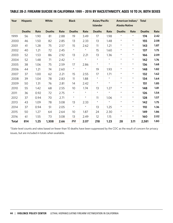## TABLE 2B-2: FIREARM SUICIDE IN CALIFORNIA 1999 – 2016 BY RACE/ETHNICITY, AGES 10 TO 24, BOTH SEXES

| Year         | <b>Hispanic</b> |      | White         | <b>Black</b> |                 |         | Asian/Pacific<br><b>Islander</b> |         | American Indian/<br><b>Alaska Native</b> |            | <b>Total</b>  |      |
|--------------|-----------------|------|---------------|--------------|-----------------|---------|----------------------------------|---------|------------------------------------------|------------|---------------|------|
|              | <b>Deaths</b>   | Rate | <b>Deaths</b> | Rate         | <b>Deaths</b>   | Rate    | <b>Deaths</b>                    | Rate    | <b>Deaths</b>                            | Rate       | <b>Deaths</b> | Rate |
| 1999         | 56              | 1.90 | 81            | 2.88         | 19              | 3.49    | 17                               | 1.98    | $\star$                                  | $^{\star}$ | 174           | 2.42 |
| 2000         | 46              | 1.50 | 82            | 2.85         | 13              | 2.33    | 13                               | 1.48    | $\star$                                  | $\star$    | 155           | 2.08 |
| 2001         | 41              | 1.28 | 75            | 2.57         | 15              | 2.62    | 11                               | 1.21    | $\star$                                  | $\star$    | 143           | 1.87 |
| 2002         | 40              | 1.21 | 72            | 2.45         | $\star$         | $\star$ | 15                               | 1.60    | $\star$                                  | $\star$    | 137           | 1.75 |
| 2003         | 52              | 1.53 | 86            | 2.92         | 13              | 2.21    | 13                               | 1.36    | $\star$                                  | $\star$    | 166           | 2.09 |
| 2004         | 52              | 1.48 | 71            | 2.42         | $\star$         | $\star$ | $\star$                          | $\star$ | $\star$                                  | $^{\star}$ | 142           | 1.76 |
| 2005         | 38              | 1.06 | 75            | 2.59         | 17              | 2.86    | $\star$                          | $\star$ | $\star$                                  | $\star$    | 136           | 1.68 |
| 2006         | 44              | 1.21 | 74            | 2.60         | $\star$         | $\star$ | 19                               | 1.93    | $\star$                                  | $\star$    | 148           | 1.82 |
| 2007         | 37              | 1.00 | 62            | 2.21         | 15              | 2.55    | 17                               | 1.71    | $\star$                                  | $^{\star}$ | 132           | 1.62 |
| 2008         | 39              | 1.04 | 78            | 2.83         | 11              | 1.88    | $\star$                          | $\star$ | $\star$                                  | $^{\star}$ | 134           | 1.64 |
| 2009         | 50              | 1.31 | 76            | 2.81         | 14              | 2.42    | $\star$                          | $\star$ | $\star$                                  | $\star$    | 151           | 1.85 |
| 2010         | 55              | 1.42 | 68            | 2.55         | 10 <sup>°</sup> | 1.74    | 13                               | 1.27    | $\star$                                  | $^{\star}$ | 148           | 1.81 |
| 2011         | 36              | 0.92 | 72            | 2.75         | $\star$         | $\star$ | $^{\star}$                       | $\star$ | $\star$                                  | $\star$    | 126           | 1.54 |
| 2012         | 37              | 0.94 | 70            | 2.71         | $\star$         | $\star$ | 11                               | 1.06    | $\star$                                  | $\star$    | 128           | 1.57 |
| 2013         | 43              | 1.09 | 78            | 3.08         | 13              | 2.33    | $\star$                          | $\star$ | $\star$                                  | $\star$    | 142           | 1.75 |
| 2014         | 37              | 0.94 | 51            | 2.05         | $\star$         | $\star$ | 13                               | 1.25    | $\star$                                  | $\star$    | 110           | 1.36 |
| 2015         | 50              | 1.27 | 64            | 2.64         | 10              | 1.87    | 24                               | 2.30    | $^\star$                                 | $^{\star}$ | 149           | 1.86 |
| 2016         | 61              | 1.55 | 73            | 3.08         | 13              | 2.49    | 12                               | 1.15    | $\star$                                  | $\star$    | 160           | 2.02 |
| <b>Total</b> | 814             | 1.25 | 1,308         | 2.66         | 212             | 2.07    | 218                              | 1.23    | 28                                       | 3.11       | 2,581         | 1.80 |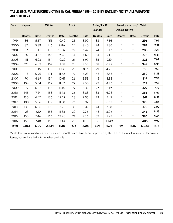## TABLE 2B-3: MALE SUICIDE VICTIMS IN CALIFORNIA 1999 – 2016 BY RACE/ETHNICITY, ALL WEAPONS, AGES 10 TO 24

| Year  | <b>Hispanic</b> | White |               | <b>Black</b> |               |       | Asian/Pacific<br><b>Islander</b> |       | American Indian/ Total<br><b>Alaska Native</b> |            |               |      |
|-------|-----------------|-------|---------------|--------------|---------------|-------|----------------------------------|-------|------------------------------------------------|------------|---------------|------|
|       | <b>Deaths</b>   | Rate  | <b>Deaths</b> | Rate         | <b>Deaths</b> | Rate  | <b>Deaths</b>                    | Rate  | <b>Deaths</b>                                  | Rate       | <b>Deaths</b> | Rate |
| 1999  | 86              | 5.57  | 151           | 10.42        | 25            | 8.99  | 33                               | 7.56  | $\star$                                        | $^{\star}$ | 296           | 7.92 |
| 2000  | 87              | 5.39  | 146           | 9.86         | 24            | 8.40  | 24                               | 5.36  | $\star$                                        | $\star$    | 282           | 7.31 |
| 2001  | 87              | 5.19  | 156           | 10.37        | 19            | 6.47  | 24                               | 5.17  | $\star$                                        | $^{\star}$ | 288           | 7.26 |
| 2002  | 80              | 4.62  | 145           | 9.57         | 14            | 4.69  | 34                               | 7.13  | $\star$                                        | $\star$    | 276           | 6.81 |
| 2003  | 111             | 6.23  | 154           | 10.22        | 21            | 6.97  | 35                               | 7.19  | $^\star$                                       | $^{\star}$ | 325           | 7.92 |
| 2004  | 125             | 6.83  | 167           | 11.08        | 23            | 7.55  | 31                               | 6.27  | $\star$                                        | $^{\star}$ | 349           | 8.38 |
| 2005  | 115             | 6.16  | 152           | 10.16        | 25            | 8.17  | 21                               | 4.20  | $\star$                                        | $\star$    | 316           | 7.53 |
| 2006  | 113             | 5.96  | 171           | 11.62        | 19            | 6.23  | 43                               | 8.53  | $\star$                                        | $^{\star}$ | 350           | 8.33 |
| 2007  | 90              | 4.69  | 154           | 10.61        | 26            | 8.58  | 45                               | 8.83  | $\star$                                        | $^{\star}$ | 319           | 7.58 |
| 2008  | 104             | 5.34  | 162           | 11.37        | 27            | 9.00  | 22                               | 4.26  | $\star$                                        | $\star$    | 317           | 7.52 |
| 2009  | 119             | 6.02  | 156           | 11.14        | 19            | 6.39  | 27                               | 5.19  | $\star$                                        | $^{\star}$ | 327           | 7.75 |
| 2010  | 145             | 7.24  | 158           | 11.48        | 26            | 8.83  | 33                               | 6.28  | $\star$                                        | $^{\star}$ | 366           | 8.67 |
| 2011  | 130             | 6.47  | 166           | 12.27        | 28            | 9.55  | 29                               | 5.47  | $\star$                                        | $\star$    | 361           | 8.57 |
| 2012  | 108             | 5.36  | 152           | 11.38        | 26            | 8.92  | 35                               | 6.57  | $\star$                                        | $^{\star}$ | 329           | 7.84 |
| 2013  | 138             | 6.86  | 160           | 12.20        | 33            | 11.47 | 41                               | 7.68  | $\star$                                        | $^{\star}$ | 375           | 9.00 |
| 2014  | 123             | 6.10  | 153           | 11.88        | 22            | 7.76  | 43                               | 8.06  | $\star$                                        | $^{\star}$ | 346           | 8.35 |
| 2015  | 150             | 7.46  | 166           | 13.20        | 21            | 7.56  | 53                               | 9.93  | $\star$                                        | $\star$    | 396           | 9.65 |
| 2016  | 150             | 7.48  | 165           | 13.44        | 28            | 10.32 | 56                               | 10.49 | $\star$                                        | $\star$    | 405           | 9.97 |
| Total | 2,061           | 6.09  | 2,834         | 11.18        | 426           | 8.08  | 629                              | 6.93  | 69                                             | 15.07      | 6,023         | 8.14 |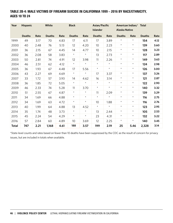## TABLE 2B-4: MALE VICTIMS OF FIREARM SUICIDE IN CALIFORNIA 1999 – 2016 BY RACE/ETHNICITY, AGES 10 TO 24

| Year         | <b>Hispanic</b> | White |               | <b>Black</b> |               |            | Asian/Pacific<br><b>Islander</b> |         | American Indian/ Total<br><b>Alaska Native</b> |            |               |      |
|--------------|-----------------|-------|---------------|--------------|---------------|------------|----------------------------------|---------|------------------------------------------------|------------|---------------|------|
|              | <b>Deaths</b>   | Rate  | <b>Deaths</b> | Rate         | <b>Deaths</b> | Rate       | <b>Deaths</b>                    | Rate    | <b>Deaths</b>                                  | Rate       | <b>Deaths</b> | Rate |
| 1999         | 49              | 3.17  | 70            | 4.83         | 17            | 6.11       | 17                               | 3.89    | $^\star$                                       | $\star$    | 154           | 4.12 |
| 2000         | 40              | 2.48  | 76            | 5.13         | 12            | 4.20       | 10 <sup>°</sup>                  | 2.23    | $\star$                                        | $\star$    | 139           | 3.60 |
| 2001         | 36              | 2.15  | 67            | 4.45         | 14            | 4.77       | 10                               | 2.15    | $\star$                                        | $\star$    | 128           | 3.23 |
| 2002         | 36              | 2.08  | 58            | 3.83         | $\star$       | $\star$    | 13                               | 2.73    | $\star$                                        | $\star$    | 117           | 2.89 |
| 2003         | 50              | 2.81  | 74            | 4.91         | 12            | 3.98       | 11                               | 2.26    | $^\star$                                       | $\star$    | 149           | 3.63 |
| 2004         | 46              | 2.51  | 62            | 4.12         | $\star$       | $\star$    | $\star$                          | $\star$ | $\star$                                        | $\star$    | 124           | 2.98 |
| 2005         | 36              | 1.93  | 67            | 4.48         | 17            | 5.56       | $\star$                          | $\star$ | $\star$                                        | $\star$    | 126           | 3.00 |
| 2006         | 43              | 2.27  | 69            | 4.69         | $\star$       | $\star$    | 17                               | 3.37    | $\star$                                        | $^{\star}$ | 137           | 3.26 |
| 2007         | 33              | 1.72  | 57            | 3.93         | 14            | 4.62       | 16                               | 3.14    | $\star$                                        | $\star$    | 121           | 2.87 |
| 2008         | 36              | 1.85  | 72            | 5.05         | $\star$       | $^{\star}$ | $\star$                          | $\star$ | $\star$                                        | $\star$    | 122           | 2.90 |
| 2009         | 46              | 2.33  | 74            | 5.28         | 11            | 3.70       | $\star$                          | $\star$ | $\star$                                        | $^{\star}$ | 140           | 3.32 |
| 2010         | 51              | 2.55  | 67            | 4.87         | $\star$       | $\star$    | 11                               | 2.09    | $\star$                                        | $\star$    | 139           | 3.29 |
| 2011         | 34              | 1.69  | 66            | 4.88         | $\star$       | $\star$    | $\star$                          | $\star$ | $\star$                                        | $\star$    | 116           | 2.75 |
| 2012         | 34              | 1.69  | 63            | 4.72         | $\star$       | $\star$    | 10                               | 1.88    | $\star$                                        | $\star$    | 116           | 2.76 |
| 2013         | 40              | 1.99  | 64            | 4.88         | 13            | 4.52       | $\star$                          | $\star$ | $\star$                                        | $\star$    | 123           | 2.95 |
| 2014         | 35              | 1.74  | 48            | 3.73         | $\star$       | $^{\star}$ | 13                               | 2.44    | $\star$                                        | $\star$    | 105           | 2.53 |
| 2015         | 45              | 2.24  | 54            | 4.29         | $\star$       | $^{\star}$ | 23                               | 4.31    | $\star$                                        | $\star$    | 132           | 3.22 |
| 2016         | 57              | 2.84  | 60            | 4.89         | 10            | 3.69       | 12                               | 2.25    | $\star$                                        | $\star$    | 140           | 3.45 |
| <b>Total</b> | 747             | 2.21  | 1,168         | 4.61         | 188           | 3.57       | 199                              | 2.19    | 25                                             | 5.46       | 2,328         | 3.14 |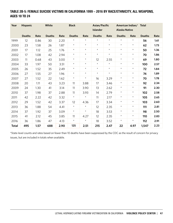## TABLE 2B-5: FEMALE SUICIDE VICTIMS IN CALIFORNIA 1999 – 2016 BY RACE/ETHNICITY, ALL WEAPONS, AGES 10 TO 24

| Year         | White<br><b>Hispanic</b> |      | <b>Black</b>  |      |               | Asian/Pacific<br><b>Islander</b> |               | American Indian/<br><b>Alaska Native</b> |               | <b>Total</b> |               |      |
|--------------|--------------------------|------|---------------|------|---------------|----------------------------------|---------------|------------------------------------------|---------------|--------------|---------------|------|
|              | <b>Deaths</b>            | Rate | <b>Deaths</b> | Rate | <b>Deaths</b> | Rate                             | <b>Deaths</b> | Rate                                     | <b>Deaths</b> | Rate         | <b>Deaths</b> | Rate |
| 1999         | 12                       | 0.86 | 30            | 2.20 | $\star$       | $^\star$                         | $^\star$      | $\star$                                  | $\star$       | $^\star$     | 56            | 1.61 |
| 2000         | 23                       | 1.58 | 26            | 1.87 | $\star$       | $\star$                          | $\star$       | $\star$                                  | $\star$       | $\star$      | 62            | 1.73 |
| 2001         | 17                       | 1.12 | 25            | 1.76 | $\star$       | $^{\star}$                       | $\star$       | $\star$                                  | $\star$       | $^{\star}$   | 50            | 1.36 |
| 2002         | 17                       | 1.08 | 42            | 2.94 | $\star$       | $^{\star}$                       | $^{\star}$    | $\star$                                  | $\star$       | $\star$      | 70            | 1.86 |
| 2003         | 11                       | 0.68 | 43            | 3.00 | $\star$       | $\star$                          | 12            | 2.55                                     | $\star$       | $\star$      | 69            | 1.80 |
| 2004         | 33                       | 1.97 | 50            | 3.51 | $\star$       | $\star$                          | $\star$       | $\star$                                  | $\star$       | $\star$      | 100           | 2.57 |
| 2005         | 26                       | 1.52 | 35            | 2.49 | $\star$       | $^{\star}$                       | $^{\star}$    | $\star$                                  | $\star$       | $^{\star}$   | 72            | 1.84 |
| 2006         | 27                       | 1.55 | 27            | 1.96 | $\star$       | $\star$                          | $\star$       | $\star$                                  | $\star$       | $^{\star}$   | 74            | 1.89 |
| 2007         | 27                       | 1.52 | 22            | 1.62 | $\star$       | $\star$                          | 16            | 3.29                                     | $\star$       | $\star$      | 70            | 1.78 |
| 2008         | 20                       | 1.11 | 43            | 3.23 | 11            | 3.88                             | 17            | 3.46                                     | $\star$       | $\star$      | 92            | 2.34 |
| 2009         | 24                       | 1.30 | 41            | 3.14 | 11            | 3.90                             | 13            | 2.62                                     | $^\star$      | $^{\star}$   | 91            | 2.30 |
| 2010         | 37                       | 1.98 | 37            | 2.88 | 11            | 3.93                             | 14            | 2.79                                     | $\star$       | $\star$      | 102           | 2.58 |
| 2011         | 42                       | 2.22 | 42            | 3.32 | $\star$       | $\star$                          | 11            | 2.17                                     | $\star$       | $\star$      | 105           | 2.65 |
| 2012         | 29                       | 1.52 | 42            | 3.37 | 12            | 4.36                             | 17            | 3.34                                     | $\star$       | $\star$      | 103           | 2.60 |
| 2013         | 36                       | 1.88 | 54            | 4.41 | $\star$       | $\star$                          | 12            | 2.35                                     | $\star$       | $\star$      | 111           | 2.81 |
| 2014         | 37                       | 1.92 | 37            | 3.09 | $\star$       | $\star$                          | 18            | 3.53                                     | $\star$       | $\star$      | 98            | 2.50 |
| 2015         | 41                       | 2.12 | 45            | 3.85 | 11            | 4.27                             | 12            | 2.35                                     | $\star$       | $^{\star}$   | 110           | 2.83 |
| 2016         | 36                       | 1.86 | 47            | 4.13 | $\star$       | $\star$                          | 18            | 3.52                                     | $\star$       | $\star$      | 112           | 2.91 |
| <b>Total</b> | 495                      | 1.57 | 688           | 2.90 | 125           | 2.51                             | 215           | 2.47                                     | 22            | 4.97         | 1,547         | 2.23 |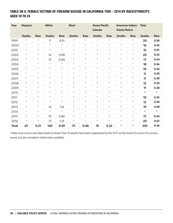## TABLE 2B-6: FEMALE VICTIMS OF FIREARM SUICIDE IN CALIFORNIA 1999 – 2016 BY RACE/ETHNICITY, AGES 10 TO 24

| Year         | <b>Hispanic</b> |         | White         |         | <b>Black</b>  |         | Asian/Pacific<br><b>Islander</b> |         | American Indian/<br><b>Alaska Native</b> |            | <b>Total</b>  |         |
|--------------|-----------------|---------|---------------|---------|---------------|---------|----------------------------------|---------|------------------------------------------|------------|---------------|---------|
|              | <b>Deaths</b>   | Rate    | <b>Deaths</b> | Rate    | <b>Deaths</b> | Rate    | <b>Deaths</b>                    | Rate    | <b>Deaths</b>                            | Rate       | <b>Deaths</b> | Rate    |
| 1999         | $\star$         | $\star$ | 11            | 0.81    | $\star$       | $\star$ | $\star$                          | $\star$ | $\star$                                  | $\star$    | 20            | 0.58    |
| 2000         | $\star$         | $\star$ | $\star$       | $\star$ | $\star$       | $\star$ | $\star$                          | $\star$ | $\star$                                  | $\star$    | 16            | 0.45    |
| 2001         | $\star$         | $\star$ | $\star$       | $\star$ | $\star$       | $\star$ | $\star$                          | $\star$ | $\star$                                  | $\star$    | 15            | 0.41    |
| 2002         | $^{\star}$      | $\star$ | 14            | 0.98    | $\star$       | $\star$ | $^{\star}$                       | $\star$ | $\star$                                  | $\star$    | 20            | 0.53    |
| 2003         | $^{\star}$      | $\star$ | 12            | 0.84    | $\star$       | $\star$ | $\star$                          | $\star$ | $\star$                                  | $\star$    | 17            | 0.44    |
| 2004         | $^{\star}$      | $\star$ | $\star$       | $\star$ | $\star$       | $\star$ | $\star$                          | $\star$ | $\star$                                  | $\star$    | 18            | 0.46    |
| 2005         | $\star$         | $\star$ | $\star$       | $\star$ | $\star$       | $\star$ | $^{\star}$                       | $\star$ | $\star$                                  | $\star$    | 10            | 0.26    |
| 2006         | $^{\star}$      | $\star$ | $\star$       | $\star$ | $\star$       | $\star$ | $\star$                          | $\star$ | $\star$                                  | $\star$    | 11            | 0.28    |
| 2007         | $\star$         | $\star$ | $\star$       | $\star$ | $\star$       | $\star$ | $\star$                          | $\star$ | $\star$                                  | $^{\star}$ | 11            | 0.28    |
| 2008         | $\star$         | $\star$ | $\star$       | $\star$ | $\star$       | $\star$ | $\star$                          | $\star$ | $\star$                                  | $\star$    | 12            | 0.30    |
| 2009         | $\star$         | $\star$ | $\star$       | $\star$ | $\star$       | $\star$ | $\star$                          | $\star$ | $\star$                                  | $^{\star}$ | 11            | 0.28    |
| 2010         | $\star$         | $\star$ | $\star$       | $\star$ | $\star$       | $\star$ | $\star$                          | $\star$ | $\star$                                  | $\star$    | $\star$       | $\star$ |
| 2011         | $\star$         | $\star$ | $\star$       | $\star$ | $\star$       | $\star$ | $\star$                          | $\star$ | $\star$                                  | $\star$    | 10            | 0.25    |
| 2012         | $\star$         | $\star$ | $\star$       | $\star$ | $\star$       | $\star$ | $\star$                          | $\star$ | $\star$                                  | $^{\star}$ | 12            | 0.30    |
| 2013         | $\star$         | $\star$ | 14            | 1.14    | $\star$       | $\star$ | $\star$                          | $\star$ | $\star$                                  | $^{\star}$ | 19            | 0.48    |
| 2014         | $\star$         | $\star$ | $\star$       | $\star$ | $\star$       | $\star$ | $\star$                          | $\star$ | $\star$                                  | $\star$    | $\star$       | $\star$ |
| 2015         | $\star$         | $\star$ | 10            | 0.86    | $\star$       | $\star$ | $\star$                          | $\star$ | $\star$                                  | $\star$    | 17            | 0.44    |
| 2016         | $\star$         | $\star$ | 13            | 1.14    | $\star$       | $\star$ | $\star$                          | $\star$ | $\star$                                  | $\star$    | 20            | 0.52    |
| <b>Total</b> | 67              | 0.21    | 140           | 0.59    | 24            | 0.48    | 19                               | 0.22    | $\star$                                  | $\star$    | 253           | 0.36    |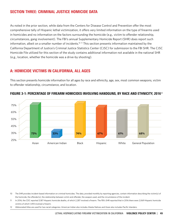# SECTION THREE: CRIMINAL JUSTICE HOMICIDE DATA

As noted in the prior section, while data from the Centers for Disease Control and Prevention offer the most comprehensive tally of Hispanic lethal victimization, it offers very limited information on the type of firearms used in homicides and no information on the factors surrounding the homicide (e.g., victim to offender relationship, circumstances, gang involvement). The FBI's annual Supplementary Homicide Report (SHR) does report such information, albeit on a smaller number of incidents.<sup>10 11</sup> This section presents information maintained by the California Department of Justice's Criminal Justice Statistics Center (CJSC) for submission to the FBI SHR. The CJSC Homicide File utilized for this section of the study contains additional information not available in the national SHR (e.g., location, whether the homicide was a drive-by shooting).

## A: HOMICIDE VICTIMS IN CALIFORNIA, ALL AGES

This section presents homicide information for all ages by race and ethnicity, age, sex, most common weapons, victim to offender relationship, circumstance, and location.



## FIGURE 3-1: PERCENTAGE OF FIREARM HOMICIDES INVOLVING HANDGUNS, BY RACE AND ETHNICITY, 2016<sup>12</sup>

- 10 The SHR provides incident-based information on criminal homicides. The data, provided monthly by reporting agencies, contain information describing the victim(s) of the homicide, the offender(s), the relationship between victim and offender, the weapon used, and the circumstance of the incident.
- 11 In 2016, the CDC reported 3,187 Hispanic homicide deaths, of which 2,287 involved a firearm. The FBI's SHR reported that in 2016 there were 2,069 Hispanic homicide victims of which 1,493 involved a firearm.
- 12 Abbreviated titles are used for two racial categories: American Indian also includes Alaska Natives and Asian also includes Pacific Islanders.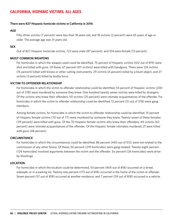# CALIFORNIA, HISPANIC VICTIMS, ALL AGES

#### **There were 827 Hispanic homicide victims in California in 2016**

#### **AGE**

Fifty-three victims (7 percent) were less than 18 years old, and 18 victims (2 percent) were 65 years of age or older. The average age was 31 years old.

#### **SEX**

Out of 827 Hispanic homicide victims, 723 were male (87 percent), and 104 were female (13 percent).

#### **MOST COMMON WEAPONS**

For homicides in which the weapon used could be identified, 75 percent of Hispanic victims (612 out of 819) were shot and killed with guns. Of these, 67 percent (411 victims) were killed with handguns. There were 124 victims (15 percent) killed with knives or other cutting instruments, 29 victims (4 percent) killed by a blunt object, and 27 victims (3 percent) killed by bodily force.

## **VICTIM TO OFFENDER RELATIONSHIP**

For homicides in which the victim to offender relationship could be identified, 53 percent of Hispanic victims (200 out of 378) were murdered by someone they knew. One hundred twenty-seven victims were killed by strangers. Of the victims who knew their offenders, 50 victims (25 percent) were intimate acquaintances of the offender. For homicides in which the victim to offender relationship could be identified, 13 percent (51 out of 378) were gang members.

Among female victims, for homicides in which the victim to offender relationship could be identified, 91 percent of Hispanic female victims (70 out of 77) were murdered by someone they knew. Twenty-seven of these females (39 percent) were killed with guns. Of the 70 Hispanic female victims who knew their offenders, 44 victims (63 percent) were intimate acquaintances of the offender. Of the Hispanic female intimates murdered, 21 were killed with guns (48 percent).

### **CIRCUMSTANCE**

For homicides in which the circumstances could be identified, 86 percent (440 out of 512) were not related to the commission of any other felony. Of these, 50 percent (219 homicides) were gang-related. Twenty-eight percent (124 homicides) involved arguments between the victim and the offender. Six percent (26 homicides) were driveby shootings.

### **LOCATION**

For homicides in which the location could be determined, 50 percent (405 out of 818) occurred on a street, sidewalk, or in a parking lot. Twenty-one percent (173 out of 818) occurred in the home of the victim or offender. Seven percent (57 out of 818) occurred at another residence, and 7 percent (59 out of 818) occurred in a vehicle.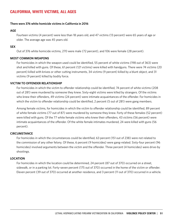# CALIFORNIA, WHITE VICTIMS, ALL AGES

#### **There were 376 white homicide victims in California in 2016**

#### **AGE**

Fourteen victims (4 percent) were less than 18 years old, and 47 victims (13 percent) were 65 years of age or older. The average age was 45 years old.

#### **SEX**

Out of 376 white homicide victims, 270 were male (72 percent), and 106 were female (28 percent).

#### **MOST COMMON WEAPONS**

For homicides in which the weapon used could be identified, 55 percent of white victims (198 out of 363) were shot and killed with guns. Of these, 61 percent (121 victims) were killed with handguns. There were 74 victims (20 percent) killed with knives or other cutting instruments, 34 victims (9 percent) killed by a blunt object, and 31 victims (9 percent) killed by bodily force.

#### **VICTIM TO OFFENDER RELATIONSHIP**

For homicides in which the victim to offender relationship could be identified, 74 percent of white victims (208 out of 281) were murdered by someone they knew. Sixty-eight victims were killed by strangers. Of the victims who knew their offenders, 49 victims (24 percent) were intimate acquaintances of the offender. For homicides in which the victim to offender relationship could be identified, 2 percent (5 out of 281) were gang members.

Among female victims, for homicides in which the victim to offender relationship could be identified, 89 percent of white female victims (77 out of 87) were murdered by someone they knew. Forty of these females (52 percent) were killed with guns. Of the 77 white female victims who knew their offenders, 43 victims (56 percent) were intimate acquaintances of the offender. Of the white female intimates murdered, 24 were killed with guns (56 percent).

#### **CIRCUMSTANCE**

For homicides in which the circumstances could be identified, 63 percent (151 out of 238) were not related to the commission of any other felony. Of these, 6 percent (9 homicides) were gang-related. Sixty-four percent (96 homicides) involved arguments between the victim and the offender. Three percent (4 homicides) were drive-by shootings.

#### **LOCATION**

For homicides in which the location could be determined, 24 percent (87 out of 370) occurred on a street, sidewalk, or in a parking lot. Forty-seven percent (175 out of 370) occurred in the home of the victim or offender. Eleven percent (39 out of 370) occurred at another residence, and 3 percent (11 out of 370) occurred in a vehicle.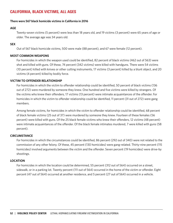# CALIFORNIA, BLACK VICTIMS, ALL AGES

### **There were 567 black homicide victims in California in 2016**

## **AGE**

Twenty-seven victims (5 percent) were less than 18 years old, and 19 victims (3 percent) were 65 years of age or older. The average age was 34 years old.

## **SEX**

Out of 567 black homicide victims, 500 were male (88 percent), and 67 were female (12 percent).

## **MOST COMMON WEAPONS**

For homicides in which the weapon used could be identified, 82 percent of black victims (462 out of 563) were shot and killed with guns. Of these, 74 percent (342 victims) were killed with handguns. There were 54 victims (10 percent) killed with knives or other cutting instruments, 17 victims (3 percent) killed by a blunt object, and 20 victims (4 percent) killed by bodily force.

## **VICTIM TO OFFENDER RELATIONSHIP**

For homicides in which the victim to offender relationship could be identified, 50 percent of black victims (136 out of 272) were murdered by someone they knew. One hundred and five victims were killed by strangers. Of the victims who knew their offenders, 17 victims (13 percent) were intimate acquaintances of the offender. For homicides in which the victim to offender relationship could be identified, 11 percent (31 out of 272) were gang members.

Among female victims, for homicides in which the victim to offender relationship could be identified, 68 percent of black female victims (25 out of 37) were murdered by someone they knew. Fourteen of these females (56 percent) were killed with guns. Of the 25 black female victims who knew their offenders, 12 victims (48 percent) were intimate acquaintances of the offender. Of the black female intimates murdered, 7 were killed with guns (58 percent).

## **CIRCUMSTANCE**

For homicides in which the circumstances could be identified, 86 percent (292 out of 340) were not related to the commission of any other felony. Of these, 45 percent (130 homicides) were gang-related. Thirty-nine percent (115 homicides) involved arguments between the victim and the offender. Seven percent (19 homicides) were drive-by shootings.

## **LOCATION**

For homicides in which the location could be determined, 55 percent (312 out of 564) occurred on a street, sidewalk, or in a parking lot. Twenty percent (111 out of 564) occurred in the home of the victim or offender. Eight percent (47 out of 564) occurred at another residence, and 5 percent (27 out of 564) occurred in a vehicle.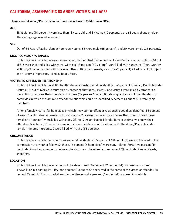# CALIFORNIA, ASIAN/PACIFIC ISLANDER VICTIMS, ALL AGES

## **There were 84 Asian/Pacific Islander homicide victims in California in 2016**

## **AGE**

Eight victims (10 percent) were less than 18 years old, and 8 victims (10 percent) were 65 years of age or older. The average age was 41 years old.

## **SEX**

Out of 84 Asian/Pacific Islander homicide victims, 55 were male (65 percent), and 29 were female (35 percent).

## **MOST COMMON WEAPONS**

For homicides in which the weapon used could be identified, 54 percent of Asian/Pacific Islander victims (44 out of 81) were shot and killed with guns. Of these, 73 percent (32 victims) were killed with handguns. There were 19 victims (23 percent) killed with knives or other cutting instruments, 9 victims (11 percent) killed by a blunt object, and 4 victims (5 percent) killed by bodily force.

## **VICTIM TO OFFENDER RELATIONSHIP**

For homicides in which the victim to offender relationship could be identified, 60 percent of Asian/Pacific Islander victims (36 out of 60) were murdered by someone they knew. Twenty-one victims were killed by strangers. Of the victims who knew their offenders, 8 victims (22 percent) were intimate acquaintances of the offender. For homicides in which the victim to offender relationship could be identified, 5 percent (3 out of 60) were gang members.

Among female victims, for homicides in which the victim to offender relationship could be identified, 83 percent of Asian/Pacific Islander female victims (19 out of 23) were murdered by someone they knew. Nine of these females (47 percent) were killed with guns. Of the 19 Asian/Pacific Islander female victims who knew their offenders, 6 victims (32 percent) were intimate acquaintances of the offender. Of the Asian/Pacific Islander female intimates murdered, 2 were killed with guns (33 percent).

#### **CIRCUMSTANCE**

For homicides in which the circumstances could be identified, 60 percent (31 out of 52) were not related to the commission of any other felony. Of these, 16 percent (5 homicides) were gang-related. Forty-two percent (13 homicides) involved arguments between the victim and the offender. Ten percent (3 homicides) were drive-by shootings.

#### **LOCATION**

For homicides in which the location could be determined, 26 percent (22 out of 84) occurred on a street, sidewalk, or in a parking lot. Fifty-one percent (43 out of 84) occurred in the home of the victim or offender. Six percent (5 out of 84) occurred at another residence, and 7 percent (6 out of 84) occurred in a vehicle.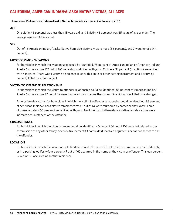# CALIFORNIA, AMERICAN INDIAN/ALASKA NATIVE VICTIMS, ALL AGES

## **There were 16 American Indian/Alaska Native homicide victims in California in 2016**

### **AGE**

One victim (6 percent) was less than 18 years old, and 1 victim (6 percent) was 65 years of age or older. The average age was 39 years old.

## **SEX**

Out of 16 American Indian/Alaska Native homicide victims, 9 were male (56 percent), and 7 were female (44 percent).

## **MOST COMMON WEAPONS**

For homicides in which the weapon used could be identified, 75 percent of American Indian or American Indian/ Alaska Native victims (12 out of 16) were shot and killed with guns. Of these, 33 percent (4 victims) were killed with handguns. There was 1 victim (6 percent) killed with a knife or other cutting instrument and 1 victim (6 percent) killed by a blunt object.

## **VICTIM TO OFFENDER RELATIONSHIP**

For homicides in which the victim to offender relationship could be identified, 88 percent of American Indian/ Alaska Native victims (7 out of 8) were murdered by someone they knew. One victim was killed by a stranger.

Among female victims, for homicides in which the victim to offender relationship could be identified, 83 percent of American Indian/Alaska Native female victims (5 out of 6) were murdered by someone they knew. Three of these females (60 percent) were killed with guns. No American Indian/Alaska Native female victims were intimate acquaintances of the offender.

#### **CIRCUMSTANCE**

For homicides in which the circumstances could be identified, 40 percent (4 out of 10) were not related to the commission of any other felony. Seventy-five percent (3 homicides) involved arguments between the victim and the offender.

#### **LOCATION**

For homicides in which the location could be determined, 31 percent (5 out of 16) occurred on a street, sidewalk, or in a parking lot. Forty-four percent (7 out of 16) occurred in the home of the victim or offender. Thirteen percent (2 out of 16) occurred at another residence.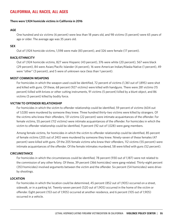# CALIFORNIA, ALL RACES, ALL AGES

#### **There were 1,924 homicide victims in California in 2016**

#### **AGE**

One hundred and six victims (6 percent) were less than 18 years old, and 98 victims (5 percent) were 65 years of age or older. The average age was 35 years old.

#### **SEX**

Out of 1,924 homicide victims, 1,598 were male (83 percent), and 326 were female (17 percent).

## **RACE/ETHNICITY**

Out of 1,924 homicide victims, 827 were Hispanic (43 percent), 376 were white (20 percent), 567 were black (29 percent), 84 were Asian/Pacific Islander (4 percent), 16 were American Indian/Alaska Native (1 percent), 49 were "other" (3 percent), and 5 were of unknown race (less than 1 percent).

#### **MOST COMMON WEAPONS**

For homicides in which the weapon used could be identified, 72 percent of victims (1,361 out of 1,895) were shot and killed with guns. Of these, 68 percent (927 victims) were killed with handguns. There were 281 victims (15 percent) killed with knives or other cutting instruments, 91 victims (5 percent) killed by a blunt object, and 86 victims (5 percent) killed by bodily force.

#### **VICTIM TO OFFENDER RELATIONSHIP**

For homicides in which the victim to offender relationship could be identified, 59 percent of victims (604 out of 1,028) were murdered by someone they knew. Three hundred thirty-two victims were killed by strangers. Of the victims who knew their offenders, 131 victims (22 percent) were intimate acquaintances of the offender. For female victims, 55 percent (112 victims) were intimate acquaintances of the offender. For homicides in which the victim to offender relationship could be identified, 9 percent (92 out of 1,028) were gang members.

Among female victims, for homicides in which the victim to offender relationship could be identified, 85 percent of female victims (205 out of 240) were murdered by someone they knew. Ninety-seven of these females (47 percent) were killed with guns. Of the 205 female victims who knew their offenders, 112 victims (55 percent) were intimate acquaintances of the offender. Of the female intimates murdered, 58 were killed with guns (52 percent).

#### **CIRCUMSTANCE**

For homicides in which the circumstances could be identified, 78 percent (930 out of 1,187) were not related to the commission of any other felony. Of these, 39 percent (366 homicides) were gang-related. Thirty-eight percent (353 homicides) involved arguments between the victim and the offender. Six percent (54 homicides) were driveby shootings.

#### **LOCATION**

For homicides in which the location could be determined, 45 percent (852 out of 1,905) occurred on a street, sidewalk, or in a parking lot. Twenty-seven percent (520 out of 1,905) occurred in the home of the victim or offender. Eight percent (153 out of 1,905) occurred at another residence, and 6 percent (105 out of 1,905) occurred in a vehicle.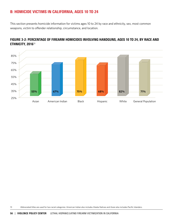# B: HOMICIDE VICTIMS IN CALIFORNIA, AGES 10 TO 24

This section presents homicide information for victims ages 10 to 24 by race and ethnicity, sex, most common weapons, victim to offender relationship, circumstance, and location.



## FIGURE 3-2: PERCENTAGE OF FIREARM HOMICIDES INVOLVING HANDGUNS, AGES 10 TO 24, BY RACE AND ETHNICITY, 2016<sup>13</sup>

13 Abbreviated titles are used for two racial categories: American Indian also includes Alaska Natives and Asian also includes Pacific Islanders.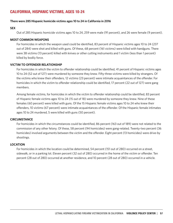# CALIFORNIA, HISPANIC VICTIMS, AGES 10-24

### **There were 285 Hispanic homicide victims ages 10 to 24 in California in 2016**

### **SEX**

Out of 285 Hispanic homicide victims ages 10 to 24, 259 were male (91 percent), and 26 were female (9 percent).

## **MOST COMMON WEAPONS**

For homicides in which the weapon used could be identified, 83 percent of Hispanic victims ages 10 to 24 (237 out of 284) were shot and killed with guns. Of these, 68 percent (161 victims) were killed with handguns. There were 38 victims (13 percent) killed with knives or other cutting instruments and 1 victim (less than 1 percent) killed by bodily force.

## **VICTIM TO OFFENDER RELATIONSHIP**

For homicides in which the victim to offender relationship could be identified, 41 percent of Hispanic victims ages 10 to 24 (52 out of 127) were murdered by someone they knew. Fifty-three victims were killed by strangers. Of the victims who knew their offenders, 12 victims (23 percent) were intimate acquaintances of the offender. For homicides in which the victim to offender relationship could be identified, 17 percent (22 out of 127) were gang members.

Among female victims, for homicides in which the victim to offender relationship could be identified, 83 percent of Hispanic female victims ages 10 to 24 (15 out of 18) were murdered by someone they knew. Nine of these females (60 percent) were killed with guns. Of the 15 Hispanic female victims ages 10 to 24 who knew their offenders, 10 victims (67 percent) were intimate acquaintances of the offender. Of the Hispanic female intimates ages 10 to 24 murdered, 5 were killed with guns (50 percent).

#### **CIRCUMSTANCE**

For homicides in which the circumstances could be identified, 86 percent (163 out of 189) were not related to the commission of any other felony. Of these, 58 percent (94 homicides) were gang-related. Twenty-two percent (36 homicides) involved arguments between the victim and the offender. Eight percent (13 homicides) were drive-by shootings.

#### **LOCATION**

For homicides in which the location could be determined, 54 percent (151 out of 280) occurred on a street, sidewalk, or in a parking lot. Eleven percent (32 out of 280) occurred in the home of the victim or offender. Ten percent (28 out of 280) occurred at another residence, and 10 percent (28 out of 280) occurred in a vehicle.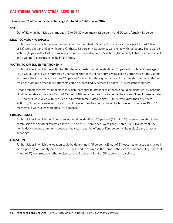# CALIFORNIA, WHITE VICTIMS, AGES 10-24

#### **There were 52 white homicide victims ages 10 to 24 in California in 2016**

#### **SEX**

Out of 52 white homicide victims ages 10 to 24, 32 were male (62 percent), and 20 were female (38 percent).

#### **MOST COMMON WEAPONS**

For homicides in which the weapon used could be identified, 65 percent of white victims ages 10 to 24 (34 out of 52) were shot and killed with guns. Of these, 82 percent (28 victims) were killed with handguns. There were 8 victims (15 percent) killed with knives or other cutting instruments, 5 victims (10 percent) killed by a blunt object, and 1 victim (2 percent) killed by bodily force.

### **VICTIM TO OFFENDER RELATIONSHIP**

For homicides in which the victim to offender relationship could be identified, 70 percent of white victims ages 10 to 24 (26 out of 37) were murdered by someone they knew. Nine victims were killed by strangers. Of the victims who knew their offenders, 6 victims (23 percent) were intimate acquaintances of the offender. For homicides in which the victim to offender relationship could be identified, 5 percent (2 out of 37) were gang members.

Among female victims, for homicides in which the victim to offender relationship could be identified, 89 percent of white female victims ages 10 to 24 (16 out of 18) were murdered by someone they knew. Nine of these females (56 percent) were killed with guns. Of the 16 white female victims ages 10 to 24 who knew their offenders, 6 victims (38 percent) were intimate acquaintances of the offender. Of the white female intimates ages 10 to 24 murdered, 3 were killed with guns (50 percent).

#### **CIRCUMSTANCE**

For homicides in which the circumstances could be identified, 70 percent (23 out of 33) were not related to the commission of any other felony. Of these, 13 percent (3 homicides) were gang-related. Sixty-five percent (15 homicides) involved arguments between the victim and the offender. Four percent (1 homicide) were drive-by shootings.

#### **LOCATION**

For homicides in which the location could be determined, 45 percent (23 out of 51) occurred on a street, sidewalk, or in a parking lot. Twenty-nine percent (15 out of 51) occurred in the home of the victim or offender. Eight percent (4 out of 51) occurred at another residence, and 6 percent (3 out of 51) occurred in a vehicle.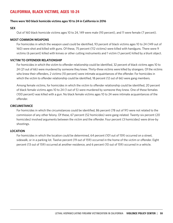# CALIFORNIA, BLACK VICTIMS, AGES 10-24

### **There were 160 black homicide victims ages 10 to 24 in California in 2016**

### **SEX**

Out of 160 black homicide victims ages 10 to 24, 149 were male (93 percent), and 11 were female (7 percent).

## **MOST COMMON WEAPONS**

For homicides in which the weapon used could be identified, 93 percent of black victims ages 10 to 24 (149 out of 160) were shot and killed with guns. Of these, 75 percent (112 victims) were killed with handguns. There were 9 victims (6 percent) killed with knives or other cutting instruments and 1 victim (1 percent) killed by a blunt object.

## **VICTIM TO OFFENDER RELATIONSHIP**

For homicides in which the victim to offender relationship could be identified, 32 percent of black victims ages 10 to 24 (21 out of 66) were murdered by someone they knew. Thirty-three victims were killed by strangers. Of the victims who knew their offenders, 2 victims (10 percent) were intimate acquaintances of the offender. For homicides in which the victim to offender relationship could be identified, 18 percent (12 out of 66) were gang members.

Among female victims, for homicides in which the victim to offender relationship could be identified, 20 percent of black female victims ages 10 to 24 (1 out of 5) were murdered by someone they knew. One of these females (100 percent) was killed with a gun. No black female victims ages 10 to 24 were intimate acquaintances of the offender.

#### **CIRCUMSTANCE**

For homicides in which the circumstances could be identified, 86 percent (78 out of 91) were not related to the commission of any other felony. Of these, 67 percent (52 homicides) were gang-related. Twenty-six percent (20 homicides) involved arguments between the victim and the offender. Four percent (3 homicides) were drive-by shootings.

#### **LOCATION**

For homicides in which the location could be determined, 64 percent (101 out of 159) occurred on a street, sidewalk, or in a parking lot. Twelve percent (19 out of 159) occurred in the home of the victim or offender. Eight percent (13 out of 159) occurred at another residence, and 6 percent (10 out of 159) occurred in a vehicle.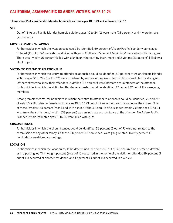# CALIFORNIA, ASIAN/PACIFIC ISLANDER VICTIMS, AGES 10-24

### **There were 16 Asian/Pacific Islander homicide victims ages 10 to 24 in California in 2016**

### **SEX**

Out of 16 Asian/Pacific Islander homicide victims ages 10 to 24, 12 were male (75 percent), and 4 were female (25 percent).

## **MOST COMMON WEAPONS**

For homicides in which the weapon used could be identified, 69 percent of Asian/Pacific Islander victims ages 10 to 24 (11 out of 16) were shot and killed with guns. Of these, 55 percent (6 victims) were killed with handguns. There was 1 victim (6 percent) killed with a knife or other cutting instrument and 2 victims (13 percent) killed by a blunt object.

## **VICTIM TO OFFENDER RELATIONSHIP**

For homicides in which the victim to offender relationship could be identified, 50 percent of Asian/Pacific Islander victims ages 10 to 24 (6 out of 12) were murdered by someone they knew. Four victims were killed by strangers. Of the victims who knew their offenders, 2 victims (33 percent) were intimate acquaintances of the offender. For homicides in which the victim to offender relationship could be identified, 17 percent (2 out of 12) were gang members.

Among female victims, for homicides in which the victim to offender relationship could be identified, 75 percent of Asian/Pacific Islander female victims ages 10 to 24 (3 out of 4) were murdered by someone they knew. One of these females (33 percent) was killed with a gun. Of the 3 Asian/Pacific Islander female victims ages 10 to 24 who knew their offenders, 1 victim (33 percent) was an intimate acquaintance of the offender. No Asian/Pacific Islander female intimates ages 10 to 24 were killed with guns.

#### **CIRCUMSTANCE**

For homicides in which the circumstances could be identified, 56 percent (5 out of 9) were not related to the commission of any other felony. Of these, 60 percent (3 homicides) were gang-related. Twenty percent (1 homicide) were drive-by shootings.

#### **LOCATION**

For homicides in which the location could be determined, 31 percent (5 out of 16) occurred on a street, sidewalk, or in a parking lot. Thirty-eight percent (6 out of 16) occurred in the home of the victim or offender. Six percent (1 out of 16) occurred at another residence, and 19 percent (3 out of 16) occurred in a vehicle.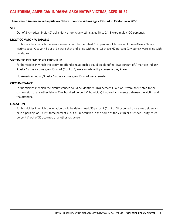# CALIFORNIA, AMERICAN INDIAN/ALASKA NATIVE VICTIMS, AGES 10-24

## **There were 3 American Indian/Alaska Native homicide victims ages 10 to 24 in California in 2016**

### **SEX**

Out of 3 American Indian/Alaska Native homicide victims ages 10 to 24, 3 were male (100 percent).

## **MOST COMMON WEAPONS**

For homicides in which the weapon used could be identified, 100 percent of American Indian/Alaska Native victims ages 10 to 24 (3 out of 3) were shot and killed with guns. Of these, 67 percent (2 victims) were killed with handguns.

## **VICTIM TO OFFENDER RELATIONSHIP**

For homicides in which the victim to offender relationship could be identified, 100 percent of American Indian/ Alaska Native victims ages 10 to 24 (1 out of 1) were murdered by someone they knew.

No American Indian/Alaska Native victims ages 10 to 24 were female.

## **CIRCUMSTANCE**

For homicides in which the circumstances could be identified, 100 percent (1 out of 1) were not related to the commission of any other felony. One hundred percent (1 homicide) involved arguments between the victim and the offender.

## **LOCATION**

For homicides in which the location could be determined, 33 percent (1 out of 3) occurred on a street, sidewalk, or in a parking lot. Thirty-three percent (1 out of 3) occurred in the home of the victim or offender. Thirty-three percent (1 out of 3) occurred at another residence.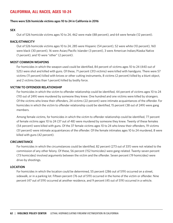# CALIFORNIA, ALL RACES, AGES 10-24

#### **There were 526 homicide victims ages 10 to 24 in California in 2016**

#### **SEX**

Out of 526 homicide victims ages 10 to 24, 462 were male (88 percent), and 64 were female (12 percent).

#### **RACE/ETHNICITY**

Out of 526 homicide victims ages 10 to 24, 285 were Hispanic (54 percent), 52 were white (10 percent), 160 were black (30 percent), 16 were Asian/Pacific Islander (3 percent), 3 were American Indian/Alaska Native (1 percent), and 10 were "other" (2 percent).

#### **MOST COMMON WEAPONS**

For homicides in which the weapon used could be identified, 84 percent of victims ages 10 to 24 (440 out of 525) were shot and killed with guns. Of these, 71 percent (313 victims) were killed with handguns. There were 57 victims (11 percent) killed with knives or other cutting instruments, 8 victims (2 percent) killed by a blunt object, and 2 victims (less than 1 percent) killed by bodily force.

#### **VICTIM TO OFFENDER RELATIONSHIP**

For homicides in which the victim to offender relationship could be identified, 44 percent of victims ages 10 to 24 (110 out of 249) were murdered by someone they knew. One hundred and one victims were killed by strangers. Of the victims who knew their offenders, 24 victims (22 percent) were intimate acquaintances of the offender. For homicides in which the victim to offender relationship could be identified, 15 percent (38 out of 249) were gang members.

Among female victims, for homicides in which the victim to offender relationship could be identified, 77 percent of female victims ages 10 to 24 (37 out of 48) were murdered by someone they knew. Twenty of these females (54 percent) were killed with guns. Of the 37 female victims ages 10 to 24 who knew their offenders, 19 victims (51 percent) were intimate acquaintances of the offender. Of the female intimates ages 10 to 24 murdered, 8 were killed with guns (42 percent).

#### **CIRCUMSTANCE**

For homicides in which the circumstances could be identified, 82 percent (273 out of 331) were not related to the commission of any other felony. Of these, 56 percent (152 homicides) were gang-related. Twenty-seven percent (73 homicides) involved arguments between the victim and the offender. Seven percent (19 homicides) were drive-by shootings.

#### **LOCATION**

For homicides in which the location could be determined, 55 percent (286 out of 519) occurred on a street, sidewalk, or in a parking lot. Fifteen percent (76 out of 519) occurred in the home of the victim or offender. Nine percent (47 out of 519) occurred at another residence, and 9 percent (45 out of 519) occurred in a vehicle.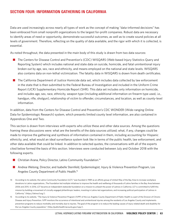# SECTION FOUR: INFORMATION GATHERING IN CALIFORNIA

Data are used increasingly across nearly all types of work as the concept of making "data-informed decisions" has been embraced from small nonprofit organizations to the largest for-profit companies. Robust data are necessary to identify areas of need or opportunity, demonstrate successful outcomes, as well as to create sound policies at all levels of government. Therefore, reflecting on the quality of data available, and the rigor with which it is collected, is essential.

As noted throughout, the data presented in the main body of this study is drawn from two data sources:

- The Centers for Disease Control and Prevention's (CDC) WISQARS (Web-based Injury Statistics Query and Reporting System) which includes national and state data on suicide, homicide, and fatal unintentional injury broken out by age, sex, race and ethnicity, and means employed on the national and state levels. WISQARS also contains data on non-lethal victimization. The fatality data in WISQARS is drawn from death certificates.
- The California Department of Justice Homicide data set, which includes data collected by law enforcement in the state that is then submitted to the Federal Bureau of Investigation and included in the Uniform Crime Report (UCR) Supplementary Homicide Report (SHR). This data set includes only information on homicide, and includes age, sex, race, ethnicity, weapon type (including additional information on firearm type used, i.e., handgun, rifle, shotgun), relationship of victim to offender, circumstances, and location, as well as county-level information.

In addition, data from the Centers for Disease Control and Prevention's CDC WONDER (Wide-ranging Online Data for Epidemiologic Research) system, which presents limited county level information, are also contained in Appendices One and Two.

This section is drawn from interviews with experts who utilize these and other data sources. Among the questions framing these discussions were: what are the benefits of the data sources utilized; what, if any, changes could be made to improve the gathering and synthesis of information contained in them, including accounting for Hispanic ethnicity; and, what would an ideal surveillance system look like in terms of the public health, law enforcement, and other data available that could be linked. In addition to selected quotes, the conversations with all of the experts cited below formed the basis of this section. Interviews were conducted between July and October 2018 with the following experts.

- **n** Christian Arana, Policy Director, Latino Community Foundation.<sup>14</sup>
- Andrea Welsing, Director, and Isabelle Sternfeld, Epidemiologist, Injury & Violence Prevention Program, Los Angeles County Department of Public Health.15
- 14 According to its website, the Latino Community Foundation (LCF) "was founded in 1989 as an affinity group of United Way of the Bay Area to increase workplace donations to Latino organizations…The Foundation led multiple initiatives to improve the health and wellbeing of thousands of Latino families in the Bay Area between 2006 and 2015. In 2016, LCF became an independent statewide foundation on a mission to unleash the power of Latinos in California. LCF is committed to fulfill this mission by building a movement of civically engaged philanthropic leaders, investing in Latino-led organizations, and increasing political participation of Latinos in California," (https://latinocf.org/).
- 15 According to its website, "The Injury & Violence Prevention Program (IVPP) of the Los Angeles County Department of Public Health is a part of the Division of Chronic Disease and Injury Prevention. IVPP monitors the occurrence of intentional and unintentional injuries among the residents of Los Angeles County and implements prevention programs to reduce morbidity and mortality due to injuries. The goal of the program is to reduce the leading causes of injury related death and disability for the Los Angeles County population," (http://publichealth.lacounty.gov/ivpp/).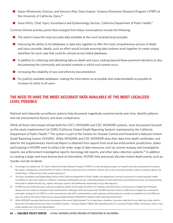- Garen Wintemute, Director, and Veronica Pear, Data Analyst, Violence Prevention Research Program (VPRP) at the University of California, Davis.<sup>16</sup>
- Steve Wirtz, Chief, Injury Surveillance and Epidemiology Section, California Department of Public Health.<sup>17</sup>

Common themes and key points that emerged from these conversations include the following.

- $\blacksquare$  The need to have the most accurate data available at the most localized level possible.
- $\blacksquare$  Improving the ability to tie databases or data sets together to offer the most comprehensive picture of death and injury possible. Ideally, such an effort would include ensuring data systems work together to create unique identifiers for each case that could be utilized across linked databases.
- n In addition to collecting and tabulating data on death and injury, looking beyond these proximal indicators to also documenting the community and societal contexts in which such events occur.
- Increasing the reliability of race and ethnicity documentation.
- For publicly available databases, making the information as accessible and understandable as possible to increase its utility to all users.

# THE NEED TO HAVE THE MOST ACCURATE DATA AVAILABLE AT THE MOST LOCALIZED LEVEL POSSIBLE

National and statewide surveillance systems help document magnitude, examine trends over time, identify patterns and risk and protective factors, and draw comparisons.

While all those interviewed utilized both the CDC's WISQARS and CDC WONDER systems, most discussions focused on the newly implemented Cal-VDRS (California Violent Death Reporting System) maintained by the California Department of Public Health.18 The system is part of the Centers for Disease Control and Prevention's National Violent Death Reporting System (NVDRS). While WISQARS and CDC WONDER draw their data from death certificates, and data for the Supplementary Homicide Report is obtained from reports from local law enforcement jurisdictions, states participating in NVDRS work to utilize a far wider range of data resources, such as coroner autopsy and investigative reports, law enforcement investigative reports, toxicology lab reports, and other data collection systems.19 In addition to creating a larger and more diverse pool of information, NVDRS links previously discrete violent death events, such as murder-suicide incidents.

- 16 According to its website, the "UC Davis Violence Prevention Research Program (VPRP) is a multi-disciplinary program of research and policy development focused on the causes, consequences, and prevention of violence. We place a particular focus on firearm violence, and on the connections between violence, substance abuse, and mental illness," (https://www.ucdmc.ucdavis.edu/vprp/).
- 17 The Injury Surveillance and Epidemiology Section of the California Department of Public Health is the department's primary focal point for conducting public health surveillance on injury and violence in California, including compiling data sources, conducting analyses on both intentional and unintentional injuries, and disseminating these data in multiple formats (e.g., reports, data query systems and dashboards, responding to injury data requests.)
- 18 NVDRS has just recently become a national surveillance system (all 50 states, the District of Columbia, and Puerto Rico) as announced in a September 2018 press release from the Centers for Disease Control and Prevention. Although California received CDC NVDRS funds from 2005 to 2009 and Los Angeles has continued to participate, funding for Cal-VDRS to re-start was received in late 2016. Implementation is still underway, and thus data are currently not available from Cal-VDRS and were not used for this study, (https://www.cdc.gov/media/releases/2018/p0905-national-violent-reporting-system.html).
- 19 While WISQARS was described by one interviewee as the current "gold standard" for its reporting on fatalities, it was also noted that its non-fatal injury data, which is drawn from the National Electronic Injury Surveillance System – All Injury Program (NEISS-AIP) operated by the U.S. Consumer Product Safety Commission, relies on too small a sample size to be truly representative.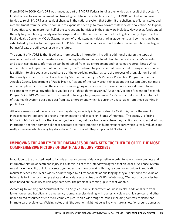From 2005 to 2009, Cal-VDRS was funded as part of NVDRS. Federal funding then ended as a result of the system's limited access to law enforcement and toxicological data in the state. In late 2016, Cal-VDRS applied for and was funded to rejoin NVDRS as a result of changes in the national system that better fit the challenges of larger states and a commitment from the state to continue to expand its coverage to move toward statewide data collection. At its peak, 14 counties covering more than half of the suicides and homicides in the state were included. However, as funds ended, the only fully functioning county was Los Angeles due to the commitment of the Los Angeles County Department of Public Health. Currently MOUs (Memorandum of Understanding), data sharing agreements, and contracts are being established by the California Department of Public Health with counties across the state. Implementation has begun, but useful data are still a year or so in the future.

The benefit of NVDRS is that it collects more detailed information, including additional data on the types of weapons used and the circumstances surrounding death and injury. In addition to medical examiner's reports and death certificates, information can be obtained from law enforcement and toxicology reports. Notes Wirtz of the California Department of Public Health, one "fundamental principle that I use is that no single data source is sufficient to give you a very good sense of the underlying reality. It's sort of a process of triangulation. I think that's really critical." This point is echoed by Sternfeld of the Injury & Violence Prevention Program of the Los Angeles County Department of Public Health, "It's one of the really great things about this system …You get more of the complete picture of all these circumstances going on since each of these sources has a different focus… so combining them all together lets you look at all these things together." Adds the Violence Prevention Research Program's (VPRP) Wintemute, "…the benefit of having a fully implemented Cal-VDRS is that it would contain all of that health system data plus data from law enforcement, which is currently unavailable from those working in public health."

All interviewees noted the expense of such systems, especially in larger states like California, hence the need for increased federal support for ongoing implementation and expansion. States Wintemute, "The beauty … of using NVDRS is, NVDRS performs that kind of synthesis. They get data from everywhere they can find and abstract all of that information and then combine all those separate abstracts into this big, humongous report, which is really valuable and really expensive, which is why big states haven't participated. They simply couldn't afford it…."

# IMPROVING THE ABILITY TO TIE DATABASES OR DATA SETS TOGETHER TO OFFER THE MOST COMPREHENSIVE PICTURE OF DEATH AND INJURY POSSIBLE

In addition to the oft-cited need to include as many sources of data as possible in order to gain a more complete and informative picture of death and injury in California, all of those interviewed agreed that an ideal surveillance system would have the ability to link data sets together, across many domains, through a common or unique identification marker for each case. While widely acknowledged by all respondents as challenging, they all pointed to the value of being able to link across multiple state and local data sets. Notes the VPRP's Wintemute, "Our work for decades has been based on the ability to link large data sets. The problem is coming up with that variable."

According to Welsing and Sternfeld of the Los Angeles County Department of Public Health, additional data from law enforcement, hospitals and emergency rooms, agencies dealing with domestic violence, child services, and other underutilized resources offer a more complete picture on a wide range of issues, including domestic violence and intimate partner violence. Welsing notes that "the coroner might not be as likely to make a notation around domestic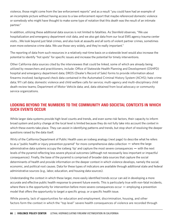violence, those might come from the law enforcement reports" and as a result "you could have had an example of an incomplete picture without having access to a law enforcement report that maybe referenced domestic violence or somebody who might have thought to make some type of notation that this death was the result of an intimate partner."

In addition, utilizing these additional data sources is not limited to fatalities. As Sternfeld observes, "We use hospitalization and emergency department visit data, and we also get data from our local EMS agency trauma center visits….We look beyond just fatal crimes, and also look at assaults and all sorts of violent partner crimes, sometimes even more extensive crime data. We use those very widely, and they're really important."

The reporting of data from such resources in a relatively real-time basis on a statewide level would also increase the potential to identify "hot spots" for specific issues and increase the potential for timely interventions.

Other California data sources cited by the interviewees that could be linked, some of which are already being utilized by researchers and practitioners, include: Office of Statewide Health Planning and Development (OSHPD) hospital and emergency department data; DROS (Dealer's Record of Sale) forms to provide information about firearms involved; background check data contained in the Automated Criminal History System (ACHS); hate crime data; 911 call data; domestic violence and child welfare calls for service; multi-agency and multi-disciplinary child death review teams; Department of Motor Vehicle data; and, data obtained from local advocacy or community service organizations.

# LOOKING BEYOND THE NUMBERS TO THE COMMUNITY AND SOCIETAL CONTEXTS IN WHICH SUCH EVENTS OCCUR

While larger data systems provide high-level counts and trends, and even some risk factors, their capacity to inform broad system and policy change at the local level is limited because they do not fully take into account the *context* in which these events take place. They can assist in identifying patterns and trends, but stop short of resolving the deeper questions raised by the data itself.

Wirtz of the California Department of Public Health uses an iceberg analogy (next page) to describe what he refers to as a "public health or injury prevention pyramid" for more comprehensive data collection — where the large administrative data systems occupy the iceberg 'tip' and capture the most severe consequences — with the next levels of the pyramid reflecting less severe physical outcomes (although not necessarily less important or impactful consequences). Finally, the base of the pyramid is comprised of broader data sources that capture the social determinants of health and provide information on the deeper context in which violence develops, namely the social, economic, and political root causes. Data for these types of indicators are available through additional state and federal administrative sources (e.g., labor, education, and housing data sources).

Understanding the context in which these larger, more easily identified trends occur can aid in developing a more accurate and effective public health response to prevent future events. This is particularly true with non-fatal incidents, where there is the opportunity for intervention before more severe consequences occur  $-$  employing a prevention model that offers the opportunity to target a specific group, or a specific health issue.

While poverty, lack of opportunities for education and employment, discrimination, housing, and other factors form the context in which the "top level" severe health consequences of violence are recorded through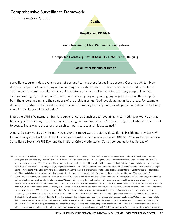# **Comprehensive Surveillance Framework**

*Injury Prevention Pyramid*

**Deaths**

**Hospital and ED Visits**

**Law Enforcement, Child Welfare, School Systems**

**Unreported Events e.g. Sexual Assaults, Hate Crimes, Bullying**

**Social Determinants of Health**

surveillance, current data systems are not designed to take these issues into account. Observes Wirtz, "How do these deeper root causes play out in creating the conditions in which both weapons are readily available and violence becomes a maladaptive coping strategy to a bad environment for too many people. The data systems won't get you there and without that research going on, you're going to get distortions that simplify both the understanding and the solutions of the problem as just 'bad' people acting in 'bad' areas. For example, documenting adverse childhood experiences and community hardship can provide precursor indicators that may shed light on later violent behavior."

Notes the VPRP's Wintemute, "Standard surveillance is a bunch of bean counting. I mean nothing pejorative by that but it's hypothesis *raising*. 'Gee, here's an interesting pattern. Wonder why?' In order to figure out why, you have to talk to people. That's where the survey research comes in, particularly if it's sustained."

Among the surveys cited by the interviewees for this report were the statewide California Health Interview Survey.<sup>20</sup> Federal surveys cited included the CDC's Behavioral Risk Factor Surveillance System (BRFSS),<sup>21</sup> the Youth Risk Behavior Surveillance System (YRBSS),<sup>22</sup> and the National Crime Victimization Survey conducted by the Bureau of

- 20 According to its website, "The California Health Interview Survey (CHIS) is the largest state health survey in the nation. It is a random-dial telephone survey that asks questions on a wide range of health topics. CHIS is conducted on a continuous basis allowing the survey to generate timely one-year estimates. CHIS provides representative data on all 58 counties in California and provides a detailed picture of the health and health care needs of California's large and diverse population. More than 20,000 Californians — including adults, teenagers and children — are interviewed each year, and several years of data can be combined to create an even larger sample. Participants in the CHIS survey are chosen at random and the sample is extensive enough to be statistically representative of California's diverse population. CHIS is especially known for its hard-to-find data on ethnic subgroups and sexual minorities," (http://healthpolicy.ucla.edu/chis/about/Pages/about.aspx).
- 21 According to its website, the Centers for Disease Control and Prevention's "Behavioral Risk Factor Surveillance System (BRFSS) is the nation's premier system of healthrelated telephone surveys that collect state data about U.S. residents regarding their health-related risk behaviors, chronic health conditions, and use of preventive services. Established in 1984 with 15 states, BRFSS now collects data in all 50 states as well as the District of Columbia and three U.S. territories. BRFSS completes more than 400,000 adult interviews each year, making it the largest continuously conducted health survey system in the world. By collecting behavioral health risk data at the state and local level, BRFSS has become a powerful tool for targeting and building health promotion activities," (https://www.cdc.gov/brfss/about/index.htm).
- 22 According to its website, the Centers for Disease Control and Prevention's Youth Risk Behavior Surveillance Risk System (YRBSS) was "developed in 1990 to monitor health behaviors that contribute markedly to the leading causes of death, disability, and social problems among youth and adults in the United States." These include: behaviors that contribute to unintentional injuries and violence; sexual behaviors related to unintended pregnancy and sexually transmitted infections, including HIV infection; alcohol and other drug use; tobacco use; unhealthy dietary behaviors; and, inadequate physical activity. In addition, "the YRBSS monitors the prevalence of obesity and asthma and other health-related behaviors plus sexual identity and sex of sexual contacts," (https://www.cdc.gov/healthyyouth/data/yrbs/overview.htm).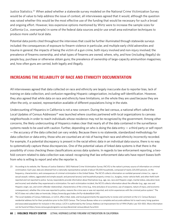Justice Statistics.23 When asked whether a statewide survey modeled on the National Crime Victimization Survey would be of value to help address the issue of context, all interviewees agreed that it would, although the question was raised whether this would be the most effective use of the funding that would be necessary for such a broad and ongoing effort. However, less expensive options mentioned by Wirtz were to increase the sample sizes for California (i.e., oversample) in some of the federal data sources and/or use small area estimation techniques to produce more useful local data.

Potential data points cited throughout the interviews that could be further illuminated through statewide surveys included: the consequences of exposure to firearm violence in particular, and multiple early child adversities and trauma in general; the impacts of being the victim of a gun crime, both injury involved and non-injury involved; the prevalence of firearms ownership, and what types of firearms are owned; where, why, and how (including illegally) do people buy, purchase or otherwise obtain guns; the prevalence of ownership of large-capacity ammunition magazines; and, how often guns are carried, both legally and illegally.

# INCREASING THE RELIABILITY OF RACE AND ETHNICITY DOCUMENTATION

All interviewees agreed that data collected on race and ethnicity are largely inaccurate due to reporter bias, lack of training on data collection, and confusion regarding Hispanic categorization, including self-identification. However, they also agreed that while data on race and ethnicity have limitations, on the whole they are used because they are often the only, or easiest, representation available of different populations living in the state.

Undercounting of Hispanics in California is not a new concern. During the last census, a national effort called the Local Updates of Census Addresses<sup>24</sup> was launched where counties partnered with local organizations to canvass neighborhoods in order to reach individuals whose residence may not be recognized by the government. Among other concerns, the likely undercounting of Hispanics makes clear that nearly all of the data contained in the surveillance systems needs to be used with caution. Further, depending on who is doing the data entry  $-$  a third party or self-report — the accuracy of the data collected can vary widely. Because there is no statewide, standardized methodology for data collection or data entry, those who *are* counted are at risk of having their race and ethnicity incorrectly recorded. For example, if a potential discrepancy is present in the racial ethnic data in an individual data source, there is no way to *systematically* capture these discrepancies. One of the potential values of linked data systems is that there is the possibility of cross checking these classifications across data systems. In regards to law enforcement reporting, a twofold concern related to data collection was raised: recognizing that law enforcement data sets have report biases both from who is willing to report and who the reporter is.

- 23 According to its website, the "Bureau of Justice Statistics' (BJS) National Crime Victimization Survey (NCVS) is the nation's primary source of information on criminal victimization. Each year, data are obtained from a nationally representative sample of about 135,000 households, composed of nearly 225,000 persons, on the frequency, characteristics, and consequences of criminal victimization in the United States. The NCVS collects information on nonfatal personal crimes (i.e., rape or sexual assault, robbery, aggravated and simple assault, and personal larceny) and household property crimes (i.e., burglary, motor vehicle theft, and other theft) both reported and not reported to police. Survey respondents provide information about themselves (e.g., age, sex, race and Hispanic origin, marital status, education level, and income) and whether they experienced a victimization. For each victimization incident, the NCVS collects information about the offender (e.g., age, race and Hispanic origin, sex, and victim-offender relationship), characteristics of the crime (e.g., time and place of occurrence, use of weapons, nature of injury, and economic consequences), whether the crime was reported to police, reasons the crime was or was not reported, and victim experiences with the criminal justice system." The NCVS does not collect data on homicide, (https://www.bjs.gov/index.cfm?ty=dcdetail&iid=245).
- 24 The Local Updates of Census Addresses, or LUCA, offers tribal, state, and local governments the opportunity to review and comment on the U.S. Census Bureau's residential address list for their jurisdiction prior to the 2020 Census. The Census Bureau relies on a complete and accurate address list to reach every living quarters and associated population for inclusion in the census. LUCA is authorized by the Census Address List Improvement Act of 1994 (Public Law 103-430). More information can be found at https://www.census.gov/programs-surveys/decennial-census/about/luca.html.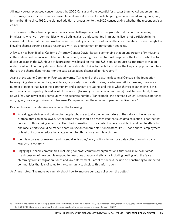All interviewees expressed concern about the 2020 Census and the potential for greater than typical undercounting. The primary reasons cited were: increased federal law enforcement efforts targeting undocumented immigrants; and, for the first time since 1950, the planned addition of a question to the 2020 census asking whether the respondent is a citizen.

The inclusion of the citizenship question has been challenged in court on the grounds that it could cause many immigrants who live in communities where both legal and undocumented immigrants live to not participate in the census out of fear that their information could be used against them or others in their communities — even though it is illegal to share a person's census responses with law enforcement or immigration agencies.

A lawsuit has been filed by California Attorney General Xavier Becerra contending that an undercount of immigrants in the state would be an incomplete population count, violating the constitutional purpose of the Census, which is to divide up seats in the U.S. House of Representatives based on the total U.S. population. Just as important is that an undercount would not only diminish federal funds allocated to California, but also skew the Hispanic population totals that are the shared denominator for the data calculations discussed in this report.<sup>25</sup>

Arana of the Latino Community Foundation warns, "At the end of the day…the decennial Census is the foundation to everything else, whether it's gun violence, or poverty, or education rates, or whatever. At its baseline, there are x number of people that live in this community, and x percent are Latino, and this is what they're experiencing. If this next Census is completely flawed, a lot of the work… [focusing on the Latino community]… will be completely flawed as well. You can never really come up with an accurate number. [For example, the degree to which] Latinos experience a… [higher]…rate of gun violence…, because it's dependent on the number of people that live there."

Key points raised by interviewees included the following.

- **n** Providing guidelines and training for people who are actually the first reporters of the data and having a clear protocol that can be followed. At the same time, it should be recognized that such data collection is not the first concern of those being asked to collect the information. In this context, where possible, in addition to ethnicity and race, efforts should be made to capture social economic status indicators like ZIP code and/or employment or level of income or educational attainment to offer a more complete picture.
- Identifying areas for research and potential legislative/policy options to improve data collection on Hispanic ethnicity in the state.
- **n** Engaging Hispanic communities, including nonprofit community organizations, that work in relevant areas, in a discussion of how people respond to questions of race and ethnicity, including dealing with the fears stemming from immigration issues and law enforcement. Part of this would include demonstrating to impacted communities that it is of value to the community to disclose this information.

As Arana notes, "The more we can talk about how to improve our data collection, the better."

<sup>13</sup> "What to know about the citizenship question the Census Bureau is planning to ask in 2020," Pew Research Center, March 30, 2018, (http://www.pewresearch.org/facttank/2018/03/30/what-to-know-about-the-citizenship-question-the-census-bureau-is-planning-to-ask-in-2020/).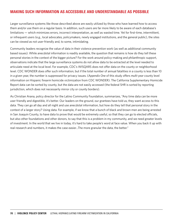# MAKING SUCH INFORMATION AS ACCESSIBLE AND UNDERSTANDABLE AS POSSIBLE

Larger surveillance systems like those described above are easily utilized by those who have learned how to access them and/or use them on a regular basis. In addition, such users are far more likely to be aware of each database's limitations — which minimizes errors, incorrect interpretation, as well as wasted time. Yet for first-time, intermittent, or infrequent users (e.g., local advocates, policymakers, newly engaged institutions, and the general public), the sites can be viewed as not user-friendly and, to some, intimidating.

Community leaders recognize the value of data in their violence prevention work (as well as additional community based issues). While anecdotal information is readily available, the question that remains is how do they tell these personal stories in the context of the bigger picture? For the work around policy-making and philanthropic support, observations indicate that the large surveillance systems do not allow data to be extracted at the level needed to articulate need at the local level. For example, CDC's WISQARS does not offer data on the county or neighborhood level. CDC WONDER does offer such information, but if the total number of annual fatalities in a county is less than 10 in a given year, the number is suppressed for privacy issues. (*Appendix One* of this study offers *multi-year* county level information on Hispanic firearm homicide victimization from CDC WONDER). The California Supplementary Homicide Report data can be sorted by county, but the data are not easily accessed (the federal SHR is sorted by reporting jurisdiction, which does not necessarily mirror city or county borders).

As Christian Arana, policy director for the Latino Community Foundation, summarizes, "Any time data can be more user friendly and digestible, it's better. Our leaders on the ground, our grantees have told us, they want access to this data. They can go all day and all night and use anecdotal information, but how do they tell that personal story in the context of a larger story? Using data. For example, if we know that a bunch of black and brown men are being arrested in San Joaquin County, to have data to prove that would be extremely useful, so that they can go to elected officials, but also other foundations and other donors, to say that this is a problem in my community, and we need greater levels of investment. In the world that we live in today, it's hard to take people's word at face value. When you back it up with real research and numbers, it makes the case easier…The more granular the data, the better."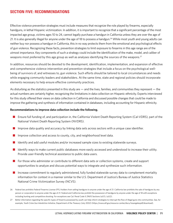# SECTION FIVE: RECOMMENDATIONS

Effective violence prevention strategies must include measures that recognize the role played by firearms, especially handguns, in lethal Hispanic victimization. In addition, it is important to recognize that a significant percentage of the most impacted age group, victims ages 10 to 24, cannot legally purchase a handgun in California unless they are over the age of 21. It is also generally illegal for anyone under the age of 18 to possess a handgun.<sup>26</sup> While most youth and young adults can neither buy nor possess a handgun in California, this in no way protects them from the emotional and psychological effects of gun violence. Recognizing these facts, prevention strategies to limit exposure to firearms in this age range are of the utmost importance. Key components of such a strategy could include the identification of the make, model, and caliber of weapons most preferred by this age group as well as analyses identifying the sources of the weapons.<sup>27</sup>

In addition, resources should be devoted to the development, identification, implementation, and expansion of effective and comprehensive violence intervention and prevention strategies that include a focus on the psychological wellbeing of survivors of, and witnesses to, gun violence. Such efforts should be tailored to local circumstances and needs while engaging community leaders and stakeholders. At the same time, state and regional policies should incorporate elements necessary to help ensure effective community practices.

As disturbing as the statistics presented in this study are — and the lives, families, and communities they represent — the actual numbers are certainly higher, recognizing the limitations in data collection on Hispanic ethnicity. Experts interviewed for this study offered their views on data collection in California and discussed possible changes that could be made to improve the gathering and synthesis of information contained in databases, including accounting for Hispanic ethnicity.

#### **Recommendations to improve data collection include the following.**

- **n** Ensure full funding of, and participation in, the California Violent Death Reporting System (Cal-VDRS), part of the National Violent Death Reporting System (NVDRS).
- Improve data quality and accuracy by linking data sets across sectors with a unique case identifier.
- $\blacksquare$  Improve collection and access to county, city, and neighborhood level data.
- Identify and add useful modules and/or increased sample sizes to existing statewide surveys.
- **n** Identify ways to make current public databases more easily accessed and understood to increase their utility. Provide user-friendly technical assistance to public data users.
- $\blacksquare$  For those who administer or contribute to different data sets or collection systems, create and support opportunities to analyze and discuss potential ways to integrate and synthesize such information.
- $\blacksquare$  Increase commitment to regularly administered, fully funded statewide survey data to complement mortality information for context in a manner similar to the U.S. Department of Justice's Bureau of Justice Statistics National Crime Victimization Survey (NCVS).
- 26 Federal law prohibits Federal Firearms License (FFL) holders from selling handguns to anyone under the age of 21. California law prohibits the sale of handguns by any person or corporation to anyone under the age of 21. Federal and California law prohibit the possession of handguns by anyone under the age of 18 with exceptions including hunting and competitive shooting. For exceptions see Cal. Penal Code § 29615 Sections (a)(1), (a)(2).
- 27 Better information regarding the specific types of firearms possessed by youth can help inform strategies to interrupt the flow of illegal guns into communities. See, for example, *Youth Crime Gun Interdiction Initiative*, Department of the Treasury (July 2002) (https://www.atf.gov/resource-center/docs/losangelespdf/download).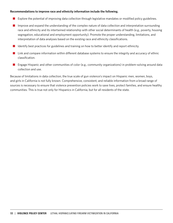#### **Recommendations to improve race and ethnicity information include the following.**

- **n** Explore the potential of improving data collection through legislative mandates or modified policy guidelines.
- $\blacksquare$  Improve and expand the understanding of the complex nature of data collection and interpretation surrounding race and ethnicity and its intertwined relationship with other social determinants of health (e.g., poverty, housing segregation, educational and employment opportunity). Promote the proper understanding, limitations, and interpretation of data analyses based on the existing race and ethnicity classifications.
- $\blacksquare$  Identify best practices for guidelines and training on how to better identify and report ethnicity.
- $\blacksquare$  Link and compare information within different database systems to ensure the integrity and accuracy of ethnic classification.
- **n** Engage Hispanic and other communities of color (e.g., community organizations) in problem-solving around data collection and use.

Because of limitations in data collection, the true scale of gun violence's impact on Hispanic men, women, boys, and girls in California is not fully known. Comprehensive, consistent, and reliable information from a broad range of sources is necessary to ensure that violence prevention policies work to save lives, protect families, and ensure healthy communities. This is true not only for Hispanics in California, but for all residents of the state.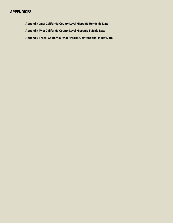# APPENDICES

**Appendix One: California County Level Hispanic Homicide Data Appendix Two: California County Level Hispanic Suicide Data Appendix Three: California Fatal Firearm Unintentional Injury Data**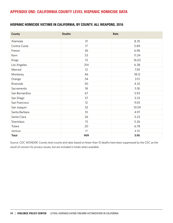# APPENDIX ONE: CALIFORNIA COUNTY LEVEL HISPANIC HOMICIDE DATA

### HISPANIC HOMICIDE VICTIMS IN CALIFORNIA, BY COUNTY, ALL WEAPONS, 2016

| County         | <b>Deaths</b>   | Rate  |
|----------------|-----------------|-------|
| Alameda        | 31              | 8.35  |
| Contra Costa   | 17              | 5.89  |
| Fresno         | 36              | 6.96  |
| Kern           | 53              | 11.34 |
| Kings          | 13              | 16.02 |
| Los Angeles    | 314             | 6.38  |
| Merced         | 12              | 7.59  |
| Monterey       | 46              | 18.12 |
| Orange         | 34              | 3.13  |
| Riverside      | 50              | 4.32  |
| Sacramento     | 18              | 5.18  |
| San Bernardino | 67              | 5.93  |
| San Diego      | 37              | 3.33  |
| San Francisco  | 12              | 9.05  |
| San Joaquin    | 32              | 10.59 |
| Santa Barbara  | 10 <sup>°</sup> | 4.97  |
| Santa Clara    | 26              | 5.23  |
| Stanislaus     | 13              | 5.26  |
| Tulare         | 20              | 6.78  |
| Ventura        | 17              | 4.70  |
| <b>Total</b>   | 909             | 5.95  |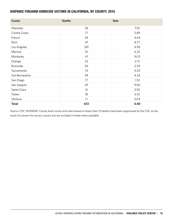### HISPANIC FIREARM HOMICIDE VICTIMS IN CALIFORNIA, BY COUNTY, 2016

| County         | <b>Deaths</b>   | Rate  |
|----------------|-----------------|-------|
| Alameda        | 28              | 7.55  |
| Contra Costa   | 17              | 5.89  |
| Fresno         | 24              | 4.64  |
| Kern           | 41              | 8.77  |
| Los Angeles    | 241             | 4.90  |
| Merced         | 10 <sup>°</sup> | 6.32  |
| Monterey       | 41              | 16.15 |
| Orange         | 23              | 2.12  |
| Riverside      | 30              | 2.59  |
| Sacramento     | 14              | 4.03  |
| San Bernardino | 49              | 4.34  |
| San Diego      | 17              | 1.53  |
| San Joaquin    | 29              | 9.60  |
| Santa Clara    | 15              | 3.02  |
| Tulare         | 18              | 6.10  |
| Ventura        | 11              | 3.04  |
| <b>Total</b>   | 672             | 4.40  |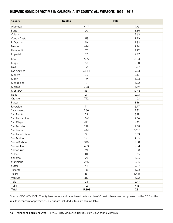#### HISPANIC HOMICIDE VICTIMS IN CALIFORNIA, BY COUNTY, ALL WEAPONS, 1999 – 2016

| County          | <b>Deaths</b> | Rate  |
|-----------------|---------------|-------|
| Alameda         | 447           | 7.73  |
| <b>Butte</b>    | 20            | 3.86  |
| Colusa          | 11            | 5.63  |
| Contra Costa    | 313           | 7.50  |
| El Dorado       | 10            | 2.82  |
| Fresno          | 624           | 7.94  |
| Humboldt        | 17            | 7.97  |
| Imperial        | 57            | 2.47  |
| Kern            | 585           | 8.84  |
| Kings           | 68            | 5.30  |
| Lake            | 12            | 6.67  |
| Los Angeles     | 7,644         | 9.23  |
| Madera          | 95            | 7.19  |
| Marin           | 19            | 3.03  |
| Mendocino       | 17            | 5.22  |
| Merced          | 208           | 8.89  |
| Monterey        | 531           | 13.45 |
| Napa            | 21            | 2.93  |
| Orange          | 742           | 4.21  |
| Placer          | 11            | 1.56  |
| Riverside       | 911           | 5.77  |
| Sacramento      | 366           | 7.32  |
| San Benito      | 28            | 5.19  |
| San Bernardino  | 1,168         | 7.06  |
| San Diego       | 691           | 4.13  |
| San Francisco   | 199           | 9.38  |
| San Joaquin     | 446           | 10.18 |
| San Luis Obispo | 31            | 3.33  |
| San Mateo       | 153           | 4.95  |
| Santa Barbara   | 106           | 3.50  |
| Santa Clara     | 409           | 5.04  |
| Santa Cruz      | 91            | 6.38  |
| Solano          | 111           | 6.65  |
| Sonoma          | 79            | 4.05  |
| Stanislaus      | 245           | 6.86  |
| Sutter          | 42            | 9.57  |
| Tehama          | 18            | 8.02  |
| Tulare          | 461           | 10.48 |
| Ventura         | 319           | 5.72  |
| Yolo            | 25            | 2.47  |
| Yuba            | 12            | 4.15  |
| <b>Total</b>    | 17,393        | 7.31  |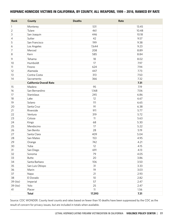### HISPANIC HOMICIDE VICTIMS IN CALIFORNIA, BY COUNTY, ALL WEAPONS, 1999 – 2016, RANKED BY RATE

| Rank           | County                         | <b>Deaths</b>   | Rate  |
|----------------|--------------------------------|-----------------|-------|
| $\mathbf{1}$   | Monterey                       | 531             | 13.45 |
| $\overline{2}$ | Tulare                         | 461             | 10.48 |
| 3              | San Joaquin                    | 446             | 10.18 |
| $\overline{4}$ | Sutter                         | 42              | 9.57  |
| 5              | San Francisco                  | 199             | 9.38  |
| 6              | Los Angeles                    | 7,644           | 9.23  |
| 7              | Merced                         | 208             | 8.89  |
| 8              | Kern                           | 585             | 8.84  |
| 9              | Tehama                         | 18              | 8.02  |
| 10             | Humboldt                       | 17              | 7.97  |
| 11             | Fresno                         | 624             | 7.94  |
| 12             | Alameda                        | 447             | 7.73  |
| 13             | Contra Costa                   | 313             | 7.50  |
| 14             | Sacramento                     | 366             | 7.32  |
|                | <b>California Overall Rate</b> |                 | 7.31  |
| 15             | Madera                         | 95              | 7.19  |
| 16             | San Bernardino                 | 1,168           | 7.06  |
| 17             | Stanislaus                     | 245             | 6.86  |
| 18             | Lake                           | 12              | 6.67  |
| 19             | Solano                         | 111             | 6.65  |
| 20             | Santa Cruz                     | 91              | 6.38  |
| 21             | Riverside                      | 911             | 5.77  |
| 22             | Ventura                        | 319             | 5.72  |
| 23             | Colusa                         | 11              | 5.63  |
| 24             | Kings                          | 68              | 5.30  |
| 25             | Mendocino                      | 17              | 5.22  |
| 26             | San Benito                     | 28              | 5.19  |
| 27             | Santa Clara                    | 409             | 5.04  |
| 28             | San Mateo                      | 153             | 4.95  |
| 29             | Orange                         | 742             | 4.21  |
| 30             | Yuba                           | 12              | 4.15  |
| 31             | San Diego                      | 691             | 4.13  |
| 32             | Sonoma                         | 79              | 4.05  |
| 33             | <b>Butte</b>                   | 20              | 3.86  |
| 34             | Santa Barbara                  | 106             | 3.50  |
| 35             | San Luis Obispo                | 31              | 3.33  |
| 36             | Marin                          | 19              | 3.03  |
| 37             | Napa                           | 21              | 2.93  |
| 38             | El Dorado                      | 10 <sup>°</sup> | 2.82  |
| 39 (tie)       | Imperial                       | 57              | 2.47  |
| 39 (tie)       | Yolo                           | 25              | 2.47  |
| 41             | Placer                         | 11              | 1.56  |
|                | <b>Total</b>                   | 17,393          | 7.31  |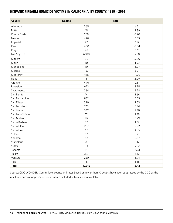### HISPANIC FIREARM HOMICIDE VICTIMS IN CALIFORNIA, BY COUNTY, 1999 – 2016

| <b>County</b>   | <b>Deaths</b> | Rate  |
|-----------------|---------------|-------|
| Alameda         | 365           | 6.31  |
| <b>Butte</b>    | 15            | 2.89  |
| Contra Costa    | 259           | 6.20  |
| Fresno          | 420           | 5.35  |
| Imperial        | 27            | 1.17  |
| Kern            | 400           | 6.04  |
| Kings           | 45            | 3.51  |
| Los Angeles     | 6,108         | 7.38  |
| Madera          | 66            | 5.00  |
| Marin           | 10            | 1.59  |
| Mendocino       | 10            | 3.07  |
| Merced          | 157           | 6.71  |
| Monterey        | 435           | 11.02 |
| Napa            | 15            | 2.09  |
| Orange          | 496           | 2.81  |
| Riverside       | 623           | 3.95  |
| Sacramento      | 264           | 5.28  |
| San Benito      | 14            | 2.60  |
| San Bernardino  | 832           | 5.03  |
| San Diego       | 390           | 2.33  |
| San Francisco   | 126           | 5.94  |
| San Joaquin     | 342           | 7.80  |
| San Luis Obispo | 12            | 1.29  |
| San Mateo       | 117           | 3.79  |
| Santa Barbara   | 52            | 1.72  |
| Santa Clara     | 237           | 2.92  |
| Santa Cruz      | 62            | 4.35  |
| Solano          | 87            | 5.21  |
| Sonoma          | 52            | 2.67  |
| Stanislaus      | 183           | 5.12  |
| Sutter          | 33            | 7.52  |
| Tehama          | 14            | 6.23  |
| Tulare          | 357           | 8.12  |
| Ventura         | 220           | 3.94  |
| Yolo            | 15            | 1.48  |
| <b>Total</b>    | 12,912        | 5.42  |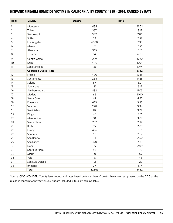### HISPANIC FIREARM HOMICIDE VICTIMS IN CALIFORNIA, BY COUNTY, 1999 – 2016, RANKED BY RATE

| Rank         | County                         | <b>Deaths</b>   | Rate  |
|--------------|--------------------------------|-----------------|-------|
| $\mathbf{1}$ | Monterey                       | 435             | 11.02 |
| 2            | Tulare                         | 357             | 8.12  |
| 3            | San Joaquin                    | 342             | 7.80  |
| 4            | Sutter                         | 33              | 7.52  |
| 5            | Los Angeles                    | 6,108           | 7.38  |
| 6            | Merced                         | 157             | 6.71  |
| 7            | Alameda                        | 365             | 6.31  |
| 8            | Tehama                         | 14              | 6.23  |
| 9            | Contra Costa                   | 259             | 6.20  |
| 10           | Kern                           | 400             | 6.04  |
| 11           | San Francisco                  | 126             | 5.94  |
|              | <b>California Overall Rate</b> |                 | 5.42  |
| 12           | Fresno                         | 420             | 5.35  |
| 13           | Sacramento                     | 264             | 5.28  |
| 14           | Solano                         | 87              | 5.21  |
| 15           | Stanislaus                     | 183             | 5.12  |
| 16           | San Bernardino                 | 832             | 5.03  |
| 17           | Madera                         | 66              | 5.00  |
| 18           | Santa Cruz                     | 62              | 4.35  |
| 19           | Riverside                      | 623             | 3.95  |
| 20           | Ventura                        | 220             | 3.94  |
| 21           | San Mateo                      | 117             | 3.79  |
| 22           | Kings                          | 45              | 3.51  |
| 23           | Mendocino                      | 10              | 3.07  |
| 24           | Santa Clara                    | 237             | 2.92  |
| 25           | <b>Butte</b>                   | 15              | 2.89  |
| 26           | Orange                         | 496             | 2.81  |
| 27           | Sonoma                         | 52              | 2.67  |
| 28           | San Benito                     | 14              | 2.60  |
| 29           | San Diego                      | 390             | 2.33  |
| 30           | Napa                           | 15              | 2.09  |
| 31           | Santa Barbara                  | 52              | 1.72  |
| 32           | Marin                          | 10 <sup>°</sup> | 1.59  |
| 33           | Yolo                           | 15              | 1.48  |
| 34           | San Luis Obispo                | 12              | 1.29  |
| 35           | Imperial                       | 27              | 1.17  |
|              | <b>Total</b>                   | 12,912          | 5.42  |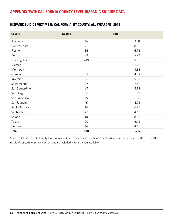# APPENDIX TWO: CALIFORNIA COUNTY LEVEL HISPANIC SUICIDE DATA

### HISPANIC SUICIDE VICTIMS IN CALIFORNIA, BY COUNTY, ALL WEAPONS, 2016

| County         | <b>Deaths</b>   | Rate  |
|----------------|-----------------|-------|
| Alameda        | 16              | 4.31  |
| Contra Costa   | 25              | 8.66  |
| Fresno         | 36              | 6.96  |
| Kern           | 34              | 7.27  |
| Los Angeles    | 249             | 5.06  |
| Merced         | 11              | 6.95  |
| Monterey       | 11              | 4.33  |
| Orange         | 48              | 4.42  |
| Riverside      | 68              | 5.88  |
| Sacramento     | 27              | 7.77  |
| San Bernardino | 67              | 5.93  |
| San Diego      | 58              | 5.21  |
| San Francisco  | 15              | 11.32 |
| San Joaquin    | 15              | 4.96  |
| Santa Barbara  | 14              | 6.95  |
| Santa Clara    | 23              | 4.62  |
| Solano         | 10 <sup>°</sup> | 8.68  |
| Tulare         | 20              | 6.78  |
| Ventura        | 16              | 4.43  |
| <b>Total</b>   | 848             | 5.55  |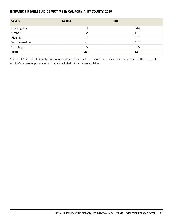### HISPANIC FIREARM SUICIDE VICTIMS IN CALIFORNIA, BY COUNTY, 2016

| County         | <b>Deaths</b> | Rate |
|----------------|---------------|------|
| Los Angeles    | 71            | 1.44 |
| Orange         | 12            | 1.10 |
| Riverside      | 17            | 1.47 |
| San Bernardino | 27            | 2.39 |
| San Diego      | 15            | 1.35 |
| <b>Total</b>   | 231           | 1.51 |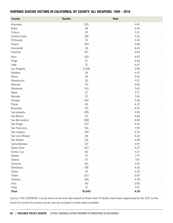#### HISPANIC SUICIDE VICTIMS IN CALIFORNIA, BY COUNTY, ALL WEAPONS, 1999 – 2016

| <b>County</b>   | <b>Deaths</b> | Rate |
|-----------------|---------------|------|
| Alameda         | 255           | 4.41 |
| <b>Butte</b>    | 28            | 5.40 |
| Colusa          | 10            | 5.12 |
| Contra Costa    | 218           | 5.22 |
| El Dorado       | 19            | 5.35 |
| Fresno          | 393           | 5.00 |
| Humboldt        | 18            | 8.43 |
| Imperial        | 107           | 4.64 |
| Kern            | 329           | 4.97 |
| Kings           | 57            | 4.44 |
| Lake            | 12            | 6.67 |
| Los Angeles     | 3,308         | 3.99 |
| Madera          | 59            | 4.47 |
| Marin           | 34            | 5.42 |
| Mendocino       | 30            | 9.21 |
| Merced          | 113           | 4.83 |
| Monterey        | 143           | 3.62 |
| Napa            | 27            | 3.77 |
| Nevada          | 10            | 7.42 |
| Orange          | 592           | 3.36 |
| Placer          | 45            | 6.37 |
| Riverside       | 715           | 4.53 |
| Sacramento      | 295           | 5.90 |
| San Benito      | 25            | 4.64 |
| San Bernardino  | 808           | 4.89 |
| San Diego       | 757           | 4.52 |
| San Francisco   | 156           | 7.35 |
| San Joaquin     | 190           | 4.34 |
| San Luis Obispo | 58            | 6.23 |
| San Mateo       | 126           | 4.08 |
| Santa Barbara   | 127           | 4.19 |
| Santa Clara     | 347           | 4.27 |
| Santa Cruz      | 60            | 4.21 |
| Shasta          | 19            | 7.75 |
| Solano          | 117           | 7.01 |
| Sonoma          | 80            | 4.10 |
| Stanislaus      | 158           | 4.42 |
| Sutter          | 19            | 4.33 |
| Tulare          | 222           | 5.05 |
| Ventura         | 245           | 4.39 |
| Yolo            | 40            | 3.95 |
| Yuba            | 12            | 4.15 |
| <b>Total</b>    | 10,445        | 4.39 |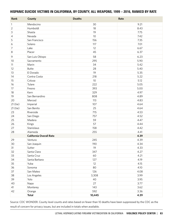#### HISPANIC SUICIDE VICTIMS IN CALIFORNIA, BY COUNTY, ALL WEAPONS, 1999 – 2016, RANKED BY RATE

| Rank           | <b>County</b>                  | <b>Deaths</b> | Rate |
|----------------|--------------------------------|---------------|------|
| $\mathbf{1}$   | Mendocino                      | 30            | 9.21 |
| $\overline{2}$ | Humboldt                       | 18            | 8.43 |
| 3              | Shasta                         | 19            | 7.75 |
| 4              | Nevada                         | 10            | 7.42 |
| 5              | San Francisco                  | 156           | 7.35 |
| 6              | Solano                         | 117           | 7.01 |
| 7              | Lake                           | 12            | 6.67 |
| 8              | Placer                         | 45            | 6.37 |
| 9              | San Luis Obispo                | 58            | 6.23 |
| 10             | Sacramento                     | 295           | 5.90 |
| 11             | Marin                          | 34            | 5.42 |
| 12             | <b>Butte</b>                   | 28            | 5.40 |
| 13             | El Dorado                      | 19            | 5.35 |
| 14             | Contra Costa                   | 218           | 5.22 |
| 15             | Colusa                         | 10            | 5.12 |
| 16             | Tulare                         | 222           | 5.05 |
| 17             | Fresno                         | 393           | 5.00 |
| 18             | Kern                           | 329           | 4.97 |
| 19             | San Bernardino                 | 808           | 4.89 |
| 20             | Merced                         | 113           | 4.83 |
| 21 (tie)       | Imperial                       | 107           | 4.64 |
| 21 (tie)       | San Benito                     | 25            | 4.64 |
| 23             | Riverside                      | 715           | 4.53 |
| 24             | San Diego                      | 757           | 4.52 |
| 25             | Madera                         | 59            | 4.47 |
| 26             | Kings                          | 57            | 4.44 |
| 27             | Stanislaus                     | 158           | 4.42 |
| 28             | Alameda                        | 255           | 4.41 |
|                | <b>California Overall Rate</b> |               | 4.39 |
| 29             | Ventura                        | 245           | 4.39 |
| 30             | San Joaquin                    | 190           | 4.34 |
| 31             | Sutter                         | 19            | 4.33 |
| 32             | Santa Clara                    | 347           | 4.27 |
| 33             | Santa Cruz                     | 60            | 4.21 |
| 34             | Santa Barbara                  | 127           | 4.19 |
| 35             | Yuba                           | 12            | 4.15 |
| 36             | Sonoma                         | 80            | 4.10 |
| 37             | San Mateo                      | 126           | 4.08 |
| 38             | Los Angeles                    | 3,308         | 3.99 |
| 39             | Yolo                           | 40            | 3.95 |
| 40             | Napa                           | 27            | 3.77 |
| 41             | Monterey                       | 143           | 3.62 |
| 42             | Orange                         | 592           | 3.36 |
|                | <b>Total</b>                   | 10,445        | 4.39 |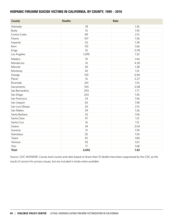#### HISPANIC FIREARM SUICIDE VICTIMS IN CALIFORNIA, BY COUNTY, 1999 – 2016

| <b>County</b>   | <b>Deaths</b>   | Rate |
|-----------------|-----------------|------|
| Alameda         | 78              | 1.35 |
| <b>Butte</b>    | 10              | 1.93 |
| Contra Costa    | 89              | 2.13 |
| Fresno          | 107             | 1.36 |
| Imperial        | 32              | 1.39 |
| Kern            | 110             | 1.66 |
| Kings           | 10 <sup>°</sup> | 0.78 |
| Los Angeles     | 1,095           | 1.32 |
| Madera          | 19              | 1.44 |
| Mendocino       | 14              | 4.30 |
| Merced          | 30              | 1.28 |
| Monterey        | 45              | 1.14 |
| Orange          | 159             | 0.90 |
| Placer          | 16              | 2.27 |
| Riverside       | 241             | 1.53 |
| Sacramento      | 104             | 2.08 |
| San Bernardino  | 293             | 1.77 |
| San Diego       | 243             | 1.45 |
| San Francisco   | 33              | 1.56 |
| San Joaquin     | 65              | 1.48 |
| San Luis Obispo | 20              | 2.15 |
| San Mateo       | 39              | 1.26 |
| Santa Barbara   | 32              | 1.06 |
| Santa Clara     | 91              | 1.12 |
| Santa Cruz      | 16              | 1.12 |
| Solano          | 34              | 2.04 |
| Sonoma          | 31              | 1.59 |
| Stanislaus      | 55              | 1.54 |
| Tulare          | 81              | 1.84 |
| Ventura         | 93              | 1.67 |
| Yolo            | 17              | 1.68 |
| <b>Total</b>    | 3,402           | 1.43 |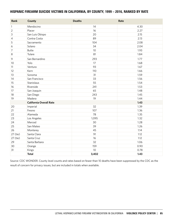#### HISPANIC FIREARM SUICIDE VICTIMS IN CALIFORNIA, BY COUNTY, 1999 – 2016, RANKED BY RATE

| <b>Rank</b>    | County                         | <b>Deaths</b> | Rate |
|----------------|--------------------------------|---------------|------|
| 1              | Mendocino                      | 14            | 4.30 |
| $\overline{2}$ | Placer                         | 16            | 2.27 |
| 3              | San Luis Obispo                | 20            | 2.15 |
| 4              | Contra Costa                   | 89            | 2.13 |
| 5              | Sacramento                     | 104           | 2.08 |
| 6              | Solano                         | 34            | 2.04 |
| 7              | <b>Butte</b>                   | 10            | 1.93 |
| 8              | Tulare                         | 81            | 1.84 |
| 9              | San Bernardino                 | 293           | 1.77 |
| 10             | Yolo                           | 17            | 1.68 |
| 11             | Ventura                        | 93            | 1.67 |
| 12             | Kern                           | 110           | 1.66 |
| 13             | Sonoma                         | 31            | 1.59 |
| 14             | San Francisco                  | 33            | 1.56 |
| 15             | Stanislaus                     | 55            | 1.54 |
| 16             | Riverside                      | 241           | 1.53 |
| 17             | San Joaquin                    | 65            | 1.48 |
| 18             | San Diego                      | 243           | 1.45 |
| 19             | Madera                         | 19            | 1.44 |
|                | <b>California Overall Rate</b> |               | 1.43 |
| 20             | Imperial                       | 32            | 1.39 |
| 21             | Fresno                         | 107           | 1.36 |
| 22             | Alameda                        | 78            | 1.35 |
| 23             | Los Angeles                    | 1,095         | 1.32 |
| 24             | Merced                         | 30            | 1.28 |
| 25             | San Mateo                      | 39            | 1.26 |
| 26             | Monterey                       | 45            | 1.14 |
| 27 (tie)       | Santa Clara                    | 91            | 1.12 |
| 27 (tie)       | Santa Cruz                     | 16            | 1.12 |
| 29             | Santa Barbara                  | 32            | 1.06 |
| 30             | Orange                         | 159           | 0.90 |
| 31             | Kings                          | 10            | 0.78 |
|                | <b>Total</b>                   | 3,402         | 1.43 |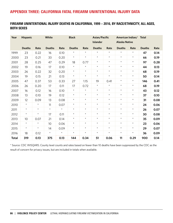# APPENDIX THREE: CALIFORNIA FATAL FIREARM UNINTENTIONAL INJURY DATA

## FIREARM UNINTENTIONAL INJURY DEATHS IN CALIFORNIA, 1999 – 2016, BY RACE/ETHNICITY, ALL AGES, BOTH SEXES

| Year         | <b>Hispanic</b> | <b>White</b> |               | <b>Black</b> |               |            | Asian/Pacific<br><b>Islander</b> |         | American Indian/<br><b>Alaska Native</b> |            | <b>Total</b>  |      |
|--------------|-----------------|--------------|---------------|--------------|---------------|------------|----------------------------------|---------|------------------------------------------|------------|---------------|------|
|              | <b>Deaths</b>   | Rate         | <b>Deaths</b> | Rate         | <b>Deaths</b> | Rate       | <b>Deaths</b>                    | Rate    | <b>Deaths</b>                            | Rate       | <b>Deaths</b> | Rate |
| 1999         | 23              | 0.22         | 16            | 0.10         | $\star$       | $\star$    | $\star$                          | $\star$ | $\star$                                  | $\star$    | 47            | 0.14 |
| 2000         | 23              | 0.21         | 33            | 0.20         | $\star$       | $^{\star}$ | $^{\star}$                       | $\star$ | $\star$                                  | $\star$    | 66            | 0.19 |
| 2001         | 28              | 0.25         | 47            | 0.29         | 18            | 0.77       | $\star$                          | $\star$ | $\star$                                  | $^{\star}$ | 97            | 0.28 |
| 2002         | 19              | 0.16         | 17            | 0.10         | $\star$       | $\star$    | $\star$                          | $\star$ | $\star$                                  | $\star$    | 44            | 0.13 |
| 2003         | 26              | 0.22         | 32            | 0.20         | $\star$       | $\star$    | $\star$                          | $\star$ | $\star$                                  | $^{\star}$ | 68            | 0.19 |
| 2004         | 19              | 0.15         | 21            | 0.13         | $\star$       | $\star$    | $\star$                          | $\star$ | $\star$                                  | $\star$    | 50            | 0.14 |
| 2005         | 47              | 0.37         | 53            | 0.33         | 27            | 1.15       | 19                               | 0.41    | $\star$                                  | $\star$    | 146           | 0.41 |
| 2006         | 26              | 0.20         | 17            | 0.11         | 17            | 0.72       | $\star$                          | $\star$ | $\star$                                  | $\star$    | 68            | 0.19 |
| 2007         | 16              | 0.12         | 16            | 0.10         | $\star$       | $\star$    | $\star$                          | $\star$ | $\star$                                  | $\star$    | 43            | 0.12 |
| 2008         | 13              | 0.10         | 19            | 0.12         | $\star$       | $\star$    | $\star$                          | $\star$ | $\star$                                  | $\star$    | 37            | 0.10 |
| 2009         | 12              | 0.09         | 13            | 0.08         | $\star$       | $\star$    | $\star$                          | $\star$ | $\star$                                  | $\star$    | 31            | 0.08 |
| 2010         | $\star$         | $\star$      | 11            | 0.07         | $\star$       | $\star$    | $^{\star}$                       | $\star$ | $\star$                                  | $\star$    | 24            | 0.06 |
| 2011         | $\star$         | $\star$      | $\star$       | $\star$      | $\star$       | $\star$    | $\star$                          | $\star$ | $\star$                                  | $\star$    | 26            | 0.07 |
| 2012         | $\star$         | $\star$      | 17            | 0.11         | $\star$       | $^{\star}$ | $^{\star}$                       | $\star$ | $\star$                                  | $\star$    | 30            | 0.08 |
| 2013         | 10              | 0.07         | 21            | 0.14         | $\star$       | $\star$    | $\star$                          | $\star$ | $\star$                                  | $\star$    | 35            | 0.09 |
| 2014         | $\star$         | $\star$      | 10            | 0.06         | $\star$       | $\star$    | $\star$                          | $\star$ | $\star$                                  | $\star$    | 23            | 0.06 |
| 2015         | $\star$         | $\star$      | 14            | 0.09         | $\star$       | $\star$    | $^{\star}$                       | $\star$ | $\star$                                  | $^{\star}$ | 29            | 0.07 |
| 2016         | 18              | 0.12         | $\star$       | $\star$      | $\star$       | $\star$    | $^{\star}$                       | $\star$ | $\star$                                  | $\star$    | 36            | 0.09 |
| <b>Total</b> | 319             | 0.13         | 375           | 0.13         | 144           | 0.34       | 51                               | 0.06    | 11                                       | 0.29       | 900           | 0.14 |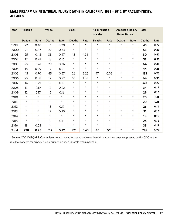# MALE FIREARM UNINTENTIONAL INJURY DEATHS IN CALIFORNIA, 1999 – 2016, BY RACE/ETHNICITY, ALL AGES

| Year         | <b>Hispanic</b><br>White |         | <b>Black</b>  |         |               | Asian/Pacific<br><b>Islander</b> |               | American Indian/<br><b>Alaska Native</b> |               | <b>Total</b> |               |      |
|--------------|--------------------------|---------|---------------|---------|---------------|----------------------------------|---------------|------------------------------------------|---------------|--------------|---------------|------|
|              | <b>Deaths</b>            | Rate    | <b>Deaths</b> | Rate    | <b>Deaths</b> | Rate                             | <b>Deaths</b> | Rate                                     | <b>Deaths</b> | Rate         | <b>Deaths</b> | Rate |
| 1999         | 22                       | 0.40    | 16            | 0.20    | $\star$       | $\star$                          | $\star$       | $\star$                                  | $\star$       | $\star$      | 45            | 0.27 |
| 2000         | 21                       | 0.37    | 27            | 0.33    | $\star$       | $\star$                          | $\star$       | $\star$                                  | $\star$       | $^{\star}$   | 56            | 0.33 |
| 2001         | 25                       | 0.43    | 38            | 0.47    | 15            | 1.31                             | $\star$       | $\star$                                  | $\star$       | $\star$      | 80            | 0.47 |
| 2002         | 17                       | 0.28    | 13            | 0.16    | $\star$       | $\star$                          | $\star$       | $\star$                                  | $\star$       | $\star$      | 37            | 0.21 |
| 2003         | 25                       | 0.41    | 29            | 0.36    | $\star$       | $\star$                          | $\star$       | $\star$                                  | $\star$       | $^{\star}$   | 64            | 0.36 |
| 2004         | 18                       | 0.29    | 17            | 0.21    | $\star$       | $\star$                          | $\star$       | $\star$                                  | $\star$       | $\star$      | 44            | 0.25 |
| 2005         | 45                       | 0.70    | 45            | 0.57    | 26            | 2.25                             | 17            | 0.76                                     | $\star$       | $\star$      | 133           | 0.75 |
| 2006         | 25                       | 0.38    | 17            | 0.22    | 16            | 1.38                             | $^{\star}$    | $\star$                                  | $\star$       | $\star$      | 64            | 0.36 |
| 2007         | 14                       | 0.21    | 15            | 0.19    | $\star$       | $\star$                          | $\star$       | $\star$                                  | $\star$       | $\star$      | 40            | 0.22 |
| 2008         | 13                       | 0.19    | 17            | 0.22    | $\star$       | $\star$                          | $^{\star}$    | $\star$                                  | $\star$       | $\star$      | 34            | 0.19 |
| 2009         | 12                       | 0.17    | 12            | 0.16    | $\star$       | $\star$                          | $\star$       | $\star$                                  | $\star$       | $\star$      | 29            | 0.16 |
| 2010         | $\star$                  | $\star$ | $\star$       | $\star$ | $\star$       | $\star$                          | $\star$       | $\star$                                  | $\star$       | $^{\star}$   | 20            | 0.11 |
| 2011         | $\star$                  | $\star$ | $\star$       | $\star$ | $\star$       | $\star$                          | $\star$       | $\star$                                  | $\star$       | $\star$      | 20            | 0.11 |
| 2012         | $\star$                  | $\star$ | 13            | 0.17    | $\star$       | $\star$                          | $^{\star}$    | $\star$                                  | $\star$       | $^\star$     | 26            | 0.14 |
| 2013         | $\star$                  | $\star$ | 19            | 0.25    | $\star$       | $\star$                          | $\star$       | $\star$                                  | $\star$       | $^{\star}$   | 31            | 0.16 |
| 2014         | $^{\star}$               | $\star$ | $\star$       | $\star$ | $\star$       | $\star$                          | $\star$       | $\star$                                  | $\star$       | $\star$      | 19            | 0.10 |
| 2015         | $\star$                  | $\star$ | 10            | 0.13    | $\star$       | $\star$                          | $^{\star}$    | $\star$                                  | $\star$       | $\star$      | 24            | 0.12 |
| 2016         | 18                       | 0.23    | $\star$       | $\star$ | $\star$       | $\star$                          | $^{\star}$    | $\star$                                  | $\star$       | $\star$      | 33            | 0.17 |
| <b>Total</b> | 298                      | 0.25    | 317           | 0.22    | 132           | 0.63                             | 45            | 0.11                                     | $\star$       | $\star$      | 799           | 0.24 |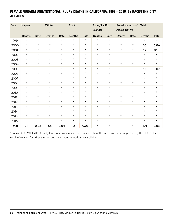# FEMALE FIREARM UNINTENTIONAL INJURY DEATHS IN CALIFORNIA, 1999 – 2016, BY RACE/ETHNICITY, ALL AGES

| Year         | Hispanic      | White   |               | <b>Black</b> |               |         | Asian/Pacific<br>Islander |         |               | American Indian/<br><b>Alaska Native</b> | <b>Total</b>  |         |
|--------------|---------------|---------|---------------|--------------|---------------|---------|---------------------------|---------|---------------|------------------------------------------|---------------|---------|
|              | <b>Deaths</b> | Rate    | <b>Deaths</b> | Rate         | <b>Deaths</b> | Rate    | <b>Deaths</b>             | Rate    | <b>Deaths</b> | Rate                                     | <b>Deaths</b> | Rate    |
| 1999         | $^{\star}$    | $\star$ | $\star$       | $\star$      | $\star$       | $\star$ | $\star$                   | $\star$ | $\star$       | $\star$                                  | $\star$       | $\star$ |
| 2000         | $\star$       | $\star$ | $\star$       | $\star$      | $\star$       | $\star$ | $\star$                   | $\star$ | $\star$       | $\star$                                  | 10            | 0.06    |
| 2001         | $\star$       | $\star$ | $\star$       | $\star$      | $\star$       | $\star$ | $\star$                   | $\star$ | $\star$       | $\star$                                  | 17            | 0.10    |
| 2002         | $\star$       | $\star$ | $\star$       | $\star$      | $\star$       | $\star$ | $\star$                   | $\star$ | $\star$       | $\star$                                  | $\star$       | $\star$ |
| 2003         | $\star$       | $\star$ | $\star$       | $\star$      | $\star$       | $\star$ | $\star$                   | $\star$ | $\star$       | $\star$                                  | $\star$       | $\star$ |
| 2004         | $\star$       | $\star$ | $\star$       | $\star$      | $\star$       | $\star$ | $\star$                   | $\star$ | $\star$       | $\star$                                  | $\star$       | $\star$ |
| 2005         | $\star$       | $\star$ | $\star$       | $\star$      | $\star$       | $\star$ | $\star$                   | $\star$ | $\star$       | $\star$                                  | 13            | 0.07    |
| 2006         | $\star$       | $\star$ | $\star$       | $\star$      | $\star$       | $\star$ | $\star$                   | $\star$ | $\star$       | $\star$                                  | $\star$       | $\star$ |
| 2007         | $\star$       | $\star$ | $\star$       | $\star$      | $\star$       | $\star$ | $\star$                   | $\star$ | $\star$       | $\star$                                  | $\star$       | $\star$ |
| 2008         | $\star$       | $\star$ | $\star$       | $\star$      | $\star$       | $\star$ | $\star$                   | $\star$ | $\star$       | $\star$                                  | $\star$       | $\star$ |
| 2009         | $\star$       | $\star$ | $\star$       | $\star$      | $\star$       | $\star$ | $\star$                   | $\star$ | $\star$       | $\star$                                  | $\star$       | $\star$ |
| 2010         | $\star$       | $\star$ | $\star$       | $\star$      | $\star$       | $\star$ | $\star$                   | $\star$ | $\star$       | $\star$                                  | $\star$       | $\star$ |
| 2011         | $\star$       | $\star$ | $\star$       | $\star$      | $\star$       | $\star$ | $\star$                   | $\star$ | $\star$       | $\star$                                  | $\star$       | $\star$ |
| 2012         | $\star$       | $\star$ | $\star$       | $\star$      | $\star$       | $\star$ | $\star$                   | $\star$ | $\star$       | $\star$                                  | $\star$       | $\star$ |
| 2013         | $\star$       | $\star$ | $\star$       | $\star$      | $\star$       | $\star$ | $\star$                   | $\star$ | $\star$       | $\star$                                  | $\star$       | $\star$ |
| 2014         | $\star$       | $\star$ | $\star$       | $\star$      | $\star$       | $\star$ | $\star$                   | $\star$ | $\star$       | $\star$                                  | $\star$       | $\star$ |
| 2015         | $\star$       | $\star$ | $\star$       | $\star$      | $\star$       | $\star$ | $\star$                   | $\star$ | $\star$       | $\star$                                  | $\star$       | $\star$ |
| 2016         | $\star$       | $\star$ | $\star$       | $\star$      | $\star$       | $\star$ | $\star$                   | $\star$ | $\star$       | $\star$                                  | $\star$       | $\star$ |
| <b>Total</b> | 21            | 0.02    | 58            | 0.04         | 12            | 0.06    | $\star$                   | $\star$ | $\star$       | $\star$                                  | 101           | 0.03    |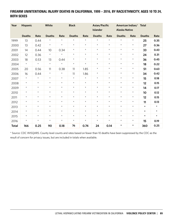## FIREARM UNINTENTIONAL INJURY DEATHS IN CALIFORNIA, 1999 – 2016, BY RACE/ETHNICITY, AGES 10 TO 24, BOTH SEXES

| Year         | White<br><b>Hispanic</b> |         |               | <b>Black</b> |               |         | Asian/Pacific<br><b>Islander</b> |         | American Indian/<br><b>Alaska Native</b> |         | <b>Total</b>  |         |
|--------------|--------------------------|---------|---------------|--------------|---------------|---------|----------------------------------|---------|------------------------------------------|---------|---------------|---------|
|              | <b>Deaths</b>            | Rate    | <b>Deaths</b> | Rate         | <b>Deaths</b> | Rate    | <b>Deaths</b>                    | Rate    | <b>Deaths</b>                            | Rate    | <b>Deaths</b> | Rate    |
| 1999         | 13                       | 0.44    | $\star$       | $\star$      | $\star$       | $\star$ | $\star$                          | $\star$ | $\star$                                  | $\star$ | 25            | 0.35    |
| 2000         | 13                       | 0.42    | $\star$       | $\star$      | $\star$       | $\star$ | $\star$                          | $\star$ | $\star$                                  | $\star$ | 27            | 0.36    |
| 2001         | 14                       | 0.44    | 10            | 0.34         | $\star$       | $\star$ | $\star$                          | $\star$ | $\star$                                  | $\star$ | 33            | 0.43    |
| 2002         | 12                       | 0.36    | $\star$       | $\star$      | $\star$       | $\star$ | $\star$                          | $\star$ | $\star$                                  | $\star$ | 24            | 0.31    |
| 2003         | 18                       | 0.53    | 13            | 0.44         | $\star$       | $\star$ | $\star$                          | $\star$ | $\star$                                  | $\star$ | 36            | 0.45    |
| 2004         | $\star$                  | $\star$ | $\star$       | $\star$      | $\star$       | $\star$ | $\star$                          | $\star$ | $\star$                                  | $\star$ | 18            | 0.22    |
| 2005         | 20                       | 0.56    | 11            | 0.38         | 11            | 1.85    | $\star$                          | $\star$ | $\star$                                  | $\star$ | 51            | 0.63    |
| 2006         | 16                       | 0.44    | $\star$       | $\star$      | 11            | 1.86    | $^{\star}$                       | $\star$ | $\star$                                  | $\star$ | 34            | 0.42    |
| 2007         | $\star$                  | $\star$ | $\star$       | $\star$      | $\star$       | $\star$ | $\star$                          | $\star$ | $\star$                                  | $\star$ | 15            | 0.18    |
| 2008         | $\star$                  | $\star$ | $\star$       | $\star$      | $\star$       | $\star$ | $\star$                          | $\star$ | $\star$                                  | $\star$ | 12            | 0.15    |
| 2009         | $\star$                  | $\star$ | $\star$       | $\star$      | $\star$       | $\star$ | $\star$                          | $\star$ | $\star$                                  | $\star$ | 14            | 0.17    |
| 2010         | $\star$                  | $\star$ | $\star$       | $\star$      | $\star$       | $\star$ | $\star$                          | $\star$ | $\star$                                  | $\star$ | 10            | 0.12    |
| 2011         | $\star$                  | $\star$ | $\star$       | $\star$      | $\star$       | $\star$ | $\star$                          | $\star$ | $\star$                                  | $\star$ | 12            | 0.15    |
| 2012         | $\star$                  | $\star$ | $\star$       | $\star$      | $\star$       | $\star$ | $^{\star}$                       | $\star$ | $\star$                                  | $\star$ | 11            | 0.13    |
| 2013         | $\star$                  | $\star$ | $\star$       | $\star$      | $\star$       | $\star$ | $^{\star}$                       | $\star$ | $\star$                                  | $\star$ | $\star$       | $\star$ |
| 2014         | $\star$                  | $\star$ | $\star$       | $\star$      | $\star$       | $\star$ | $\star$                          | $\star$ | $\star$                                  | $\star$ | $\star$       | $\star$ |
| 2015         | $\star$                  | $\star$ | $\star$       | $\star$      | $\star$       | $\star$ | $\star$                          | $\star$ | $\star$                                  | $\star$ | $\star$       | $\star$ |
| 2016         | $\star$                  | $\star$ | $\star$       | $\star$      | $\star$       | $\star$ | $^{\star}$                       | $\star$ | $\star$                                  | $\star$ | 15            | 0.19    |
| <b>Total</b> | 166                      | 0.25    | 90            | 0.18         | 76            | 0.74    | 24                               | 0.14    | $\star$                                  | $\star$ | 360           | 0.25    |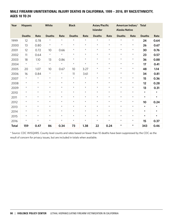## MALE FIREARM UNINTENTIONAL INJURY DEATHS IN CALIFORNIA, 1999 – 2016, BY RACE/ETHNICITY, AGES 10 TO 24

| Year         | <b>Hispanic</b> | White   |               | <b>Black</b> |               |          | Asian/Pacific<br><b>Islander</b> |         | American Indian/<br><b>Alaska Native</b> |         | <b>Total</b>  |         |
|--------------|-----------------|---------|---------------|--------------|---------------|----------|----------------------------------|---------|------------------------------------------|---------|---------------|---------|
|              | <b>Deaths</b>   | Rate    | <b>Deaths</b> | Rate         | <b>Deaths</b> | Rate     | <b>Deaths</b>                    | Rate    | <b>Deaths</b>                            | Rate    | <b>Deaths</b> | Rate    |
| 1999         | 12              | 0.78    | $\star$       | $\star$      | $\star$       | $^\star$ | $\star$                          | $\star$ | $\star$                                  | $\star$ | 24            | 0.64    |
| 2000         | 13              | 0.80    | $\star$       | $\star$      | $\star$       | $\star$  | $\star$                          | $\star$ | $\star$                                  | $\star$ | 26            | 0.67    |
| 2001         | 12              | 0.72    | 10            | 0.66         | $\star$       | $\star$  | $\star$                          | $\star$ | $\star$                                  | $\star$ | 30            | 0.76    |
| 2002         | 11              | 0.64    | $\star$       | $\star$      | $\star$       | $\star$  | $\star$                          | $\star$ | $\star$                                  | $\star$ | 23            | 0.57    |
| 2003         | 18              | 1.10    | 13            | 0.86         | $\star$       | $\star$  | $\star$                          | $\star$ | $\star$                                  | $\star$ | 36            | 0.88    |
| 2004         | $\star$         | $\star$ | $\star$       | $\star$      | $\star$       | $\star$  | $\star$                          | $\star$ | $\star$                                  | $\star$ | 17            | 0.41    |
| 2005         | 20              | 1.07    | 10            | 0.67         | 10            | 3.27     | $\star$                          | $\star$ | $\star$                                  | $\star$ | 48            | 1.14    |
| 2006         | 16              | 0.84    | $\star$       | $\star$      | 11            | 3.61     | $\star$                          | $\star$ | $\star$                                  | $\star$ | 34            | 0.81    |
| 2007         | $\star$         | $\star$ | $\star$       | $\star$      | $\star$       | $\star$  | $\star$                          | $\star$ | $\star$                                  | $\star$ | 15            | 0.36    |
| 2008         | $\star$         | $\star$ | $\star$       | $\star$      | $\star$       | $\star$  | $\star$                          | $\star$ | $\star$                                  | $\star$ | 12            | 0.28    |
| 2009         | $\star$         | $\star$ | $\star$       | $\star$      | $\star$       | $\star$  | $\star$                          | $\star$ | $\star$                                  | $\star$ | 13            | 0.31    |
| 2010         | $\star$         | $\star$ | $\star$       | $\star$      | $\star$       | $\star$  | $\star$                          | $\star$ | $\star$                                  | $\star$ | $\star$       | $\star$ |
| 2011         | $\star$         | $\star$ | $\star$       | $\star$      | $\star$       | $\star$  | $\star$                          | $\star$ | $\star$                                  | $\star$ | $\star$       | $\star$ |
| 2012         | $\star$         | $\star$ | $\star$       | $\star$      | $\star$       | $\star$  | $\star$                          | $\star$ | $\star$                                  | $\star$ | 10            | 0.24    |
| 2013         | $\star$         | $\star$ | $\star$       | $\star$      | $\star$       | $\star$  | $\star$                          | $\star$ | $\star$                                  | $\star$ | $\star$       | $\star$ |
| 2014         | $\star$         | $\star$ | $\star$       | $\star$      | $\star$       | $\star$  | $\star$                          | $\star$ | $\star$                                  | $\star$ | $\star$       | $\star$ |
| 2015         | $\star$         | $\star$ | $\star$       | $\star$      | $\star$       | $\star$  | $\star$                          | $\star$ | $\star$                                  | $\star$ | $\star$       | $\star$ |
| 2016         | $\star$         | $\star$ | $\star$       | $\star$      | $\star$       | $\star$  | $\star$                          | $\star$ | $\star$                                  | $\star$ | 15            | 0.37    |
| <b>Total</b> | 159             | 0.47    | 86            | 0.34         | 73            | 1.38     | 22                               | 0.24    | $\star$                                  | $\star$ | 343           | 0.46    |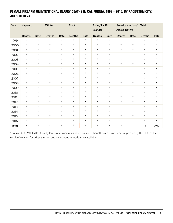## FEMALE FIREARM UNINTENTIONAL INJURY DEATHS IN CALIFORNIA, 1999 – 2016, BY RACE/ETHNICITY, AGES 10 TO 24

| Year         | Hispanic      |         | White<br><b>Black</b> |         |               |         | Asian/Pacific<br><b>Islander</b> | <b>Alaska Native</b> | American Indian/ | <b>Total</b> |               |          |
|--------------|---------------|---------|-----------------------|---------|---------------|---------|----------------------------------|----------------------|------------------|--------------|---------------|----------|
|              | <b>Deaths</b> | Rate    | <b>Deaths</b>         | Rate    | <b>Deaths</b> | Rate    | <b>Deaths</b>                    | Rate                 | <b>Deaths</b>    | Rate         | <b>Deaths</b> | Rate     |
| 1999         | $\star$       | $\star$ | $\star$               | $\star$ | $\star$       | $\star$ | $\star$                          | $\star$              | $\star$          | $^{\star}$   | $^\star$      | $^\star$ |
| 2000         | $\star$       | $\star$ | $\star$               | $\star$ | $\star$       | $\star$ | $\star$                          | $\star$              | $\star$          | $\star$      | $\star$       | $\star$  |
| 2001         | $\star$       | $\star$ | $\star$               | $\star$ | $\star$       | $\star$ | $\star$                          | $\star$              | $\star$          | $\star$      | $\star$       | $\star$  |
| 2002         | $\star$       | $\star$ | $\star$               | $\star$ | $\star$       | $\star$ | $\star$                          | $\star$              | $\star$          | $\star$      | $\star$       | $\star$  |
| 2003         | $\star$       | $\star$ | $\star$               | $\star$ | $\star$       | $\star$ | $\star$                          | $\star$              | $\star$          | $\star$      | $\star$       | $\star$  |
| 2004         | $\star$       | $\star$ | $\star$               | $\star$ | $\star$       | $\star$ | $\star$                          | $\star$              | $\star$          | $\star$      | $\star$       | $\star$  |
| 2005         | $\star$       | $\star$ | $\star$               | $\star$ | $\star$       | $\star$ | $\star$                          | $\star$              | $\star$          | $\star$      | $\star$       | $\star$  |
| 2006         | $\star$       | $\star$ | $\star$               | $\star$ | $\star$       | $\star$ | $\star$                          | $\star$              | $\star$          | $\star$      | $\star$       | $\star$  |
| 2007         | $\star$       | $\star$ | $\star$               | $\star$ | $\star$       | $\star$ | $\star$                          | $\star$              | $\star$          | $\star$      | $\star$       | $\star$  |
| 2008         | $\star$       | $\star$ | $\star$               | $\star$ | $\star$       | $\star$ | $\star$                          | $\star$              | $\star$          | $\star$      | $\star$       | $\star$  |
| 2009         | $\star$       | $\star$ | $\star$               | $\star$ | $\star$       | $\star$ | $\star$                          | $\star$              | $\star$          | $\star$      | $\star$       | $\star$  |
| 2010         | $\star$       | $\star$ | $\star$               | $\star$ | $\star$       | $\star$ | $\star$                          | $\star$              | $\star$          | $\star$      | $\star$       | $\star$  |
| 2011         | $\star$       | $\star$ | $\star$               | $\star$ | $\star$       | $\star$ | $\star$                          | $\star$              | $\star$          | $\star$      | $\star$       | $\star$  |
| 2012         | $\star$       | $\star$ | $\star$               | $\star$ | $\star$       | $\star$ | $\star$                          | $\star$              | $\star$          | $\star$      | $\star$       | $\star$  |
| 2013         | $\star$       | $\star$ | $\star$               | $\star$ | $\star$       | $\star$ | $\star$                          | $\star$              | $\star$          | $\star$      | $\star$       | $\star$  |
| 2014         | $\star$       | $\star$ | $\star$               | $\star$ | $\star$       | $\star$ | $\star$                          | $\star$              | $\star$          | $\star$      | $\star$       | $\star$  |
| 2015         | $\star$       | $\star$ | $\star$               | $\star$ | $\star$       | $\star$ | $\star$                          | $\star$              | $\star$          | $\star$      | $\star$       | $\star$  |
| 2016         | $\star$       | $\star$ | $\star$               | $\star$ | $\star$       | $\star$ | $\star$                          | $\star$              | $\star$          | $\star$      | $\star$       | $\star$  |
| <b>Total</b> | $\star$       | $\star$ | $\star$               | $\star$ | $\star$       | $\star$ | $\star$                          | $\star$              | $\star$          | $\star$      | 17            | 0.02     |